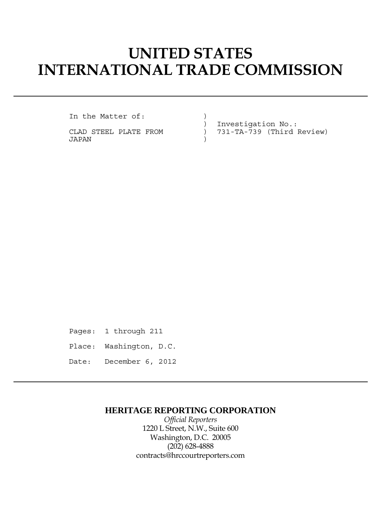# **UNITED STATES INTERNATIONAL TRADE COMMISSION**

In the Matter of:  $)$ 

JAPAN )

 ) Investigation No.: CLAD STEEL PLATE FROM ) 731-TA-739 (Third Review)

Pages: 1 through 211 Place: Washington, D.C.

Date: December 6, 2012

### **HERITAGE REPORTING CORPORATION**

*Official Reporters* 1220 L Street, N.W., Suite 600 Washington, D.C. 20005 (202) 628-4888 contracts@hrccourtreporters.com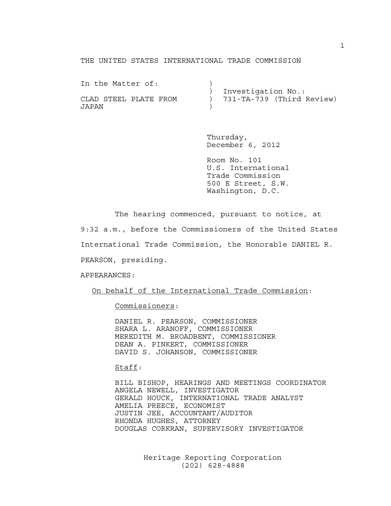#### THE UNITED STATES INTERNATIONAL TRADE COMMISSION

| In the Matter of:     |                             |
|-----------------------|-----------------------------|
|                       | Investigation No.:          |
| CLAD STEEL PLATE FROM | ) 731-TA-739 (Third Review) |
| JAPAN                 |                             |

 Thursday, December 6, 2012

 Room No. 101 U.S. International Trade Commission 500 E Street, S.W. Washington, D.C.

The hearing commenced, pursuant to notice, at

9:32 a.m., before the Commissioners of the United States

International Trade Commission, the Honorable DANIEL R.

PEARSON, presiding.

APPEARANCES:

On behalf of the International Trade Commission:

Commissioners:

 DANIEL R. PEARSON, COMMISSIONER SHARA L. ARANOFF, COMMISSIONER MEREDITH M. BROADBENT, COMMISSIONER DEAN A. PINKERT, COMMISSIONER DAVID S. JOHANSON, COMMISSIONER

#### Staff:

 BILL BISHOP, HEARINGS AND MEETINGS COORDINATOR ANGELA NEWELL, INVESTIGATOR GERALD HOUCK, INTERNATIONAL TRADE ANALYST AMELIA PREECE, ECONOMIST JUSTIN JEE, ACCOUNTANT/AUDITOR RHONDA HUGHES, ATTORNEY DOUGLAS CORKRAN, SUPERVISORY INVESTIGATOR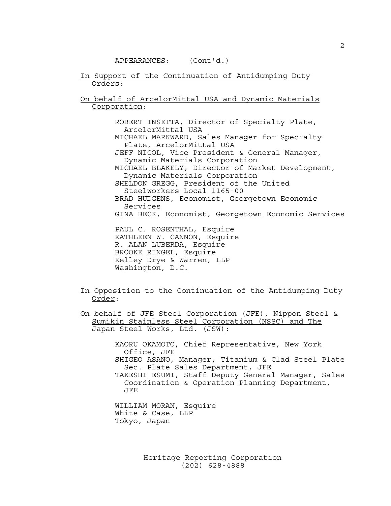#### APPEARANCES: (Cont'd.)

- In Support of the Continuation of Antidumping Duty Orders:
- On behalf of ArcelorMittal USA and Dynamic Materials Corporation:

 ROBERT INSETTA, Director of Specialty Plate, ArcelorMittal USA MICHAEL MARKWARD, Sales Manager for Specialty Plate, ArcelorMittal USA JEFF NICOL, Vice President & General Manager, Dynamic Materials Corporation MICHAEL BLAKELY, Director of Market Development, Dynamic Materials Corporation SHELDON GREGG, President of the United Steelworkers Local 1165-00 BRAD HUDGENS, Economist, Georgetown Economic Services GINA BECK, Economist, Georgetown Economic Services PAUL C. ROSENTHAL, Esquire KATHLEEN W. CANNON, Esquire R. ALAN LUBERDA, Esquire BROOKE RINGEL, Esquire Kelley Drye & Warren, LLP

- In Opposition to the Continuation of the Antidumping Duty Order:
- On behalf of JFE Steel Corporation (JFE), Nippon Steel & Sumikin Stainless Steel Corporation (NSSC) and The Japan Steel Works, Ltd. (JSW):

 KAORU OKAMOTO, Chief Representative, New York Office, JFE SHIGEO ASANO, Manager, Titanium & Clad Steel Plate Sec. Plate Sales Department, JFE TAKESHI ESUMI, Staff Deputy General Manager, Sales Coordination & Operation Planning Department, JFE

 WILLIAM MORAN, Esquire White & Case, LLP Tokyo, Japan

Washington, D.C.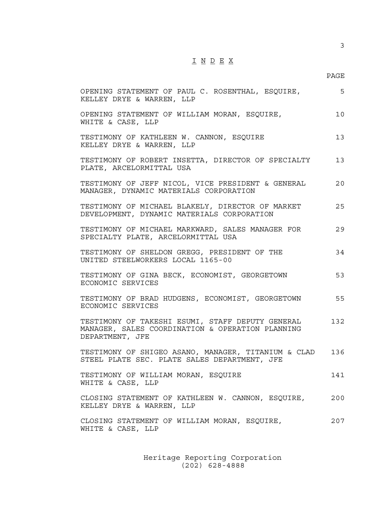## I N D E X

#### en de la provincia de la provincia de la provincia de la provincia de la provincia de la provincia de la provi

| OPENING STATEMENT OF PAUL C. ROSENTHAL, ESQUIRE,<br>KELLEY DRYE & WARREN, LLP                                           | 5   |
|-------------------------------------------------------------------------------------------------------------------------|-----|
| OPENING STATEMENT OF WILLIAM MORAN, ESQUIRE,<br>WHITE & CASE, LLP                                                       | 10  |
| TESTIMONY OF KATHLEEN W. CANNON, ESQUIRE<br>KELLEY DRYE & WARREN, LLP                                                   | 13  |
| TESTIMONY OF ROBERT INSETTA, DIRECTOR OF SPECIALTY<br>PLATE, ARCELORMITTAL USA                                          | 13  |
| TESTIMONY OF JEFF NICOL, VICE PRESIDENT & GENERAL<br>MANAGER, DYNAMIC MATERIALS CORPORATION                             | 20  |
| TESTIMONY OF MICHAEL BLAKELY, DIRECTOR OF MARKET<br>DEVELOPMENT, DYNAMIC MATERIALS CORPORATION                          | 25  |
| TESTIMONY OF MICHAEL MARKWARD, SALES MANAGER FOR<br>SPECIALTY PLATE, ARCELORMITTAL USA                                  | 29  |
| TESTIMONY OF SHELDON GREGG, PRESIDENT OF THE<br>UNITED STEELWORKERS LOCAL 1165-00                                       | 34  |
| TESTIMONY OF GINA BECK, ECONOMIST, GEORGETOWN<br>ECONOMIC SERVICES                                                      | 53  |
| TESTIMONY OF BRAD HUDGENS, ECONOMIST, GEORGETOWN<br>ECONOMIC SERVICES                                                   | 55  |
| TESTIMONY OF TAKESHI ESUMI, STAFF DEPUTY GENERAL<br>MANAGER, SALES COORDINATION & OPERATION PLANNING<br>DEPARTMENT, JFE | 132 |
| TESTIMONY OF SHIGEO ASANO, MANAGER, TITANIUM & CLAD 136<br>STEEL PLATE SEC. PLATE SALES DEPARTMENT, JFE                 |     |
| TESTIMONY OF WILLIAM MORAN, ESQUIRE<br>WHITE & CASE, LLP                                                                | 141 |
| CLOSING STATEMENT OF KATHLEEN W. CANNON, ESQUIRE,<br>KELLEY DRYE & WARREN, LLP                                          | 200 |
| CLOSING STATEMENT OF WILLIAM MORAN, ESQUIRE,<br>WHITE & CASE, LLP                                                       | 207 |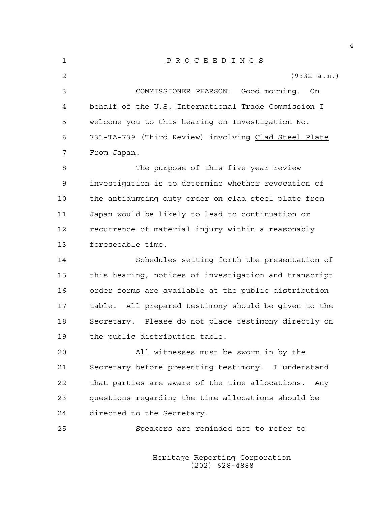1 P R O C E E D I N G S 2 (9:32 a.m.) 3 COMMISSIONER PEARSON: Good morning. On 4 behalf of the U.S. International Trade Commission I 5 welcome you to this hearing on Investigation No. 6 731-TA-739 (Third Review) involving Clad Steel Plate 7 From Japan. 8 The purpose of this five-year review 9 investigation is to determine whether revocation of 10 the antidumping duty order on clad steel plate from 11 Japan would be likely to lead to continuation or 12 recurrence of material injury within a reasonably 13 foreseeable time. 14 Schedules setting forth the presentation of 15 this hearing, notices of investigation and transcript 16 order forms are available at the public distribution 17 table. All prepared testimony should be given to the 18 Secretary. Please do not place testimony directly on 19 the public distribution table. 20 All witnesses must be sworn in by the 21 Secretary before presenting testimony. I understand 22 that parties are aware of the time allocations. Any 23 questions regarding the time allocations should be 24 directed to the Secretary. 25 Speakers are reminded not to refer to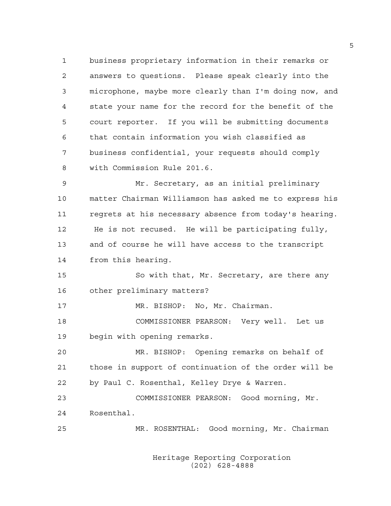1 business proprietary information in their remarks or 2 answers to questions. Please speak clearly into the 3 microphone, maybe more clearly than I'm doing now, and 4 state your name for the record for the benefit of the 5 court reporter. If you will be submitting documents 6 that contain information you wish classified as 7 business confidential, your requests should comply 8 with Commission Rule 201.6.

9 Mr. Secretary, as an initial preliminary 10 matter Chairman Williamson has asked me to express his 11 regrets at his necessary absence from today's hearing. 12 He is not recused. He will be participating fully, 13 and of course he will have access to the transcript 14 from this hearing.

15 So with that, Mr. Secretary, are there any 16 other preliminary matters?

17 MR. BISHOP: No, Mr. Chairman. 18 COMMISSIONER PEARSON: Very well. Let us 19 begin with opening remarks.

20 MR. BISHOP: Opening remarks on behalf of 21 those in support of continuation of the order will be 22 by Paul C. Rosenthal, Kelley Drye & Warren.

23 COMMISSIONER PEARSON: Good morning, Mr. 24 Rosenthal.

25 MR. ROSENTHAL: Good morning, Mr. Chairman

 Heritage Reporting Corporation (202) 628-4888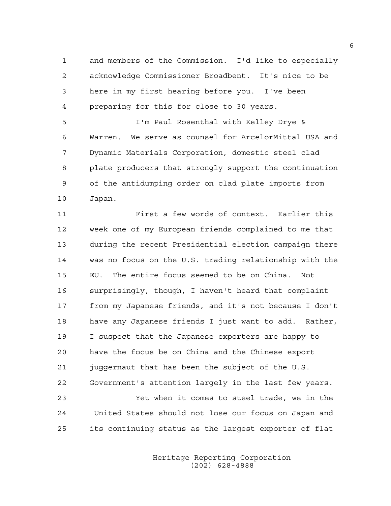1 and members of the Commission. I'd like to especially 2 acknowledge Commissioner Broadbent. It's nice to be 3 here in my first hearing before you. I've been 4 preparing for this for close to 30 years.

5 I'm Paul Rosenthal with Kelley Drye & 6 Warren. We serve as counsel for ArcelorMittal USA and 7 Dynamic Materials Corporation, domestic steel clad 8 plate producers that strongly support the continuation 9 of the antidumping order on clad plate imports from 10 Japan.

11 First a few words of context. Earlier this 12 week one of my European friends complained to me that 13 during the recent Presidential election campaign there 14 was no focus on the U.S. trading relationship with the 15 EU. The entire focus seemed to be on China. Not 16 surprisingly, though, I haven't heard that complaint 17 from my Japanese friends, and it's not because I don't 18 have any Japanese friends I just want to add. Rather, 19 I suspect that the Japanese exporters are happy to 20 have the focus be on China and the Chinese export 21 juggernaut that has been the subject of the U.S. 22 Government's attention largely in the last few years. 23 Yet when it comes to steel trade, we in the

24 United States should not lose our focus on Japan and 25 its continuing status as the largest exporter of flat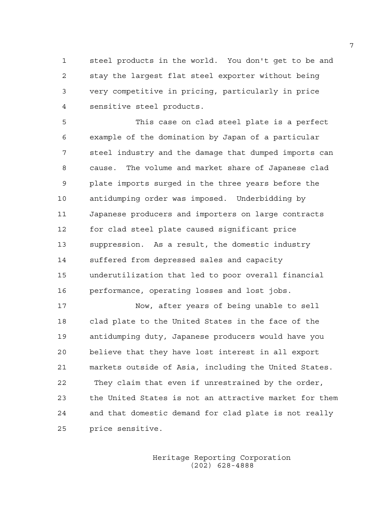1 steel products in the world. You don't get to be and 2 stay the largest flat steel exporter without being 3 very competitive in pricing, particularly in price 4 sensitive steel products.

5 This case on clad steel plate is a perfect 6 example of the domination by Japan of a particular 7 steel industry and the damage that dumped imports can 8 cause. The volume and market share of Japanese clad 9 plate imports surged in the three years before the 10 antidumping order was imposed. Underbidding by 11 Japanese producers and importers on large contracts 12 for clad steel plate caused significant price 13 suppression. As a result, the domestic industry 14 suffered from depressed sales and capacity 15 underutilization that led to poor overall financial 16 performance, operating losses and lost jobs.

17 Now, after years of being unable to sell 18 clad plate to the United States in the face of the 19 antidumping duty, Japanese producers would have you 20 believe that they have lost interest in all export 21 markets outside of Asia, including the United States. 22 They claim that even if unrestrained by the order, 23 the United States is not an attractive market for them 24 and that domestic demand for clad plate is not really 25 price sensitive.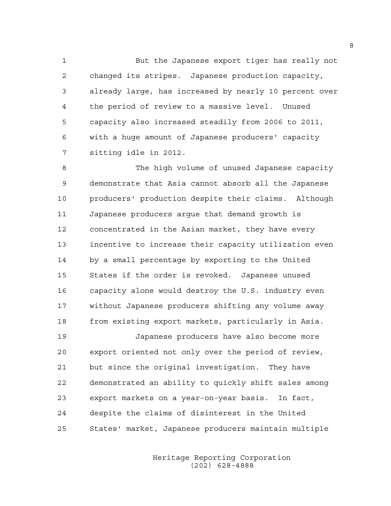1 But the Japanese export tiger has really not 2 changed its stripes. Japanese production capacity, 3 already large, has increased by nearly 10 percent over 4 the period of review to a massive level. Unused 5 capacity also increased steadily from 2006 to 2011, 6 with a huge amount of Japanese producers' capacity 7 sitting idle in 2012.

8 The high volume of unused Japanese capacity 9 demonstrate that Asia cannot absorb all the Japanese 10 producers' production despite their claims. Although 11 Japanese producers argue that demand growth is 12 concentrated in the Asian market, they have every 13 incentive to increase their capacity utilization even 14 by a small percentage by exporting to the United 15 States if the order is revoked. Japanese unused 16 capacity alone would destroy the U.S. industry even 17 without Japanese producers shifting any volume away 18 from existing export markets, particularly in Asia.

19 Japanese producers have also become more 20 export oriented not only over the period of review, 21 but since the original investigation. They have 22 demonstrated an ability to quickly shift sales among 23 export markets on a year-on-year basis. In fact, 24 despite the claims of disinterest in the United 25 States' market, Japanese producers maintain multiple

> Heritage Reporting Corporation (202) 628-4888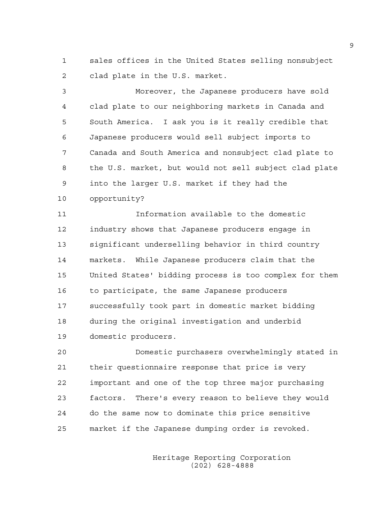1 sales offices in the United States selling nonsubject 2 clad plate in the U.S. market.

3 Moreover, the Japanese producers have sold 4 clad plate to our neighboring markets in Canada and 5 South America. I ask you is it really credible that 6 Japanese producers would sell subject imports to 7 Canada and South America and nonsubject clad plate to 8 the U.S. market, but would not sell subject clad plate 9 into the larger U.S. market if they had the 10 opportunity?

11 Information available to the domestic 12 industry shows that Japanese producers engage in 13 significant underselling behavior in third country 14 markets. While Japanese producers claim that the 15 United States' bidding process is too complex for them 16 to participate, the same Japanese producers 17 successfully took part in domestic market bidding 18 during the original investigation and underbid 19 domestic producers.

20 Domestic purchasers overwhelmingly stated in 21 their questionnaire response that price is very 22 important and one of the top three major purchasing 23 factors. There's every reason to believe they would 24 do the same now to dominate this price sensitive 25 market if the Japanese dumping order is revoked.

> Heritage Reporting Corporation (202) 628-4888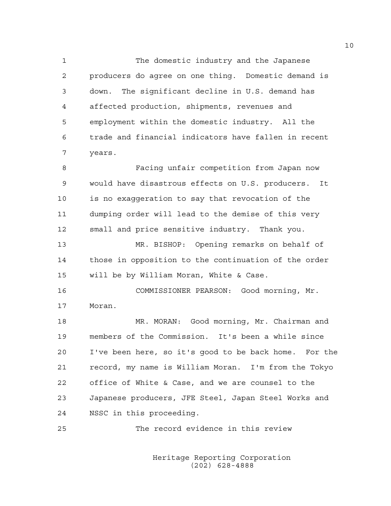1 The domestic industry and the Japanese 2 producers do agree on one thing. Domestic demand is 3 down. The significant decline in U.S. demand has 4 affected production, shipments, revenues and 5 employment within the domestic industry. All the 6 trade and financial indicators have fallen in recent 7 years.

8 Facing unfair competition from Japan now 9 would have disastrous effects on U.S. producers. It 10 is no exaggeration to say that revocation of the 11 dumping order will lead to the demise of this very 12 small and price sensitive industry. Thank you.

13 MR. BISHOP: Opening remarks on behalf of 14 those in opposition to the continuation of the order 15 will be by William Moran, White & Case.

16 COMMISSIONER PEARSON: Good morning, Mr. 17 Moran.

18 MR. MORAN: Good morning, Mr. Chairman and 19 members of the Commission. It's been a while since 20 I've been here, so it's good to be back home. For the 21 record, my name is William Moran. I'm from the Tokyo 22 office of White & Case, and we are counsel to the 23 Japanese producers, JFE Steel, Japan Steel Works and 24 NSSC in this proceeding.

25 The record evidence in this review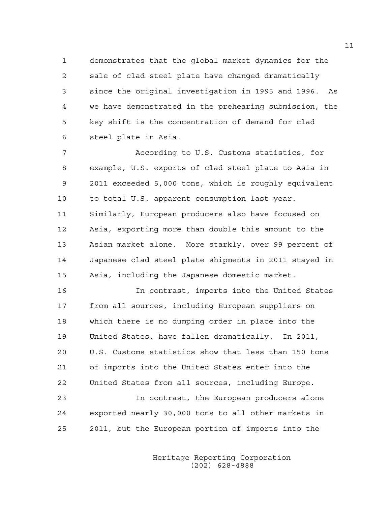1 demonstrates that the global market dynamics for the 2 sale of clad steel plate have changed dramatically 3 since the original investigation in 1995 and 1996. As 4 we have demonstrated in the prehearing submission, the 5 key shift is the concentration of demand for clad 6 steel plate in Asia.

7 According to U.S. Customs statistics, for 8 example, U.S. exports of clad steel plate to Asia in 9 2011 exceeded 5,000 tons, which is roughly equivalent 10 to total U.S. apparent consumption last year. 11 Similarly, European producers also have focused on 12 Asia, exporting more than double this amount to the 13 Asian market alone. More starkly, over 99 percent of 14 Japanese clad steel plate shipments in 2011 stayed in 15 Asia, including the Japanese domestic market.

16 In contrast, imports into the United States 17 from all sources, including European suppliers on 18 which there is no dumping order in place into the 19 United States, have fallen dramatically. In 2011, 20 U.S. Customs statistics show that less than 150 tons 21 of imports into the United States enter into the 22 United States from all sources, including Europe.

23 In contrast, the European producers alone 24 exported nearly 30,000 tons to all other markets in 25 2011, but the European portion of imports into the

> Heritage Reporting Corporation (202) 628-4888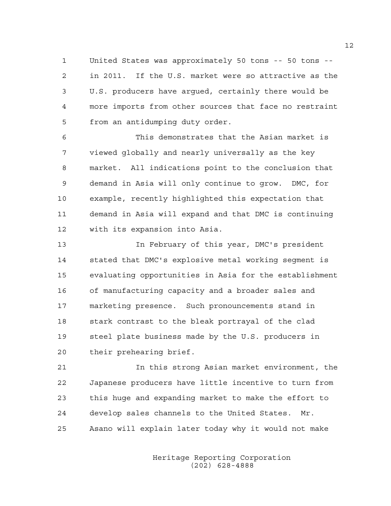1 United States was approximately 50 tons -- 50 tons -- 2 in 2011. If the U.S. market were so attractive as the 3 U.S. producers have argued, certainly there would be 4 more imports from other sources that face no restraint 5 from an antidumping duty order.

6 This demonstrates that the Asian market is 7 viewed globally and nearly universally as the key 8 market. All indications point to the conclusion that 9 demand in Asia will only continue to grow. DMC, for 10 example, recently highlighted this expectation that 11 demand in Asia will expand and that DMC is continuing 12 with its expansion into Asia.

13 In February of this year, DMC's president 14 stated that DMC's explosive metal working segment is 15 evaluating opportunities in Asia for the establishment 16 of manufacturing capacity and a broader sales and 17 marketing presence. Such pronouncements stand in 18 stark contrast to the bleak portrayal of the clad 19 steel plate business made by the U.S. producers in 20 their prehearing brief.

21 In this strong Asian market environment, the 22 Japanese producers have little incentive to turn from 23 this huge and expanding market to make the effort to 24 develop sales channels to the United States. Mr. 25 Asano will explain later today why it would not make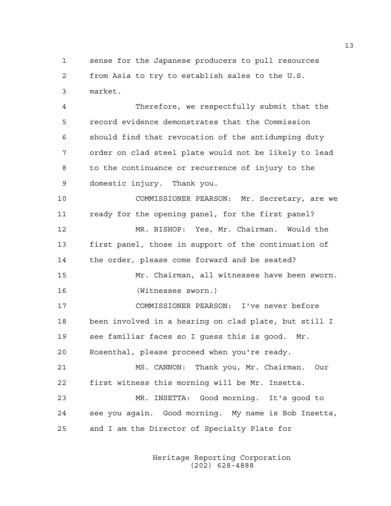1 sense for the Japanese producers to pull resources 2 from Asia to try to establish sales to the U.S. 3 market.

4 Therefore, we respectfully submit that the 5 record evidence demonstrates that the Commission 6 should find that revocation of the antidumping duty 7 order on clad steel plate would not be likely to lead 8 to the continuance or recurrence of injury to the 9 domestic injury. Thank you.

10 COMMISSIONER PEARSON: Mr. Secretary, are we 11 ready for the opening panel, for the first panel? 12 MR. BISHOP: Yes, Mr. Chairman. Would the 13 first panel, those in support of the continuation of 14 the order, please come forward and be seated? 15 Mr. Chairman, all witnesses have been sworn. 16 (Witnesses sworn.)

17 COMMISSIONER PEARSON: I've never before 18 been involved in a hearing on clad plate, but still I 19 see familiar faces so I guess this is good. Mr. 20 Rosenthal, please proceed when you're ready.

21 MS. CANNON: Thank you, Mr. Chairman. Our 22 first witness this morning will be Mr. Insetta. 23 MR. INSETTA: Good morning. It's good to 24 see you again. Good morning. My name is Bob Insetta, 25 and I am the Director of Specialty Plate for

> Heritage Reporting Corporation (202) 628-4888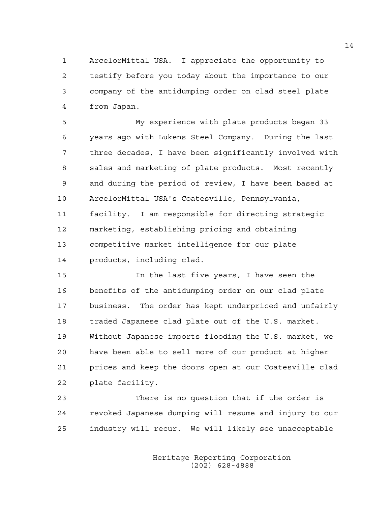1 ArcelorMittal USA. I appreciate the opportunity to 2 testify before you today about the importance to our 3 company of the antidumping order on clad steel plate 4 from Japan.

5 My experience with plate products began 33 6 years ago with Lukens Steel Company. During the last 7 three decades, I have been significantly involved with 8 sales and marketing of plate products. Most recently 9 and during the period of review, I have been based at 10 ArcelorMittal USA's Coatesville, Pennsylvania, 11 facility. I am responsible for directing strategic 12 marketing, establishing pricing and obtaining 13 competitive market intelligence for our plate 14 products, including clad.

15 In the last five years, I have seen the 16 benefits of the antidumping order on our clad plate 17 business. The order has kept underpriced and unfairly 18 traded Japanese clad plate out of the U.S. market. 19 Without Japanese imports flooding the U.S. market, we 20 have been able to sell more of our product at higher 21 prices and keep the doors open at our Coatesville clad 22 plate facility.

23 There is no question that if the order is 24 revoked Japanese dumping will resume and injury to our 25 industry will recur. We will likely see unacceptable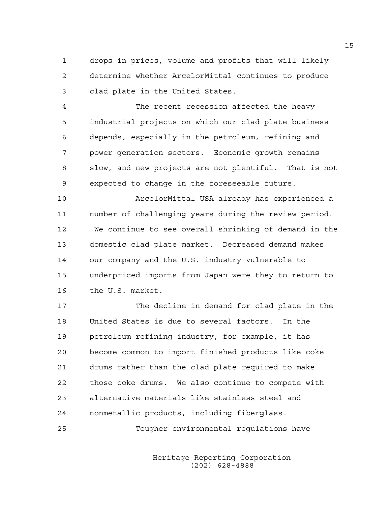1 drops in prices, volume and profits that will likely 2 determine whether ArcelorMittal continues to produce 3 clad plate in the United States.

4 The recent recession affected the heavy 5 industrial projects on which our clad plate business 6 depends, especially in the petroleum, refining and 7 power generation sectors. Economic growth remains 8 slow, and new projects are not plentiful. That is not 9 expected to change in the foreseeable future.

10 ArcelorMittal USA already has experienced a 11 number of challenging years during the review period. 12 We continue to see overall shrinking of demand in the 13 domestic clad plate market. Decreased demand makes 14 our company and the U.S. industry vulnerable to 15 underpriced imports from Japan were they to return to 16 the U.S. market.

17 The decline in demand for clad plate in the 18 United States is due to several factors. In the 19 petroleum refining industry, for example, it has 20 become common to import finished products like coke 21 drums rather than the clad plate required to make 22 those coke drums. We also continue to compete with 23 alternative materials like stainless steel and 24 nonmetallic products, including fiberglass.

25 Tougher environmental regulations have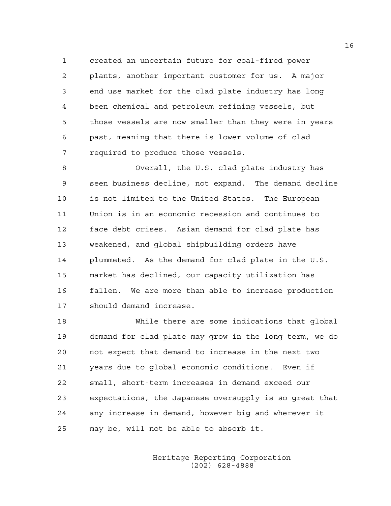1 created an uncertain future for coal-fired power 2 plants, another important customer for us. A major 3 end use market for the clad plate industry has long 4 been chemical and petroleum refining vessels, but 5 those vessels are now smaller than they were in years 6 past, meaning that there is lower volume of clad 7 required to produce those vessels.

8 Overall, the U.S. clad plate industry has 9 seen business decline, not expand. The demand decline 10 is not limited to the United States. The European 11 Union is in an economic recession and continues to 12 face debt crises. Asian demand for clad plate has 13 weakened, and global shipbuilding orders have 14 plummeted. As the demand for clad plate in the U.S. 15 market has declined, our capacity utilization has 16 fallen. We are more than able to increase production 17 should demand increase.

18 While there are some indications that global 19 demand for clad plate may grow in the long term, we do 20 not expect that demand to increase in the next two 21 years due to global economic conditions. Even if 22 small, short-term increases in demand exceed our 23 expectations, the Japanese oversupply is so great that 24 any increase in demand, however big and wherever it 25 may be, will not be able to absorb it.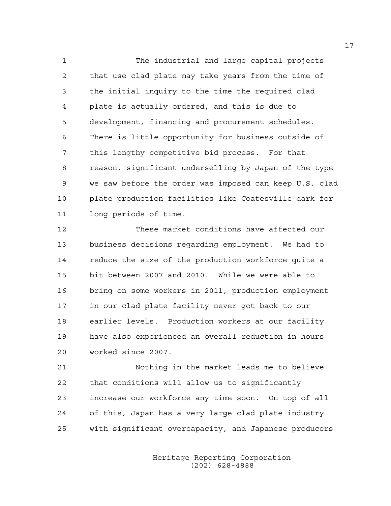1 The industrial and large capital projects 2 that use clad plate may take years from the time of 3 the initial inquiry to the time the required clad 4 plate is actually ordered, and this is due to 5 development, financing and procurement schedules. 6 There is little opportunity for business outside of 7 this lengthy competitive bid process. For that 8 reason, significant underselling by Japan of the type 9 we saw before the order was imposed can keep U.S. clad 10 plate production facilities like Coatesville dark for 11 long periods of time.

12 These market conditions have affected our 13 business decisions regarding employment. We had to 14 reduce the size of the production workforce quite a 15 bit between 2007 and 2010. While we were able to 16 bring on some workers in 2011, production employment 17 in our clad plate facility never got back to our 18 earlier levels. Production workers at our facility 19 have also experienced an overall reduction in hours 20 worked since 2007.

21 Nothing in the market leads me to believe 22 that conditions will allow us to significantly 23 increase our workforce any time soon. On top of all 24 of this, Japan has a very large clad plate industry 25 with significant overcapacity, and Japanese producers

> Heritage Reporting Corporation (202) 628-4888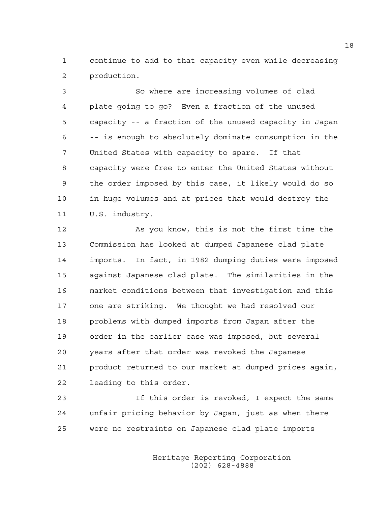1 continue to add to that capacity even while decreasing 2 production.

3 So where are increasing volumes of clad 4 plate going to go? Even a fraction of the unused 5 capacity -- a fraction of the unused capacity in Japan 6 -- is enough to absolutely dominate consumption in the 7 United States with capacity to spare. If that 8 capacity were free to enter the United States without 9 the order imposed by this case, it likely would do so 10 in huge volumes and at prices that would destroy the 11 U.S. industry.

12 As you know, this is not the first time the 13 Commission has looked at dumped Japanese clad plate 14 imports. In fact, in 1982 dumping duties were imposed 15 against Japanese clad plate. The similarities in the 16 market conditions between that investigation and this 17 one are striking. We thought we had resolved our 18 problems with dumped imports from Japan after the 19 order in the earlier case was imposed, but several 20 years after that order was revoked the Japanese 21 product returned to our market at dumped prices again, 22 leading to this order.

23 If this order is revoked, I expect the same 24 unfair pricing behavior by Japan, just as when there 25 were no restraints on Japanese clad plate imports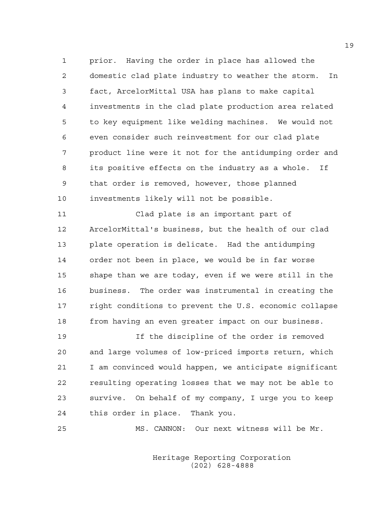1 prior. Having the order in place has allowed the 2 domestic clad plate industry to weather the storm. In 3 fact, ArcelorMittal USA has plans to make capital 4 investments in the clad plate production area related 5 to key equipment like welding machines. We would not 6 even consider such reinvestment for our clad plate 7 product line were it not for the antidumping order and 8 its positive effects on the industry as a whole. If 9 that order is removed, however, those planned 10 investments likely will not be possible.

11 Clad plate is an important part of 12 ArcelorMittal's business, but the health of our clad 13 plate operation is delicate. Had the antidumping 14 order not been in place, we would be in far worse 15 shape than we are today, even if we were still in the 16 business. The order was instrumental in creating the 17 right conditions to prevent the U.S. economic collapse 18 from having an even greater impact on our business.

19 If the discipline of the order is removed 20 and large volumes of low-priced imports return, which 21 I am convinced would happen, we anticipate significant 22 resulting operating losses that we may not be able to 23 survive. On behalf of my company, I urge you to keep 24 this order in place. Thank you.

25 MS. CANNON: Our next witness will be Mr.

 Heritage Reporting Corporation (202) 628-4888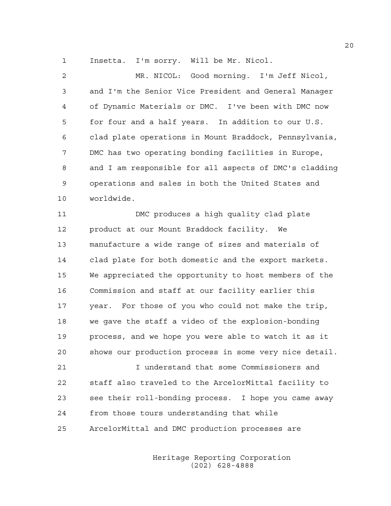1 Insetta. I'm sorry. Will be Mr. Nicol.

2 MR. NICOL: Good morning. I'm Jeff Nicol, 3 and I'm the Senior Vice President and General Manager 4 of Dynamic Materials or DMC. I've been with DMC now 5 for four and a half years. In addition to our U.S. 6 clad plate operations in Mount Braddock, Pennsylvania, 7 DMC has two operating bonding facilities in Europe, 8 and I am responsible for all aspects of DMC's cladding 9 operations and sales in both the United States and 10 worldwide.

11 DMC produces a high quality clad plate 12 product at our Mount Braddock facility. We 13 manufacture a wide range of sizes and materials of 14 clad plate for both domestic and the export markets. 15 We appreciated the opportunity to host members of the 16 Commission and staff at our facility earlier this 17 year. For those of you who could not make the trip, 18 we gave the staff a video of the explosion-bonding 19 process, and we hope you were able to watch it as it 20 shows our production process in some very nice detail.

21 I understand that some Commissioners and 22 staff also traveled to the ArcelorMittal facility to 23 see their roll-bonding process. I hope you came away 24 from those tours understanding that while 25 ArcelorMittal and DMC production processes are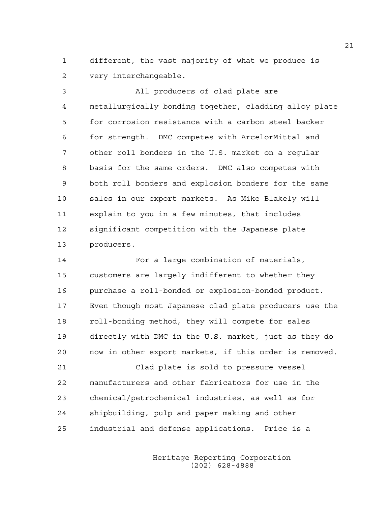1 different, the vast majority of what we produce is 2 very interchangeable.

3 All producers of clad plate are 4 metallurgically bonding together, cladding alloy plate 5 for corrosion resistance with a carbon steel backer 6 for strength. DMC competes with ArcelorMittal and 7 other roll bonders in the U.S. market on a regular 8 basis for the same orders. DMC also competes with 9 both roll bonders and explosion bonders for the same 10 sales in our export markets. As Mike Blakely will 11 explain to you in a few minutes, that includes 12 significant competition with the Japanese plate 13 producers.

14 For a large combination of materials, 15 customers are largely indifferent to whether they 16 purchase a roll-bonded or explosion-bonded product. 17 Even though most Japanese clad plate producers use the 18 roll-bonding method, they will compete for sales 19 directly with DMC in the U.S. market, just as they do 20 now in other export markets, if this order is removed.

21 Clad plate is sold to pressure vessel 22 manufacturers and other fabricators for use in the 23 chemical/petrochemical industries, as well as for 24 shipbuilding, pulp and paper making and other 25 industrial and defense applications. Price is a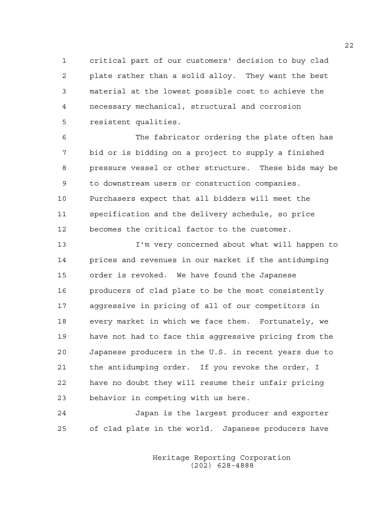1 critical part of our customers' decision to buy clad 2 plate rather than a solid alloy. They want the best 3 material at the lowest possible cost to achieve the 4 necessary mechanical, structural and corrosion 5 resistent qualities.

6 The fabricator ordering the plate often has 7 bid or is bidding on a project to supply a finished 8 pressure vessel or other structure. These bids may be 9 to downstream users or construction companies. 10 Purchasers expect that all bidders will meet the 11 specification and the delivery schedule, so price 12 becomes the critical factor to the customer.

13 I'm very concerned about what will happen to 14 prices and revenues in our market if the antidumping 15 order is revoked. We have found the Japanese 16 producers of clad plate to be the most consistently 17 aggressive in pricing of all of our competitors in 18 every market in which we face them. Fortunately, we 19 have not had to face this aggressive pricing from the 20 Japanese producers in the U.S. in recent years due to 21 the antidumping order. If you revoke the order, I 22 have no doubt they will resume their unfair pricing 23 behavior in competing with us here.

24 Japan is the largest producer and exporter 25 of clad plate in the world. Japanese producers have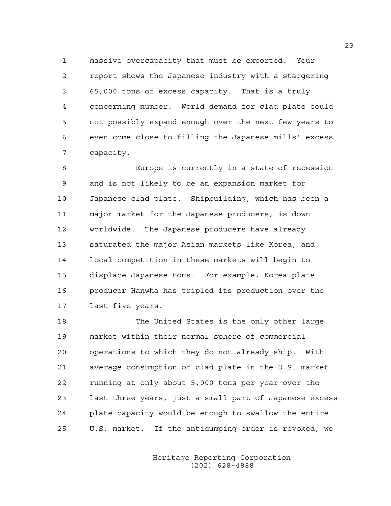1 massive overcapacity that must be exported. Your 2 report shows the Japanese industry with a staggering 3 65,000 tons of excess capacity. That is a truly 4 concerning number. World demand for clad plate could 5 not possibly expand enough over the next few years to 6 even come close to filling the Japanese mills' excess 7 capacity.

8 Europe is currently in a state of recession 9 and is not likely to be an expansion market for 10 Japanese clad plate. Shipbuilding, which has been a 11 major market for the Japanese producers, is down 12 worldwide. The Japanese producers have already 13 saturated the major Asian markets like Korea, and 14 local competition in these markets will begin to 15 displace Japanese tons. For example, Korea plate 16 producer Hanwha has tripled its production over the 17 last five years.

18 The United States is the only other large 19 market within their normal sphere of commercial 20 operations to which they do not already ship. With 21 average consumption of clad plate in the U.S. market 22 running at only about 5,000 tons per year over the 23 last three years, just a small part of Japanese excess 24 plate capacity would be enough to swallow the entire 25 U.S. market. If the antidumping order is revoked, we

> Heritage Reporting Corporation (202) 628-4888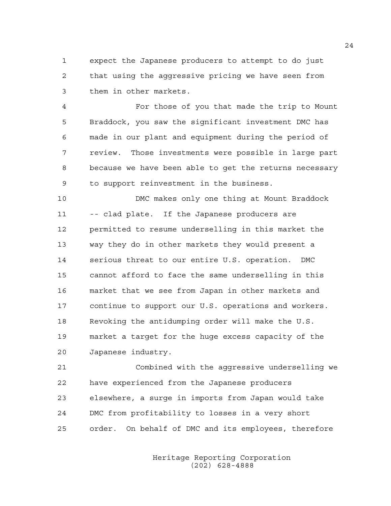1 expect the Japanese producers to attempt to do just 2 that using the aggressive pricing we have seen from 3 them in other markets.

4 For those of you that made the trip to Mount 5 Braddock, you saw the significant investment DMC has 6 made in our plant and equipment during the period of 7 review. Those investments were possible in large part 8 because we have been able to get the returns necessary 9 to support reinvestment in the business.

10 DMC makes only one thing at Mount Braddock 11 -- clad plate. If the Japanese producers are 12 permitted to resume underselling in this market the 13 way they do in other markets they would present a 14 serious threat to our entire U.S. operation. DMC 15 cannot afford to face the same underselling in this 16 market that we see from Japan in other markets and 17 continue to support our U.S. operations and workers. 18 Revoking the antidumping order will make the U.S. 19 market a target for the huge excess capacity of the 20 Japanese industry.

21 Combined with the aggressive underselling we 22 have experienced from the Japanese producers 23 elsewhere, a surge in imports from Japan would take 24 DMC from profitability to losses in a very short 25 order. On behalf of DMC and its employees, therefore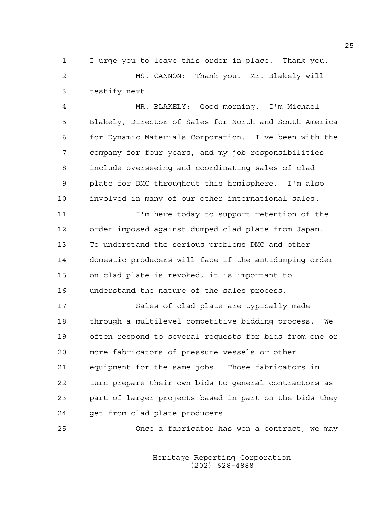1 I urge you to leave this order in place. Thank you. 2 MS. CANNON: Thank you. Mr. Blakely will 3 testify next.

4 MR. BLAKELY: Good morning. I'm Michael 5 Blakely, Director of Sales for North and South America 6 for Dynamic Materials Corporation. I've been with the 7 company for four years, and my job responsibilities 8 include overseeing and coordinating sales of clad 9 plate for DMC throughout this hemisphere. I'm also 10 involved in many of our other international sales.

11 I'm here today to support retention of the 12 order imposed against dumped clad plate from Japan. 13 To understand the serious problems DMC and other 14 domestic producers will face if the antidumping order 15 on clad plate is revoked, it is important to 16 understand the nature of the sales process.

17 Sales of clad plate are typically made 18 through a multilevel competitive bidding process. We 19 often respond to several requests for bids from one or 20 more fabricators of pressure vessels or other 21 equipment for the same jobs. Those fabricators in 22 turn prepare their own bids to general contractors as 23 part of larger projects based in part on the bids they 24 get from clad plate producers.

25 Once a fabricator has won a contract, we may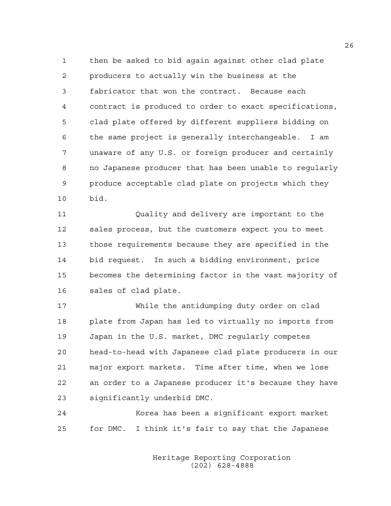1 then be asked to bid again against other clad plate 2 producers to actually win the business at the 3 fabricator that won the contract. Because each 4 contract is produced to order to exact specifications, 5 clad plate offered by different suppliers bidding on 6 the same project is generally interchangeable. I am 7 unaware of any U.S. or foreign producer and certainly 8 no Japanese producer that has been unable to regularly 9 produce acceptable clad plate on projects which they 10 bid.

11 Quality and delivery are important to the 12 sales process, but the customers expect you to meet 13 those requirements because they are specified in the 14 bid request. In such a bidding environment, price 15 becomes the determining factor in the vast majority of 16 sales of clad plate.

17 While the antidumping duty order on clad 18 plate from Japan has led to virtually no imports from 19 Japan in the U.S. market, DMC regularly competes 20 head-to-head with Japanese clad plate producers in our 21 major export markets. Time after time, when we lose 22 an order to a Japanese producer it's because they have 23 significantly underbid DMC.

24 Korea has been a significant export market 25 for DMC. I think it's fair to say that the Japanese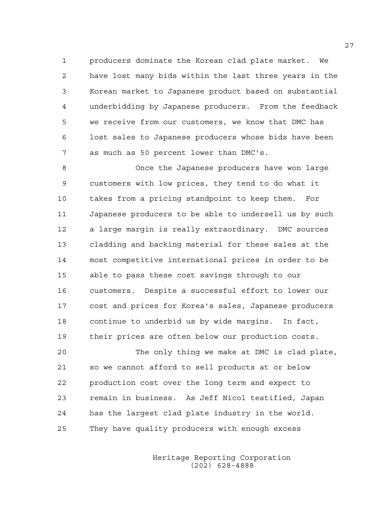1 producers dominate the Korean clad plate market. We 2 have lost many bids within the last three years in the 3 Korean market to Japanese product based on substantial 4 underbidding by Japanese producers. From the feedback 5 we receive from our customers, we know that DMC has 6 lost sales to Japanese producers whose bids have been 7 as much as 50 percent lower than DMC's.

8 Once the Japanese producers have won large 9 customers with low prices, they tend to do what it 10 takes from a pricing standpoint to keep them. For 11 Japanese producers to be able to undersell us by such 12 a large margin is really extraordinary. DMC sources 13 cladding and backing material for these sales at the 14 most competitive international prices in order to be 15 able to pass these cost savings through to our 16 customers. Despite a successful effort to lower our 17 cost and prices for Korea's sales, Japanese producers 18 continue to underbid us by wide margins. In fact, 19 their prices are often below our production costs.

20 The only thing we make at DMC is clad plate, 21 so we cannot afford to sell products at or below 22 production cost over the long term and expect to 23 remain in business. As Jeff Nicol testified, Japan 24 has the largest clad plate industry in the world. 25 They have quality producers with enough excess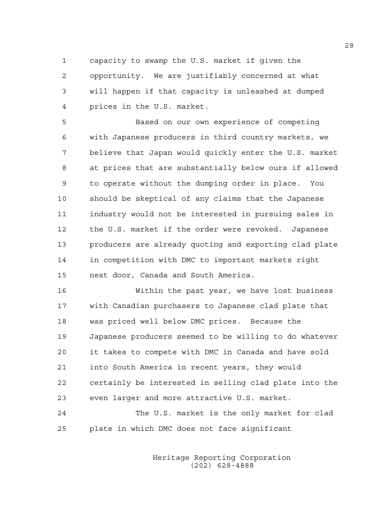1 capacity to swamp the U.S. market if given the 2 opportunity. We are justifiably concerned at what 3 will happen if that capacity is unleashed at dumped 4 prices in the U.S. market.

5 Based on our own experience of competing 6 with Japanese producers in third country markets, we 7 believe that Japan would quickly enter the U.S. market 8 at prices that are substantially below ours if allowed 9 to operate without the dumping order in place. You 10 should be skeptical of any claims that the Japanese 11 industry would not be interested in pursuing sales in 12 the U.S. market if the order were revoked. Japanese 13 producers are already quoting and exporting clad plate 14 in competition with DMC to important markets right 15 next door, Canada and South America.

16 Within the past year, we have lost business 17 with Canadian purchasers to Japanese clad plate that 18 was priced well below DMC prices. Because the 19 Japanese producers seemed to be willing to do whatever 20 it takes to compete with DMC in Canada and have sold 21 into South America in recent years, they would 22 certainly be interested in selling clad plate into the 23 even larger and more attractive U.S. market.

24 The U.S. market is the only market for clad 25 plate in which DMC does not face significant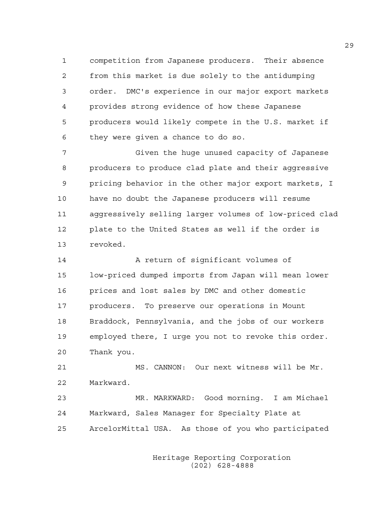1 competition from Japanese producers. Their absence 2 from this market is due solely to the antidumping 3 order. DMC's experience in our major export markets 4 provides strong evidence of how these Japanese 5 producers would likely compete in the U.S. market if 6 they were given a chance to do so.

7 Given the huge unused capacity of Japanese 8 producers to produce clad plate and their aggressive 9 pricing behavior in the other major export markets, I 10 have no doubt the Japanese producers will resume 11 aggressively selling larger volumes of low-priced clad 12 plate to the United States as well if the order is 13 revoked.

14 A return of significant volumes of 15 low-priced dumped imports from Japan will mean lower 16 prices and lost sales by DMC and other domestic 17 producers. To preserve our operations in Mount 18 Braddock, Pennsylvania, and the jobs of our workers 19 employed there, I urge you not to revoke this order. 20 Thank you.

21 MS. CANNON: Our next witness will be Mr. 22 Markward.

23 MR. MARKWARD: Good morning. I am Michael 24 Markward, Sales Manager for Specialty Plate at 25 ArcelorMittal USA. As those of you who participated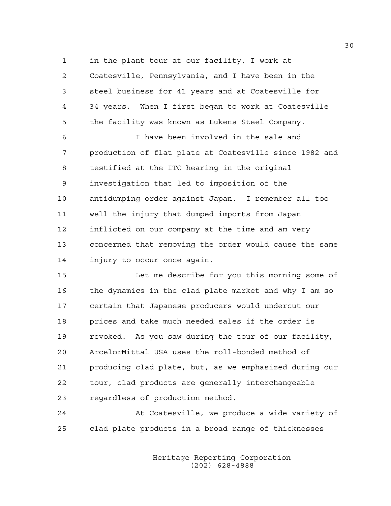1 in the plant tour at our facility, I work at

2 Coatesville, Pennsylvania, and I have been in the 3 steel business for 41 years and at Coatesville for 4 34 years. When I first began to work at Coatesville 5 the facility was known as Lukens Steel Company.

6 I have been involved in the sale and 7 production of flat plate at Coatesville since 1982 and 8 testified at the ITC hearing in the original 9 investigation that led to imposition of the 10 antidumping order against Japan. I remember all too 11 well the injury that dumped imports from Japan 12 inflicted on our company at the time and am very 13 concerned that removing the order would cause the same 14 injury to occur once again.

15 Let me describe for you this morning some of 16 the dynamics in the clad plate market and why I am so 17 certain that Japanese producers would undercut our 18 prices and take much needed sales if the order is 19 revoked. As you saw during the tour of our facility, 20 ArcelorMittal USA uses the roll-bonded method of 21 producing clad plate, but, as we emphasized during our 22 tour, clad products are generally interchangeable 23 regardless of production method.

24 At Coatesville, we produce a wide variety of 25 clad plate products in a broad range of thicknesses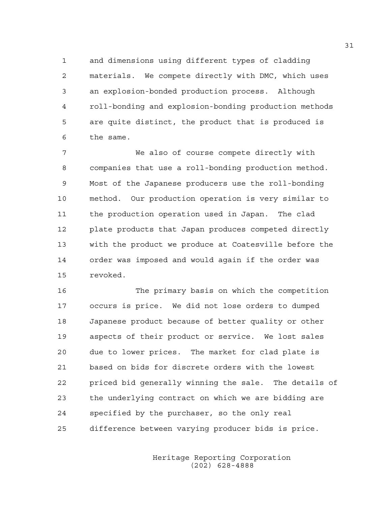1 and dimensions using different types of cladding 2 materials. We compete directly with DMC, which uses 3 an explosion-bonded production process. Although 4 roll-bonding and explosion-bonding production methods 5 are quite distinct, the product that is produced is 6 the same.

7 We also of course compete directly with 8 companies that use a roll-bonding production method. 9 Most of the Japanese producers use the roll-bonding 10 method. Our production operation is very similar to 11 the production operation used in Japan. The clad 12 plate products that Japan produces competed directly 13 with the product we produce at Coatesville before the 14 order was imposed and would again if the order was 15 revoked.

16 The primary basis on which the competition 17 occurs is price. We did not lose orders to dumped 18 Japanese product because of better quality or other 19 aspects of their product or service. We lost sales 20 due to lower prices. The market for clad plate is 21 based on bids for discrete orders with the lowest 22 priced bid generally winning the sale. The details of 23 the underlying contract on which we are bidding are 24 specified by the purchaser, so the only real 25 difference between varying producer bids is price.

> Heritage Reporting Corporation (202) 628-4888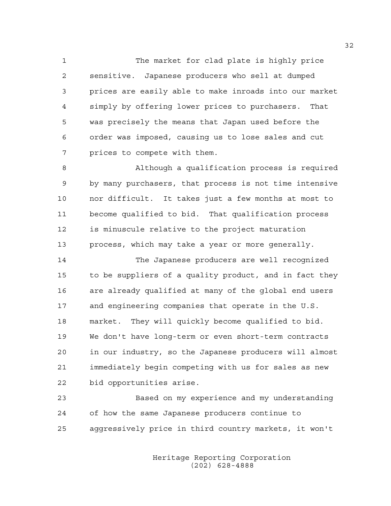1 The market for clad plate is highly price 2 sensitive. Japanese producers who sell at dumped 3 prices are easily able to make inroads into our market 4 simply by offering lower prices to purchasers. That 5 was precisely the means that Japan used before the 6 order was imposed, causing us to lose sales and cut 7 prices to compete with them.

8 Although a qualification process is required 9 by many purchasers, that process is not time intensive 10 nor difficult. It takes just a few months at most to 11 become qualified to bid. That qualification process 12 is minuscule relative to the project maturation 13 process, which may take a year or more generally.

14 The Japanese producers are well recognized 15 to be suppliers of a quality product, and in fact they 16 are already qualified at many of the global end users 17 and engineering companies that operate in the U.S. 18 market. They will quickly become qualified to bid. 19 We don't have long-term or even short-term contracts 20 in our industry, so the Japanese producers will almost 21 immediately begin competing with us for sales as new 22 bid opportunities arise.

23 Based on my experience and my understanding 24 of how the same Japanese producers continue to 25 aggressively price in third country markets, it won't

> Heritage Reporting Corporation (202) 628-4888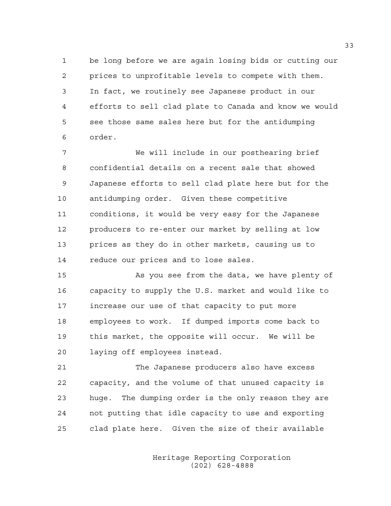1 be long before we are again losing bids or cutting our 2 prices to unprofitable levels to compete with them. 3 In fact, we routinely see Japanese product in our 4 efforts to sell clad plate to Canada and know we would 5 see those same sales here but for the antidumping 6 order.

7 We will include in our posthearing brief 8 confidential details on a recent sale that showed 9 Japanese efforts to sell clad plate here but for the 10 antidumping order. Given these competitive 11 conditions, it would be very easy for the Japanese 12 producers to re-enter our market by selling at low 13 prices as they do in other markets, causing us to 14 reduce our prices and to lose sales.

15 As you see from the data, we have plenty of 16 capacity to supply the U.S. market and would like to 17 increase our use of that capacity to put more 18 employees to work. If dumped imports come back to 19 this market, the opposite will occur. We will be 20 laying off employees instead.

21 The Japanese producers also have excess 22 capacity, and the volume of that unused capacity is 23 huge. The dumping order is the only reason they are 24 not putting that idle capacity to use and exporting 25 clad plate here. Given the size of their available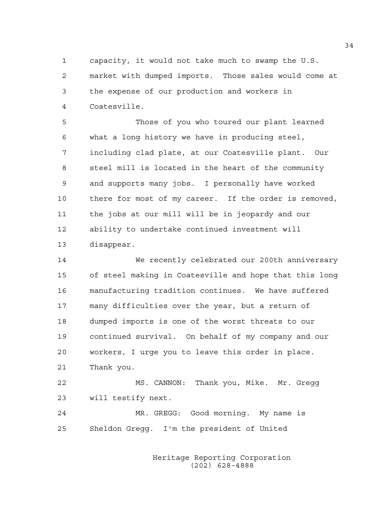1 capacity, it would not take much to swamp the U.S. 2 market with dumped imports. Those sales would come at 3 the expense of our production and workers in 4 Coatesville.

5 Those of you who toured our plant learned 6 what a long history we have in producing steel, 7 including clad plate, at our Coatesville plant. Our 8 steel mill is located in the heart of the community 9 and supports many jobs. I personally have worked 10 there for most of my career. If the order is removed, 11 the jobs at our mill will be in jeopardy and our 12 ability to undertake continued investment will 13 disappear.

14 We recently celebrated our 200th anniversary 15 of steel making in Coatesville and hope that this long 16 manufacturing tradition continues. We have suffered 17 many difficulties over the year, but a return of 18 dumped imports is one of the worst threats to our 19 continued survival. On behalf of my company and our 20 workers, I urge you to leave this order in place. 21 Thank you. 22 MS. CANNON: Thank you, Mike. Mr. Gregg

23 will testify next.

24 MR. GREGG: Good morning. My name is 25 Sheldon Gregg. I'm the president of United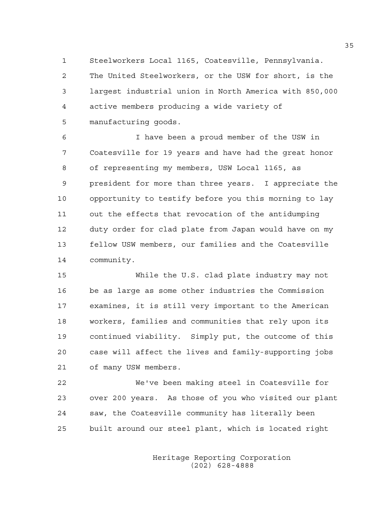1 Steelworkers Local 1165, Coatesville, Pennsylvania. 2 The United Steelworkers, or the USW for short, is the 3 largest industrial union in North America with 850,000 4 active members producing a wide variety of 5 manufacturing goods.

6 I have been a proud member of the USW in 7 Coatesville for 19 years and have had the great honor 8 of representing my members, USW Local 1165, as 9 president for more than three years. I appreciate the 10 opportunity to testify before you this morning to lay 11 out the effects that revocation of the antidumping 12 duty order for clad plate from Japan would have on my 13 fellow USW members, our families and the Coatesville 14 community.

15 While the U.S. clad plate industry may not 16 be as large as some other industries the Commission 17 examines, it is still very important to the American 18 workers, families and communities that rely upon its 19 continued viability. Simply put, the outcome of this 20 case will affect the lives and family-supporting jobs 21 of many USW members.

22 We've been making steel in Coatesville for 23 over 200 years. As those of you who visited our plant 24 saw, the Coatesville community has literally been 25 built around our steel plant, which is located right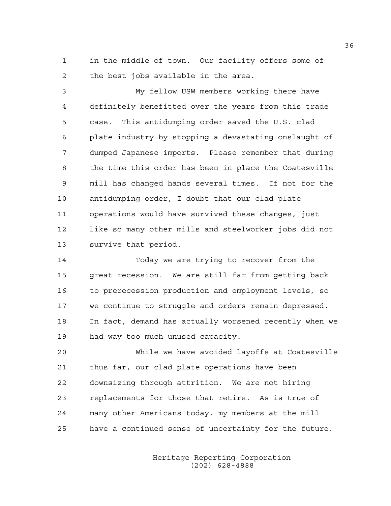1 in the middle of town. Our facility offers some of 2 the best jobs available in the area.

3 My fellow USW members working there have 4 definitely benefitted over the years from this trade 5 case. This antidumping order saved the U.S. clad 6 plate industry by stopping a devastating onslaught of 7 dumped Japanese imports. Please remember that during 8 the time this order has been in place the Coatesville 9 mill has changed hands several times. If not for the 10 antidumping order, I doubt that our clad plate 11 operations would have survived these changes, just 12 like so many other mills and steelworker jobs did not 13 survive that period.

14 Today we are trying to recover from the 15 great recession. We are still far from getting back 16 to prerecession production and employment levels, so 17 we continue to struggle and orders remain depressed. 18 In fact, demand has actually worsened recently when we 19 had way too much unused capacity.

20 While we have avoided layoffs at Coatesville 21 thus far, our clad plate operations have been 22 downsizing through attrition. We are not hiring 23 replacements for those that retire. As is true of 24 many other Americans today, my members at the mill 25 have a continued sense of uncertainty for the future.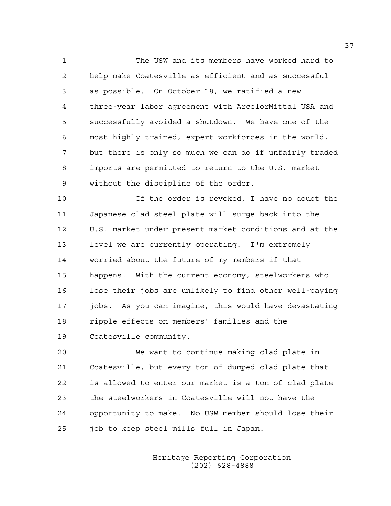1 The USW and its members have worked hard to 2 help make Coatesville as efficient and as successful 3 as possible. On October 18, we ratified a new 4 three-year labor agreement with ArcelorMittal USA and 5 successfully avoided a shutdown. We have one of the 6 most highly trained, expert workforces in the world, 7 but there is only so much we can do if unfairly traded 8 imports are permitted to return to the U.S. market 9 without the discipline of the order.

10 If the order is revoked, I have no doubt the 11 Japanese clad steel plate will surge back into the 12 U.S. market under present market conditions and at the 13 level we are currently operating. I'm extremely 14 worried about the future of my members if that 15 happens. With the current economy, steelworkers who 16 lose their jobs are unlikely to find other well-paying 17 jobs. As you can imagine, this would have devastating 18 ripple effects on members' families and the 19 Coatesville community.

20 We want to continue making clad plate in 21 Coatesville, but every ton of dumped clad plate that 22 is allowed to enter our market is a ton of clad plate 23 the steelworkers in Coatesville will not have the 24 opportunity to make. No USW member should lose their 25 job to keep steel mills full in Japan.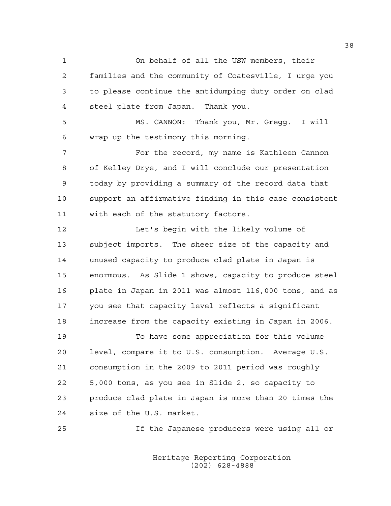1 On behalf of all the USW members, their 2 families and the community of Coatesville, I urge you 3 to please continue the antidumping duty order on clad 4 steel plate from Japan. Thank you.

5 MS. CANNON: Thank you, Mr. Gregg. I will 6 wrap up the testimony this morning.

7 For the record, my name is Kathleen Cannon 8 of Kelley Drye, and I will conclude our presentation 9 today by providing a summary of the record data that 10 support an affirmative finding in this case consistent 11 with each of the statutory factors.

12 Let's begin with the likely volume of 13 subject imports. The sheer size of the capacity and 14 unused capacity to produce clad plate in Japan is 15 enormous. As Slide 1 shows, capacity to produce steel 16 plate in Japan in 2011 was almost 116,000 tons, and as 17 you see that capacity level reflects a significant 18 increase from the capacity existing in Japan in 2006.

19 To have some appreciation for this volume 20 level, compare it to U.S. consumption. Average U.S. 21 consumption in the 2009 to 2011 period was roughly 22 5,000 tons, as you see in Slide 2, so capacity to 23 produce clad plate in Japan is more than 20 times the 24 size of the U.S. market.

25 If the Japanese producers were using all or

 Heritage Reporting Corporation (202) 628-4888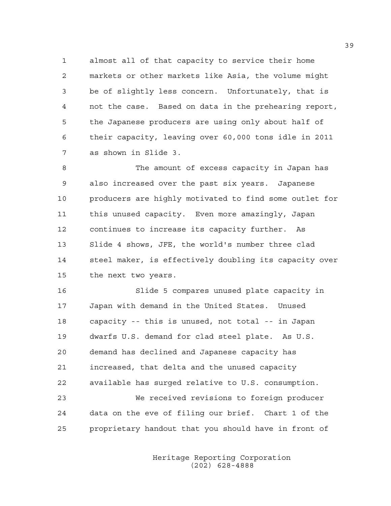1 almost all of that capacity to service their home 2 markets or other markets like Asia, the volume might 3 be of slightly less concern. Unfortunately, that is 4 not the case. Based on data in the prehearing report, 5 the Japanese producers are using only about half of 6 their capacity, leaving over 60,000 tons idle in 2011 7 as shown in Slide 3.

8 The amount of excess capacity in Japan has 9 also increased over the past six years. Japanese 10 producers are highly motivated to find some outlet for 11 this unused capacity. Even more amazingly, Japan 12 continues to increase its capacity further. As 13 Slide 4 shows, JFE, the world's number three clad 14 steel maker, is effectively doubling its capacity over 15 the next two years.

16 Slide 5 compares unused plate capacity in 17 Japan with demand in the United States. Unused 18 capacity -- this is unused, not total -- in Japan 19 dwarfs U.S. demand for clad steel plate. As U.S. 20 demand has declined and Japanese capacity has 21 increased, that delta and the unused capacity 22 available has surged relative to U.S. consumption. 23 We received revisions to foreign producer 24 data on the eve of filing our brief. Chart 1 of the 25 proprietary handout that you should have in front of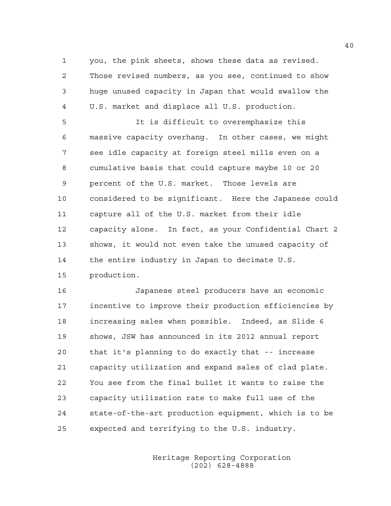1 you, the pink sheets, shows these data as revised. 2 Those revised numbers, as you see, continued to show 3 huge unused capacity in Japan that would swallow the 4 U.S. market and displace all U.S. production.

5 It is difficult to overemphasize this 6 massive capacity overhang. In other cases, we might 7 see idle capacity at foreign steel mills even on a 8 cumulative basis that could capture maybe 10 or 20 9 percent of the U.S. market. Those levels are 10 considered to be significant. Here the Japanese could 11 capture all of the U.S. market from their idle 12 capacity alone. In fact, as your Confidential Chart 2 13 shows, it would not even take the unused capacity of 14 the entire industry in Japan to decimate U.S. 15 production.

16 Japanese steel producers have an economic 17 incentive to improve their production efficiencies by 18 increasing sales when possible. Indeed, as Slide 6 19 shows, JSW has announced in its 2012 annual report 20 that it's planning to do exactly that -- increase 21 capacity utilization and expand sales of clad plate. 22 You see from the final bullet it wants to raise the 23 capacity utilization rate to make full use of the 24 state-of-the-art production equipment, which is to be 25 expected and terrifying to the U.S. industry.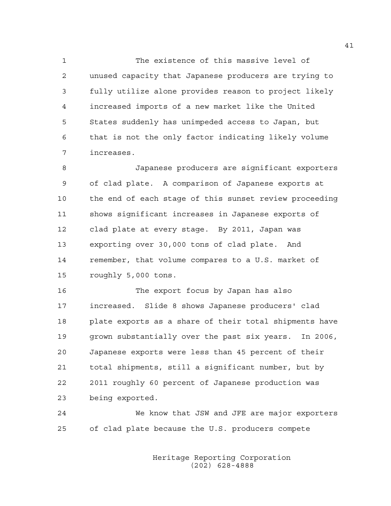1 The existence of this massive level of 2 unused capacity that Japanese producers are trying to 3 fully utilize alone provides reason to project likely 4 increased imports of a new market like the United 5 States suddenly has unimpeded access to Japan, but 6 that is not the only factor indicating likely volume 7 increases.

8 Japanese producers are significant exporters 9 of clad plate. A comparison of Japanese exports at 10 the end of each stage of this sunset review proceeding 11 shows significant increases in Japanese exports of 12 clad plate at every stage. By 2011, Japan was 13 exporting over 30,000 tons of clad plate. And 14 remember, that volume compares to a U.S. market of 15 roughly 5,000 tons.

16 The export focus by Japan has also 17 increased. Slide 8 shows Japanese producers' clad 18 plate exports as a share of their total shipments have 19 grown substantially over the past six years. In 2006, 20 Japanese exports were less than 45 percent of their 21 total shipments, still a significant number, but by 22 2011 roughly 60 percent of Japanese production was 23 being exported.

24 We know that JSW and JFE are major exporters 25 of clad plate because the U.S. producers compete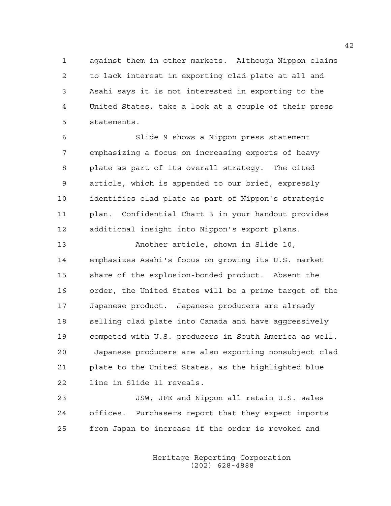1 against them in other markets. Although Nippon claims 2 to lack interest in exporting clad plate at all and 3 Asahi says it is not interested in exporting to the 4 United States, take a look at a couple of their press 5 statements.

6 Slide 9 shows a Nippon press statement 7 emphasizing a focus on increasing exports of heavy 8 plate as part of its overall strategy. The cited 9 article, which is appended to our brief, expressly 10 identifies clad plate as part of Nippon's strategic 11 plan. Confidential Chart 3 in your handout provides 12 additional insight into Nippon's export plans.

13 Another article, shown in Slide 10, 14 emphasizes Asahi's focus on growing its U.S. market 15 share of the explosion-bonded product. Absent the 16 order, the United States will be a prime target of the 17 Japanese product. Japanese producers are already 18 selling clad plate into Canada and have aggressively 19 competed with U.S. producers in South America as well. 20 Japanese producers are also exporting nonsubject clad 21 plate to the United States, as the highlighted blue 22 line in Slide 11 reveals.

23 JSW, JFE and Nippon all retain U.S. sales 24 offices. Purchasers report that they expect imports 25 from Japan to increase if the order is revoked and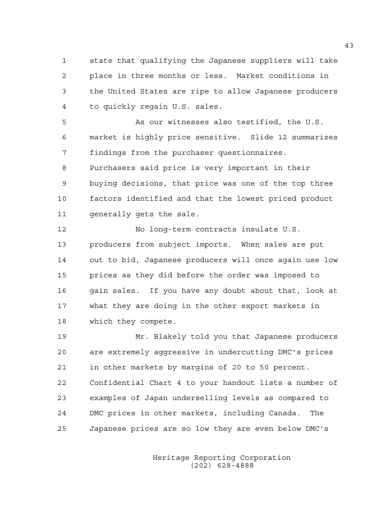1 state that qualifying the Japanese suppliers will take 2 place in three months or less. Market conditions in 3 the United States are ripe to allow Japanese producers 4 to quickly regain U.S. sales.

5 As our witnesses also testified, the U.S. 6 market is highly price sensitive. Slide 12 summarizes 7 findings from the purchaser questionnaires. 8 Purchasers said price is very important in their 9 buying decisions, that price was one of the top three 10 factors identified and that the lowest priced product 11 qenerally gets the sale.

12 No long-term contracts insulate U.S. 13 producers from subject imports. When sales are put 14 out to bid, Japanese producers will once again use low 15 prices as they did before the order was imposed to 16 gain sales. If you have any doubt about that, look at 17 what they are doing in the other export markets in 18 which they compete.

19 Mr. Blakely told you that Japanese producers 20 are extremely aggressive in undercutting DMC's prices 21 in other markets by margins of 20 to 50 percent. 22 Confidential Chart 4 to your handout lists a number of 23 examples of Japan underselling levels as compared to 24 DMC prices in other markets, including Canada. The 25 Japanese prices are so low they are even below DMC's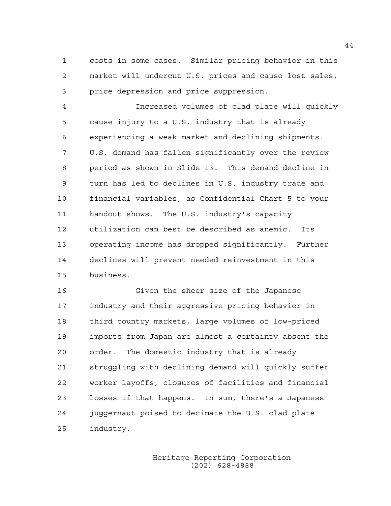1 costs in some cases. Similar pricing behavior in this 2 market will undercut U.S. prices and cause lost sales, 3 price depression and price suppression.

4 Increased volumes of clad plate will quickly 5 cause injury to a U.S. industry that is already 6 experiencing a weak market and declining shipments. 7 U.S. demand has fallen significantly over the review 8 period as shown in Slide 13. This demand decline in 9 turn has led to declines in U.S. industry trade and 10 financial variables, as Confidential Chart 5 to your 11 handout shows. The U.S. industry's capacity 12 utilization can best be described as anemic. Its 13 operating income has dropped significantly. Further 14 declines will prevent needed reinvestment in this 15 business.

16 Given the sheer size of the Japanese 17 industry and their aggressive pricing behavior in 18 third country markets, large volumes of low-priced 19 imports from Japan are almost a certainty absent the 20 order. The domestic industry that is already 21 struggling with declining demand will quickly suffer 22 worker layoffs, closures of facilities and financial 23 losses if that happens. In sum, there's a Japanese 24 juggernaut poised to decimate the U.S. clad plate 25 industry.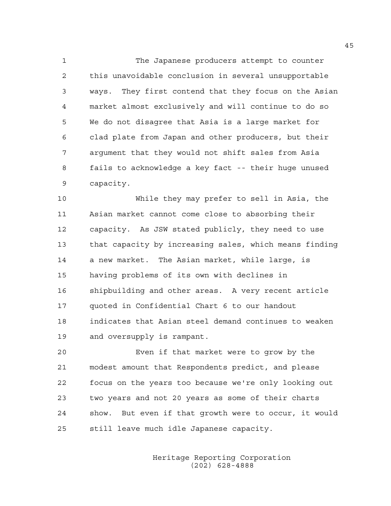1 The Japanese producers attempt to counter 2 this unavoidable conclusion in several unsupportable 3 ways. They first contend that they focus on the Asian 4 market almost exclusively and will continue to do so 5 We do not disagree that Asia is a large market for 6 clad plate from Japan and other producers, but their 7 argument that they would not shift sales from Asia 8 fails to acknowledge a key fact -- their huge unused 9 capacity.

10 While they may prefer to sell in Asia, the 11 Asian market cannot come close to absorbing their 12 capacity. As JSW stated publicly, they need to use 13 that capacity by increasing sales, which means finding 14 a new market. The Asian market, while large, is 15 having problems of its own with declines in 16 shipbuilding and other areas. A very recent article 17 quoted in Confidential Chart 6 to our handout 18 indicates that Asian steel demand continues to weaken 19 and oversupply is rampant.

20 Even if that market were to grow by the 21 modest amount that Respondents predict, and please 22 focus on the years too because we're only looking out 23 two years and not 20 years as some of their charts 24 show. But even if that growth were to occur, it would 25 still leave much idle Japanese capacity.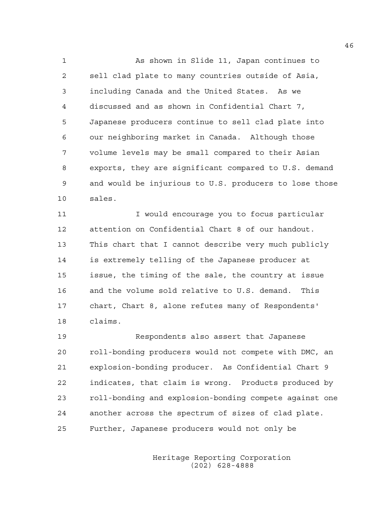1 As shown in Slide 11, Japan continues to 2 sell clad plate to many countries outside of Asia, 3 including Canada and the United States. As we 4 discussed and as shown in Confidential Chart 7, 5 Japanese producers continue to sell clad plate into 6 our neighboring market in Canada. Although those 7 volume levels may be small compared to their Asian 8 exports, they are significant compared to U.S. demand 9 and would be injurious to U.S. producers to lose those 10 sales.

11 I would encourage you to focus particular 12 attention on Confidential Chart 8 of our handout. 13 This chart that I cannot describe very much publicly 14 is extremely telling of the Japanese producer at 15 issue, the timing of the sale, the country at issue 16 and the volume sold relative to U.S. demand. This 17 chart, Chart 8, alone refutes many of Respondents' 18 claims.

19 Respondents also assert that Japanese 20 roll-bonding producers would not compete with DMC, an 21 explosion-bonding producer. As Confidential Chart 9 22 indicates, that claim is wrong. Products produced by 23 roll-bonding and explosion-bonding compete against one 24 another across the spectrum of sizes of clad plate. 25 Further, Japanese producers would not only be

> Heritage Reporting Corporation (202) 628-4888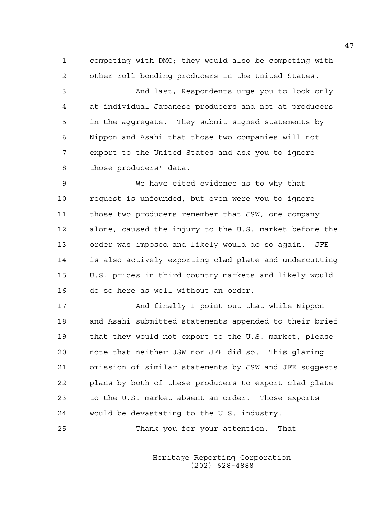1 competing with DMC; they would also be competing with 2 other roll-bonding producers in the United States.

3 And last, Respondents urge you to look only 4 at individual Japanese producers and not at producers 5 in the aggregate. They submit signed statements by 6 Nippon and Asahi that those two companies will not 7 export to the United States and ask you to ignore 8 those producers' data.

9 We have cited evidence as to why that 10 request is unfounded, but even were you to ignore 11 those two producers remember that JSW, one company 12 alone, caused the injury to the U.S. market before the 13 order was imposed and likely would do so again. JFE 14 is also actively exporting clad plate and undercutting 15 U.S. prices in third country markets and likely would 16 do so here as well without an order.

17 And finally I point out that while Nippon 18 and Asahi submitted statements appended to their brief 19 that they would not export to the U.S. market, please 20 note that neither JSW nor JFE did so. This glaring 21 omission of similar statements by JSW and JFE suggests 22 plans by both of these producers to export clad plate 23 to the U.S. market absent an order. Those exports 24 would be devastating to the U.S. industry.

25 Thank you for your attention. That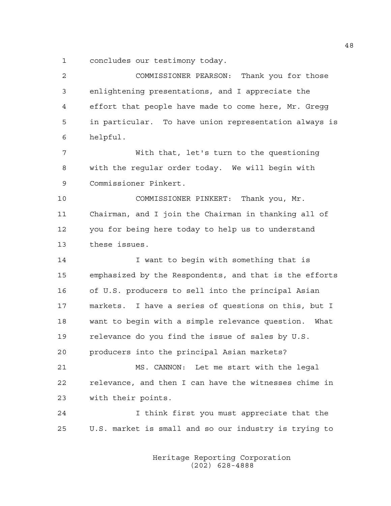1 concludes our testimony today.

| 2              | COMMISSIONER PEARSON: Thank you for those              |
|----------------|--------------------------------------------------------|
| 3              | enlightening presentations, and I appreciate the       |
| $\overline{4}$ | effort that people have made to come here, Mr. Gregg   |
| 5              | in particular. To have union representation always is  |
| 6              | helpful.                                               |
| 7              | With that, let's turn to the questioning               |
| 8              | with the regular order today. We will begin with       |
| 9              | Commissioner Pinkert.                                  |
| 10             | COMMISSIONER PINKERT: Thank you, Mr.                   |
| 11             | Chairman, and I join the Chairman in thanking all of   |
| 12             | you for being here today to help us to understand      |
| 13             | these issues.                                          |
| 14             | I want to begin with something that is                 |
| 15             | emphasized by the Respondents, and that is the efforts |
| 16             | of U.S. producers to sell into the principal Asian     |
| 17             | markets. I have a series of questions on this, but I   |
| 18             | want to begin with a simple relevance question. What   |
| 19             | relevance do you find the issue of sales by U.S.       |
| 20             | producers into the principal Asian markets?            |
| 21             | MS. CANNON: Let me start with the legal                |
| 22             | relevance, and then I can have the witnesses chime in  |
| 23             | with their points.                                     |
| 24             | I think first you must appreciate that the             |
| 25             | U.S. market is small and so our industry is trying to  |
|                |                                                        |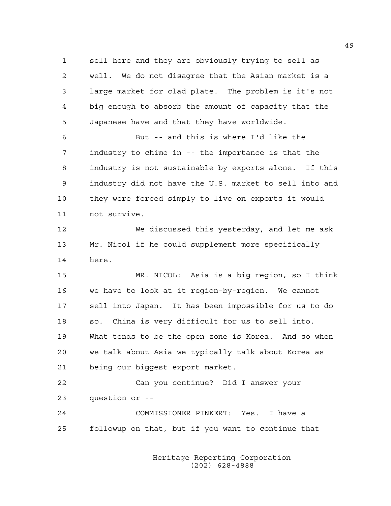1 sell here and they are obviously trying to sell as 2 well. We do not disagree that the Asian market is a 3 large market for clad plate. The problem is it's not 4 big enough to absorb the amount of capacity that the 5 Japanese have and that they have worldwide.

6 But -- and this is where I'd like the 7 industry to chime in -- the importance is that the 8 industry is not sustainable by exports alone. If this 9 industry did not have the U.S. market to sell into and 10 they were forced simply to live on exports it would 11 not survive.

12 We discussed this yesterday, and let me ask 13 Mr. Nicol if he could supplement more specifically 14 here.

15 MR. NICOL: Asia is a big region, so I think 16 we have to look at it region-by-region. We cannot 17 sell into Japan. It has been impossible for us to do 18 so. China is very difficult for us to sell into. 19 What tends to be the open zone is Korea. And so when 20 we talk about Asia we typically talk about Korea as 21 being our biggest export market.

22 Can you continue? Did I answer your 23 question or --

24 COMMISSIONER PINKERT: Yes. I have a 25 followup on that, but if you want to continue that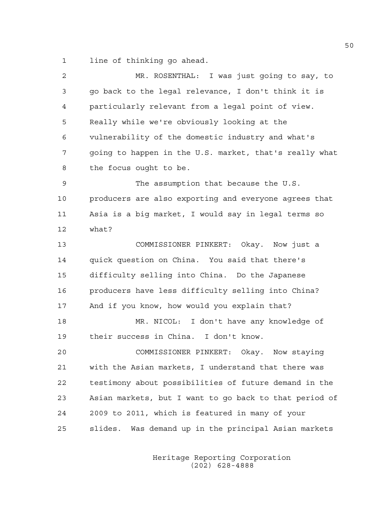1 line of thinking go ahead.

| $\overline{2}$ | MR. ROSENTHAL: I was just going to say, to             |
|----------------|--------------------------------------------------------|
| 3              | go back to the legal relevance, I don't think it is    |
| 4              | particularly relevant from a legal point of view.      |
| 5              | Really while we're obviously looking at the            |
| 6              | vulnerability of the domestic industry and what's      |
| 7              | going to happen in the U.S. market, that's really what |
| 8              | the focus ought to be.                                 |
| 9              | The assumption that because the U.S.                   |
| 10             | producers are also exporting and everyone agrees that  |
| 11             | Asia is a big market, I would say in legal terms so    |
| 12             | what?                                                  |
| 13             | COMMISSIONER PINKERT: Okay. Now just a                 |
| 14             | quick question on China. You said that there's         |
| 15             | difficulty selling into China. Do the Japanese         |
| 16             | producers have less difficulty selling into China?     |
| 17             | And if you know, how would you explain that?           |
| 18             | MR. NICOL: I don't have any knowledge of               |
| 19             | their success in China. I don't know.                  |
| 20             | COMMISSIONER PINKERT: Okay. Now staying                |
| 21             | with the Asian markets, I understand that there was    |
| 22             | testimony about possibilities of future demand in the  |
| 23             | Asian markets, but I want to go back to that period of |
| 24             | 2009 to 2011, which is featured in many of your        |
| 25             | slides. Was demand up in the principal Asian markets   |
|                |                                                        |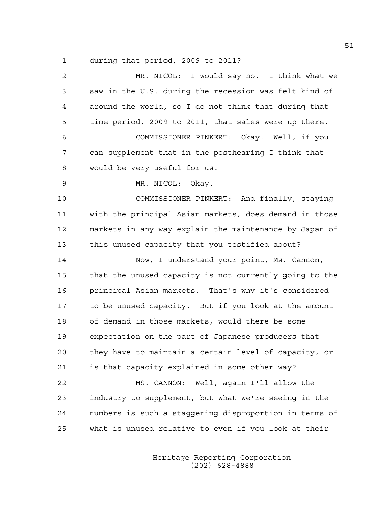1 during that period, 2009 to 2011?

| $\mathbf{2}$ | MR. NICOL: I would say no. I think what we             |
|--------------|--------------------------------------------------------|
| 3            | saw in the U.S. during the recession was felt kind of  |
| 4            | around the world, so I do not think that during that   |
| 5            | time period, 2009 to 2011, that sales were up there.   |
| 6            | COMMISSIONER PINKERT: Okay. Well, if you               |
| 7            | can supplement that in the posthearing I think that    |
| 8            | would be very useful for us.                           |
| 9            | MR. NICOL: Okay.                                       |
| 10           | COMMISSIONER PINKERT: And finally, staying             |
| 11           | with the principal Asian markets, does demand in those |
| 12           | markets in any way explain the maintenance by Japan of |
| 13           | this unused capacity that you testified about?         |
| 14           | Now, I understand your point, Ms. Cannon,              |
| 15           | that the unused capacity is not currently going to the |
|              |                                                        |
| 16           | principal Asian markets. That's why it's considered    |
| 17           | to be unused capacity. But if you look at the amount   |
| 18           | of demand in those markets, would there be some        |
| 19           | expectation on the part of Japanese producers that     |
| 20           | they have to maintain a certain level of capacity, or  |
| 21           | is that capacity explained in some other way?          |
| 22           | MS. CANNON: Well, again I'll allow the                 |
| 23           | industry to supplement, but what we're seeing in the   |
| 24           | numbers is such a staggering disproportion in terms of |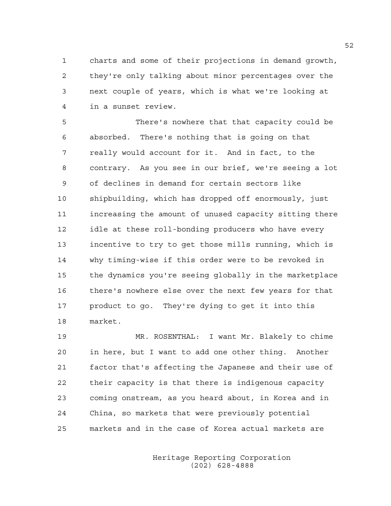1 charts and some of their projections in demand growth, 2 they're only talking about minor percentages over the 3 next couple of years, which is what we're looking at 4 in a sunset review.

5 There's nowhere that that capacity could be 6 absorbed. There's nothing that is going on that 7 really would account for it. And in fact, to the 8 contrary. As you see in our brief, we're seeing a lot 9 of declines in demand for certain sectors like 10 shipbuilding, which has dropped off enormously, just 11 increasing the amount of unused capacity sitting there 12 idle at these roll-bonding producers who have every 13 incentive to try to get those mills running, which is 14 why timing-wise if this order were to be revoked in 15 the dynamics you're seeing globally in the marketplace 16 there's nowhere else over the next few years for that 17 product to go. They're dying to get it into this 18 market.

19 MR. ROSENTHAL: I want Mr. Blakely to chime 20 in here, but I want to add one other thing. Another 21 factor that's affecting the Japanese and their use of 22 their capacity is that there is indigenous capacity 23 coming onstream, as you heard about, in Korea and in 24 China, so markets that were previously potential 25 markets and in the case of Korea actual markets are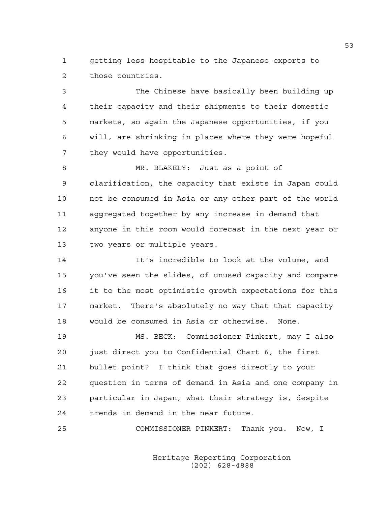1 getting less hospitable to the Japanese exports to 2 those countries.

3 The Chinese have basically been building up 4 their capacity and their shipments to their domestic 5 markets, so again the Japanese opportunities, if you 6 will, are shrinking in places where they were hopeful 7 they would have opportunities.

8 MR. BLAKELY: Just as a point of 9 clarification, the capacity that exists in Japan could 10 not be consumed in Asia or any other part of the world 11 aggregated together by any increase in demand that 12 anyone in this room would forecast in the next year or 13 two years or multiple years.

14 It's incredible to look at the volume, and 15 you've seen the slides, of unused capacity and compare 16 it to the most optimistic growth expectations for this 17 market. There's absolutely no way that that capacity 18 would be consumed in Asia or otherwise. None.

19 MS. BECK: Commissioner Pinkert, may I also 20 just direct you to Confidential Chart 6, the first 21 bullet point? I think that goes directly to your 22 question in terms of demand in Asia and one company in 23 particular in Japan, what their strategy is, despite 24 trends in demand in the near future.

25 COMMISSIONER PINKERT: Thank you. Now, I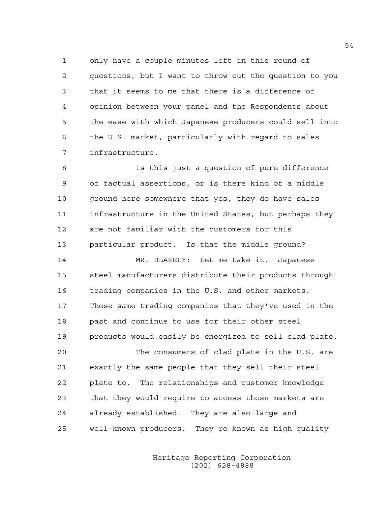1 only have a couple minutes left in this round of 2 questions, but I want to throw out the question to you 3 that it seems to me that there is a difference of 4 opinion between your panel and the Respondents about 5 the ease with which Japanese producers could sell into 6 the U.S. market, particularly with regard to sales 7 infrastructure.

8 Is this just a question of pure difference 9 of factual assertions, or is there kind of a middle 10 ground here somewhere that yes, they do have sales 11 infrastructure in the United States, but perhaps they 12 are not familiar with the customers for this 13 particular product. Is that the middle ground?

14 MR. BLAKELY: Let me take it. Japanese 15 steel manufacturers distribute their products through 16 trading companies in the U.S. and other markets. 17 These same trading companies that they've used in the 18 past and continue to use for their other steel 19 products would easily be energized to sell clad plate. 20 The consumers of clad plate in the U.S. are 21 exactly the same people that they sell their steel 22 plate to. The relationships and customer knowledge 23 that they would require to access those markets are

25 well-known producers. They're known as high quality

24 already established. They are also large and

 Heritage Reporting Corporation (202) 628-4888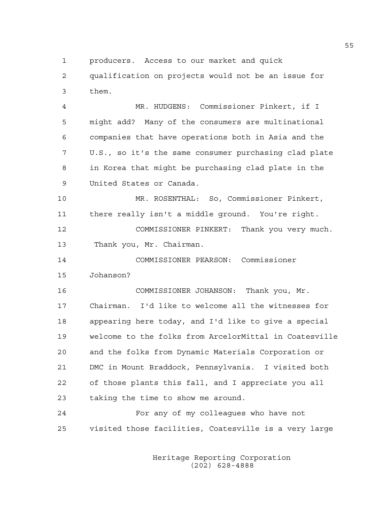1 producers. Access to our market and quick

2 qualification on projects would not be an issue for 3 them.

4 MR. HUDGENS: Commissioner Pinkert, if I 5 might add? Many of the consumers are multinational 6 companies that have operations both in Asia and the 7 U.S., so it's the same consumer purchasing clad plate 8 in Korea that might be purchasing clad plate in the 9 United States or Canada.

10 MR. ROSENTHAL: So, Commissioner Pinkert, 11 there really isn't a middle ground. You're right. 12 COMMISSIONER PINKERT: Thank you very much. 13 Thank you, Mr. Chairman.

14 COMMISSIONER PEARSON: Commissioner 15 Johanson?

16 COMMISSIONER JOHANSON: Thank you, Mr. 17 Chairman. I'd like to welcome all the witnesses for 18 appearing here today, and I'd like to give a special 19 welcome to the folks from ArcelorMittal in Coatesville 20 and the folks from Dynamic Materials Corporation or 21 DMC in Mount Braddock, Pennsylvania. I visited both 22 of those plants this fall, and I appreciate you all 23 taking the time to show me around.

24 For any of my colleagues who have not 25 visited those facilities, Coatesville is a very large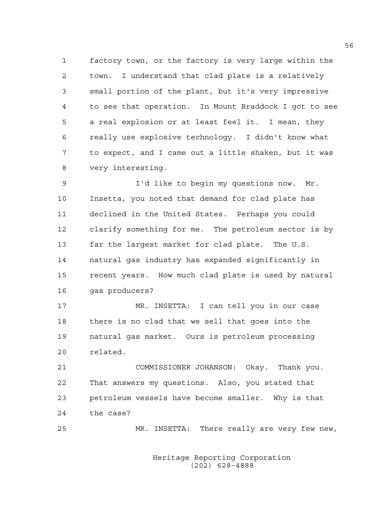1 factory town, or the factory is very large within the 2 town. I understand that clad plate is a relatively 3 small portion of the plant, but it's very impressive 4 to see that operation. In Mount Braddock I got to see 5 a real explosion or at least feel it. I mean, they 6 really use explosive technology. I didn't know what 7 to expect, and I came out a little shaken, but it was 8 very interesting.

9 I'd like to begin my questions now. Mr. 10 Insetta, you noted that demand for clad plate has 11 declined in the United States. Perhaps you could 12 clarify something for me. The petroleum sector is by 13 far the largest market for clad plate. The U.S. 14 natural gas industry has expanded significantly in 15 recent years. How much clad plate is used by natural 16 gas producers?

17 MR. INSETTA: I can tell you in our case 18 there is no clad that we sell that goes into the 19 natural gas market. Ours is petroleum processing 20 related.

21 COMMISSIONER JOHANSON: Okay. Thank you. 22 That answers my questions. Also, you stated that 23 petroleum vessels have become smaller. Why is that 24 the case?

25 MR. INSETTA: There really are very few new,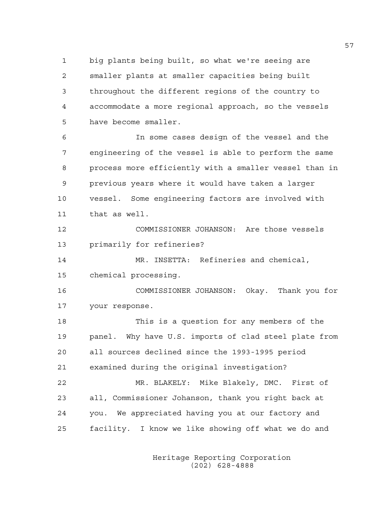1 big plants being built, so what we're seeing are 2 smaller plants at smaller capacities being built 3 throughout the different regions of the country to 4 accommodate a more regional approach, so the vessels 5 have become smaller.

6 In some cases design of the vessel and the 7 engineering of the vessel is able to perform the same 8 process more efficiently with a smaller vessel than in 9 previous years where it would have taken a larger 10 vessel. Some engineering factors are involved with 11 that as well.

12 COMMISSIONER JOHANSON: Are those vessels 13 primarily for refineries?

14 MR. INSETTA: Refineries and chemical, 15 chemical processing.

16 COMMISSIONER JOHANSON: Okay. Thank you for 17 your response.

18 This is a question for any members of the 19 panel. Why have U.S. imports of clad steel plate from 20 all sources declined since the 1993-1995 period 21 examined during the original investigation? 22 MR. BLAKELY: Mike Blakely, DMC. First of

23 all, Commissioner Johanson, thank you right back at 24 you. We appreciated having you at our factory and 25 facility. I know we like showing off what we do and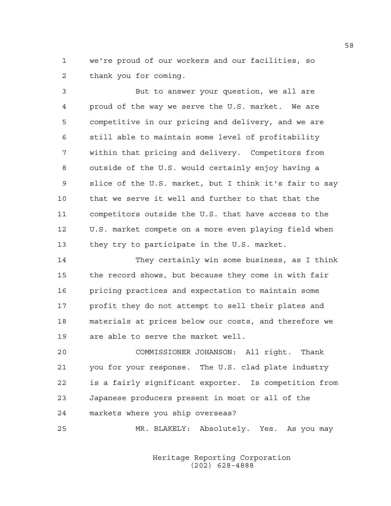1 we're proud of our workers and our facilities, so 2 thank you for coming.

3 But to answer your question, we all are 4 proud of the way we serve the U.S. market. We are 5 competitive in our pricing and delivery, and we are 6 still able to maintain some level of profitability 7 within that pricing and delivery. Competitors from 8 outside of the U.S. would certainly enjoy having a 9 slice of the U.S. market, but I think it's fair to say 10 that we serve it well and further to that that the 11 competitors outside the U.S. that have access to the 12 U.S. market compete on a more even playing field when 13 they try to participate in the U.S. market.

14 They certainly win some business, as I think 15 the record shows, but because they come in with fair 16 pricing practices and expectation to maintain some 17 profit they do not attempt to sell their plates and 18 materials at prices below our costs, and therefore we 19 are able to serve the market well.

20 COMMISSIONER JOHANSON: All right. Thank 21 you for your response. The U.S. clad plate industry 22 is a fairly significant exporter. Is competition from 23 Japanese producers present in most or all of the 24 markets where you ship overseas?

25 MR. BLAKELY: Absolutely. Yes. As you may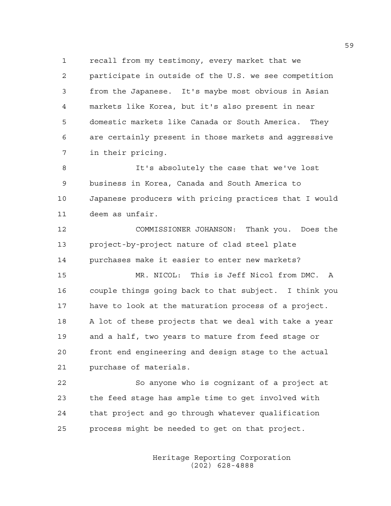1 recall from my testimony, every market that we 2 participate in outside of the U.S. we see competition 3 from the Japanese. It's maybe most obvious in Asian 4 markets like Korea, but it's also present in near 5 domestic markets like Canada or South America. They 6 are certainly present in those markets and aggressive 7 in their pricing.

8 It's absolutely the case that we've lost 9 business in Korea, Canada and South America to 10 Japanese producers with pricing practices that I would 11 deem as unfair.

12 COMMISSIONER JOHANSON: Thank you. Does the 13 project-by-project nature of clad steel plate 14 purchases make it easier to enter new markets?

15 MR. NICOL: This is Jeff Nicol from DMC. A 16 couple things going back to that subject. I think you 17 have to look at the maturation process of a project. 18 A lot of these projects that we deal with take a year 19 and a half, two years to mature from feed stage or 20 front end engineering and design stage to the actual 21 purchase of materials.

22 So anyone who is cognizant of a project at 23 the feed stage has ample time to get involved with 24 that project and go through whatever qualification 25 process might be needed to get on that project.

> Heritage Reporting Corporation (202) 628-4888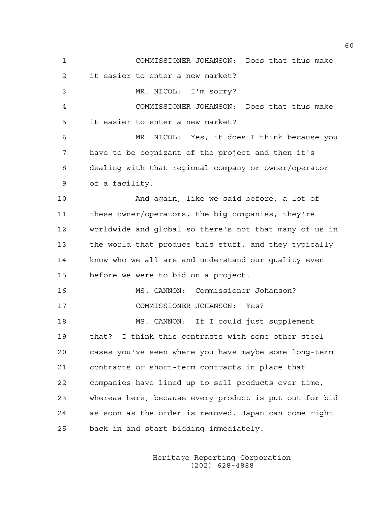1 COMMISSIONER JOHANSON: Does that thus make 2 it easier to enter a new market? 3 MR. NICOL: I'm sorry? 4 COMMISSIONER JOHANSON: Does that thus make 5 it easier to enter a new market? 6 MR. NICOL: Yes, it does I think because you 7 have to be cognizant of the project and then it's 8 dealing with that regional company or owner/operator 9 of a facility. 10 And again, like we said before, a lot of 11 these owner/operators, the big companies, they're 12 worldwide and global so there's not that many of us in 13 the world that produce this stuff, and they typically 14 know who we all are and understand our quality even 15 before we were to bid on a project. 16 MS. CANNON: Commissioner Johanson? 17 COMMISSIONER JOHANSON: Yes? 18 MS. CANNON: If I could just supplement 19 that? I think this contrasts with some other steel 20 cases you've seen where you have maybe some long-term 21 contracts or short-term contracts in place that 22 companies have lined up to sell products over time, 23 whereas here, because every product is put out for bid 24 as soon as the order is removed, Japan can come right 25 back in and start bidding immediately.

> Heritage Reporting Corporation (202) 628-4888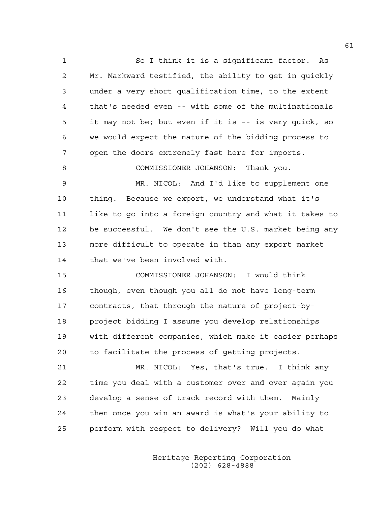1 So I think it is a significant factor. As 2 Mr. Markward testified, the ability to get in quickly 3 under a very short qualification time, to the extent 4 that's needed even -- with some of the multinationals 5 it may not be; but even if it is -- is very quick, so 6 we would expect the nature of the bidding process to 7 open the doors extremely fast here for imports. 8 COMMISSIONER JOHANSON: Thank you. 9 MR. NICOL: And I'd like to supplement one 10 thing. Because we export, we understand what it's 11 like to go into a foreign country and what it takes to 12 be successful. We don't see the U.S. market being any 13 more difficult to operate in than any export market 14 that we've been involved with. 15 COMMISSIONER JOHANSON: I would think

16 though, even though you all do not have long-term 17 contracts, that through the nature of project-by-18 project bidding I assume you develop relationships 19 with different companies, which make it easier perhaps 20 to facilitate the process of getting projects.

21 MR. NICOL: Yes, that's true. I think any 22 time you deal with a customer over and over again you 23 develop a sense of track record with them. Mainly 24 then once you win an award is what's your ability to 25 perform with respect to delivery? Will you do what

> Heritage Reporting Corporation (202) 628-4888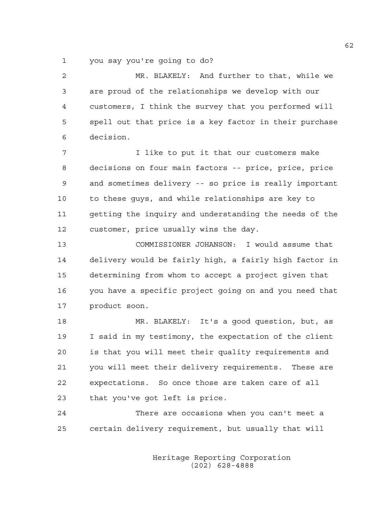1 you say you're going to do?

2 MR. BLAKELY: And further to that, while we 3 are proud of the relationships we develop with our 4 customers, I think the survey that you performed will 5 spell out that price is a key factor in their purchase 6 decision.

7 I like to put it that our customers make 8 decisions on four main factors -- price, price, price 9 and sometimes delivery -- so price is really important 10 to these guys, and while relationships are key to 11 getting the inquiry and understanding the needs of the 12 customer, price usually wins the day.

13 COMMISSIONER JOHANSON: I would assume that 14 delivery would be fairly high, a fairly high factor in 15 determining from whom to accept a project given that 16 you have a specific project going on and you need that 17 product soon.

18 MR. BLAKELY: It's a good question, but, as 19 I said in my testimony, the expectation of the client 20 is that you will meet their quality requirements and 21 you will meet their delivery requirements. These are 22 expectations. So once those are taken care of all 23 that you've got left is price.

24 There are occasions when you can't meet a 25 certain delivery requirement, but usually that will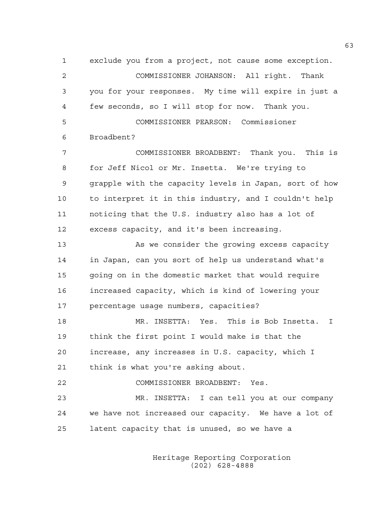1 exclude you from a project, not cause some exception. 2 COMMISSIONER JOHANSON: All right. Thank 3 you for your responses. My time will expire in just a 4 few seconds, so I will stop for now. Thank you. 5 COMMISSIONER PEARSON: Commissioner 6 Broadbent? 7 COMMISSIONER BROADBENT: Thank you. This is 8 for Jeff Nicol or Mr. Insetta. We're trying to 9 grapple with the capacity levels in Japan, sort of how 10 to interpret it in this industry, and I couldn't help 11 noticing that the U.S. industry also has a lot of 12 excess capacity, and it's been increasing. 13 As we consider the growing excess capacity 14 in Japan, can you sort of help us understand what's 15 going on in the domestic market that would require 16 increased capacity, which is kind of lowering your 17 percentage usage numbers, capacities? 18 MR. INSETTA: Yes. This is Bob Insetta. I 19 think the first point I would make is that the 20 increase, any increases in U.S. capacity, which I 21 think is what you're asking about. 22 COMMISSIONER BROADBENT: Yes. 23 MR. INSETTA: I can tell you at our company 24 we have not increased our capacity. We have a lot of 25 latent capacity that is unused, so we have a

> Heritage Reporting Corporation (202) 628-4888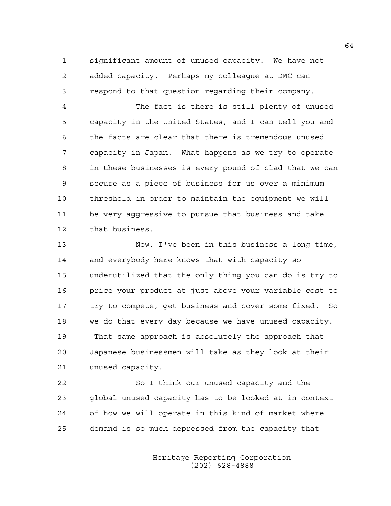1 significant amount of unused capacity. We have not 2 added capacity. Perhaps my colleague at DMC can 3 respond to that question regarding their company.

4 The fact is there is still plenty of unused 5 capacity in the United States, and I can tell you and 6 the facts are clear that there is tremendous unused 7 capacity in Japan. What happens as we try to operate 8 in these businesses is every pound of clad that we can 9 secure as a piece of business for us over a minimum 10 threshold in order to maintain the equipment we will 11 be very aggressive to pursue that business and take 12 that business.

13 Now, I've been in this business a long time, 14 and everybody here knows that with capacity so 15 underutilized that the only thing you can do is try to 16 price your product at just above your variable cost to 17 try to compete, get business and cover some fixed. So 18 we do that every day because we have unused capacity. 19 That same approach is absolutely the approach that 20 Japanese businessmen will take as they look at their 21 unused capacity.

22 So I think our unused capacity and the 23 global unused capacity has to be looked at in context 24 of how we will operate in this kind of market where 25 demand is so much depressed from the capacity that

> Heritage Reporting Corporation (202) 628-4888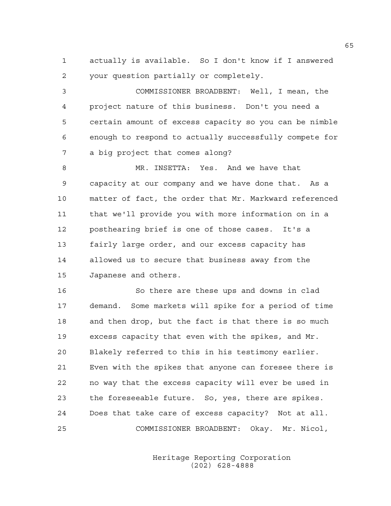1 actually is available. So I don't know if I answered 2 your question partially or completely.

3 COMMISSIONER BROADBENT: Well, I mean, the 4 project nature of this business. Don't you need a 5 certain amount of excess capacity so you can be nimble 6 enough to respond to actually successfully compete for 7 a big project that comes along?

8 MR. INSETTA: Yes. And we have that 9 capacity at our company and we have done that. As a 10 matter of fact, the order that Mr. Markward referenced 11 that we'll provide you with more information on in a 12 posthearing brief is one of those cases. It's a 13 fairly large order, and our excess capacity has 14 allowed us to secure that business away from the 15 Japanese and others.

16 So there are these ups and downs in clad 17 demand. Some markets will spike for a period of time 18 and then drop, but the fact is that there is so much 19 excess capacity that even with the spikes, and Mr. 20 Blakely referred to this in his testimony earlier. 21 Even with the spikes that anyone can foresee there is 22 no way that the excess capacity will ever be used in 23 the foreseeable future. So, yes, there are spikes. 24 Does that take care of excess capacity? Not at all. 25 COMMISSIONER BROADBENT: Okay. Mr. Nicol,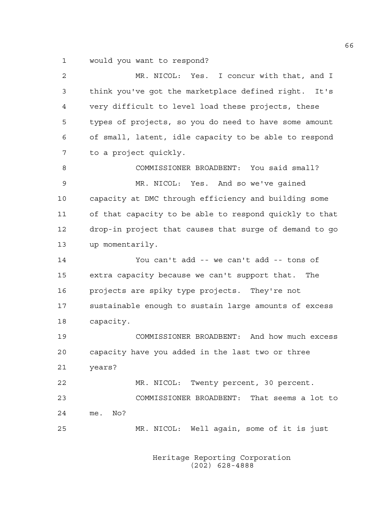1 would you want to respond?

| 2  | MR. NICOL: Yes. I concur with that, and I               |
|----|---------------------------------------------------------|
| 3  | think you've got the marketplace defined right.<br>It's |
| 4  | very difficult to level load these projects, these      |
| 5  | types of projects, so you do need to have some amount   |
| 6  | of small, latent, idle capacity to be able to respond   |
| 7  | to a project quickly.                                   |
| 8  | COMMISSIONER BROADBENT: You said small?                 |
| 9  | MR. NICOL: Yes. And so we've gained                     |
| 10 | capacity at DMC through efficiency and building some    |
| 11 | of that capacity to be able to respond quickly to that  |
| 12 | drop-in project that causes that surge of demand to go  |
| 13 | up momentarily.                                         |
| 14 | You can't add -- we can't add -- tons of                |
| 15 | extra capacity because we can't support that. The       |
| 16 | projects are spiky type projects. They're not           |
| 17 | sustainable enough to sustain large amounts of excess   |
| 18 | capacity.                                               |
| 19 | COMMISSIONER BROADBENT: And how much excess             |
| 20 | capacity have you added in the last two or three        |
| 21 | years?                                                  |
| 22 | MR. NICOL: Twenty percent, 30 percent.                  |
| 23 | COMMISSIONER BROADBENT: That seems a lot to             |
| 24 | me. No?                                                 |
| 25 | MR. NICOL: Well again, some of it is just               |
|    |                                                         |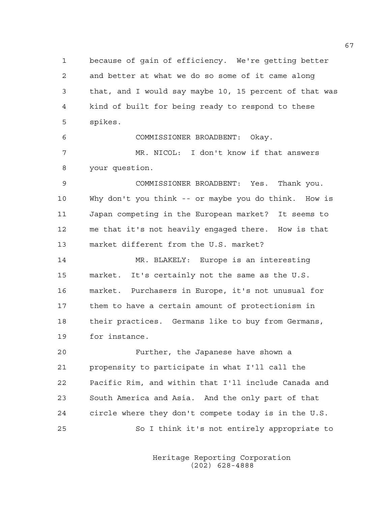1 because of gain of efficiency. We're getting better 2 and better at what we do so some of it came along 3 that, and I would say maybe 10, 15 percent of that was 4 kind of built for being ready to respond to these 5 spikes.

6 COMMISSIONER BROADBENT: Okay.

7 MR. NICOL: I don't know if that answers 8 your question.

9 COMMISSIONER BROADBENT: Yes. Thank you. 10 Why don't you think -- or maybe you do think. How is 11 Japan competing in the European market? It seems to 12 me that it's not heavily engaged there. How is that 13 market different from the U.S. market?

14 MR. BLAKELY: Europe is an interesting 15 market. It's certainly not the same as the U.S. 16 market. Purchasers in Europe, it's not unusual for 17 them to have a certain amount of protectionism in 18 their practices. Germans like to buy from Germans, 19 for instance.

20 Further, the Japanese have shown a 21 propensity to participate in what I'll call the 22 Pacific Rim, and within that I'll include Canada and 23 South America and Asia. And the only part of that 24 circle where they don't compete today is in the U.S. 25 So I think it's not entirely appropriate to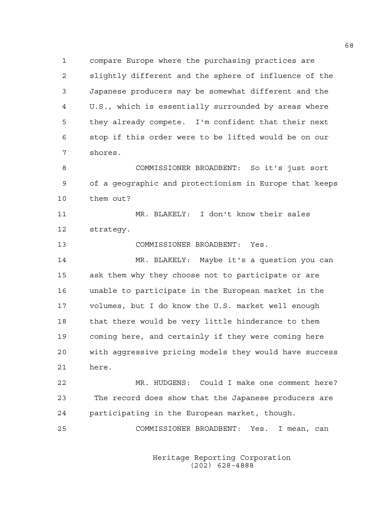1 compare Europe where the purchasing practices are 2 slightly different and the sphere of influence of the 3 Japanese producers may be somewhat different and the 4 U.S., which is essentially surrounded by areas where 5 they already compete. I'm confident that their next 6 stop if this order were to be lifted would be on our 7 shores.

8 COMMISSIONER BROADBENT: So it's just sort 9 of a geographic and protectionism in Europe that keeps 10 them out?

11 MR. BLAKELY: I don't know their sales 12 strategy.

13 COMMISSIONER BROADBENT: Yes.

14 MR. BLAKELY: Maybe it's a question you can 15 ask them why they choose not to participate or are 16 unable to participate in the European market in the 17 volumes, but I do know the U.S. market well enough 18 that there would be very little hinderance to them 19 coming here, and certainly if they were coming here 20 with aggressive pricing models they would have success 21 here.

22 MR. HUDGENS: Could I make one comment here? 23 The record does show that the Japanese producers are 24 participating in the European market, though.

25 COMMISSIONER BROADBENT: Yes. I mean, can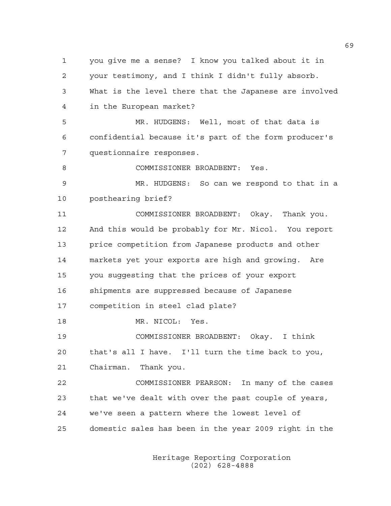1 you give me a sense? I know you talked about it in 2 your testimony, and I think I didn't fully absorb. 3 What is the level there that the Japanese are involved 4 in the European market? 5 MR. HUDGENS: Well, most of that data is 6 confidential because it's part of the form producer's 7 questionnaire responses. 8 COMMISSIONER BROADBENT: Yes. 9 MR. HUDGENS: So can we respond to that in a 10 posthearing brief? 11 COMMISSIONER BROADBENT: Okay. Thank you. 12 And this would be probably for Mr. Nicol. You report 13 price competition from Japanese products and other 14 markets yet your exports are high and growing. Are 15 you suggesting that the prices of your export 16 shipments are suppressed because of Japanese 17 competition in steel clad plate? 18 MR. NICOL: Yes. 19 COMMISSIONER BROADBENT: Okay. I think 20 that's all I have. I'll turn the time back to you, 21 Chairman. Thank you. 22 COMMISSIONER PEARSON: In many of the cases 23 that we've dealt with over the past couple of years, 24 we've seen a pattern where the lowest level of 25 domestic sales has been in the year 2009 right in the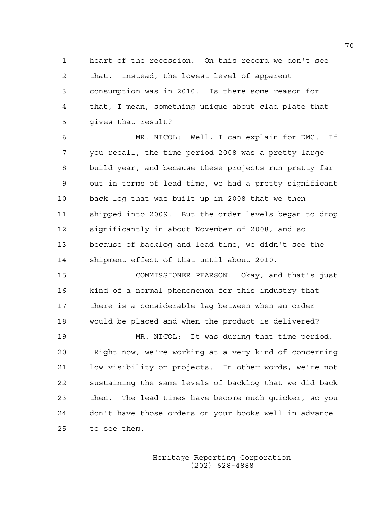1 heart of the recession. On this record we don't see 2 that. Instead, the lowest level of apparent 3 consumption was in 2010. Is there some reason for 4 that, I mean, something unique about clad plate that 5 gives that result?

6 MR. NICOL: Well, I can explain for DMC. If 7 you recall, the time period 2008 was a pretty large 8 build year, and because these projects run pretty far 9 out in terms of lead time, we had a pretty significant 10 back log that was built up in 2008 that we then 11 shipped into 2009. But the order levels began to drop 12 significantly in about November of 2008, and so 13 because of backlog and lead time, we didn't see the 14 shipment effect of that until about 2010.

15 COMMISSIONER PEARSON: Okay, and that's just 16 kind of a normal phenomenon for this industry that 17 there is a considerable lag between when an order 18 would be placed and when the product is delivered?

19 MR. NICOL: It was during that time period. 20 Right now, we're working at a very kind of concerning 21 low visibility on projects. In other words, we're not 22 sustaining the same levels of backlog that we did back 23 then. The lead times have become much quicker, so you 24 don't have those orders on your books well in advance 25 to see them.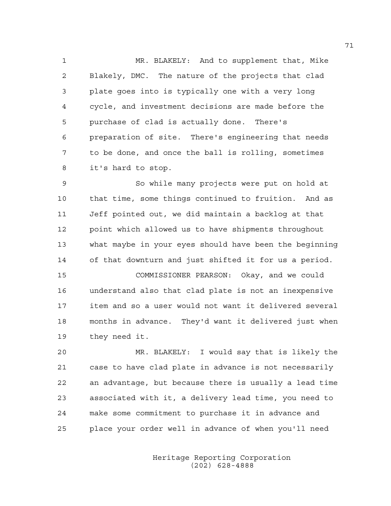1 MR. BLAKELY: And to supplement that, Mike 2 Blakely, DMC. The nature of the projects that clad 3 plate goes into is typically one with a very long 4 cycle, and investment decisions are made before the 5 purchase of clad is actually done. There's 6 preparation of site. There's engineering that needs 7 to be done, and once the ball is rolling, sometimes 8 it's hard to stop.

9 So while many projects were put on hold at 10 that time, some things continued to fruition. And as 11 Jeff pointed out, we did maintain a backlog at that 12 point which allowed us to have shipments throughout 13 what maybe in your eyes should have been the beginning 14 of that downturn and just shifted it for us a period.

15 COMMISSIONER PEARSON: Okay, and we could 16 understand also that clad plate is not an inexpensive 17 item and so a user would not want it delivered several 18 months in advance. They'd want it delivered just when 19 they need it.

20 MR. BLAKELY: I would say that is likely the 21 case to have clad plate in advance is not necessarily 22 an advantage, but because there is usually a lead time 23 associated with it, a delivery lead time, you need to 24 make some commitment to purchase it in advance and 25 place your order well in advance of when you'll need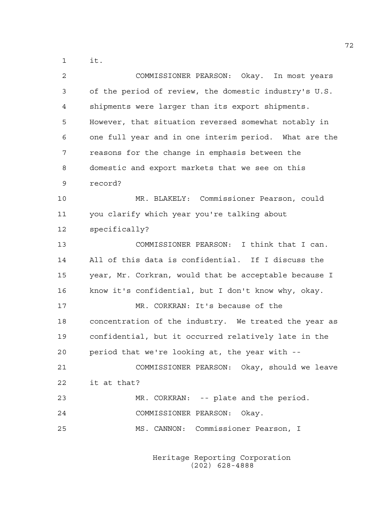1 it.

| 2  | COMMISSIONER PEARSON: Okay. In most years             |
|----|-------------------------------------------------------|
| 3  | of the period of review, the domestic industry's U.S. |
| 4  | shipments were larger than its export shipments.      |
| 5  | However, that situation reversed somewhat notably in  |
| 6  | one full year and in one interim period. What are the |
| 7  | reasons for the change in emphasis between the        |
| 8  | domestic and export markets that we see on this       |
| 9  | record?                                               |
| 10 | MR. BLAKELY: Commissioner Pearson, could              |
| 11 | you clarify which year you're talking about           |
| 12 | specifically?                                         |
| 13 | COMMISSIONER PEARSON: I think that I can.             |
| 14 | All of this data is confidential. If I discuss the    |
| 15 | year, Mr. Corkran, would that be acceptable because I |
| 16 | know it's confidential, but I don't know why, okay.   |
| 17 | MR. CORKRAN: It's because of the                      |
| 18 | concentration of the industry. We treated the year as |
| 19 | confidential, but it occurred relatively late in the  |
| 20 | period that we're looking at, the year with --        |
| 21 | COMMISSIONER PEARSON: Okay, should we leave           |
| 22 | it at that?                                           |
| 23 | MR. CORKRAN: -- plate and the period.                 |
| 24 | COMMISSIONER PEARSON: Okay.                           |
| 25 | MS. CANNON: Commissioner Pearson, I                   |
|    |                                                       |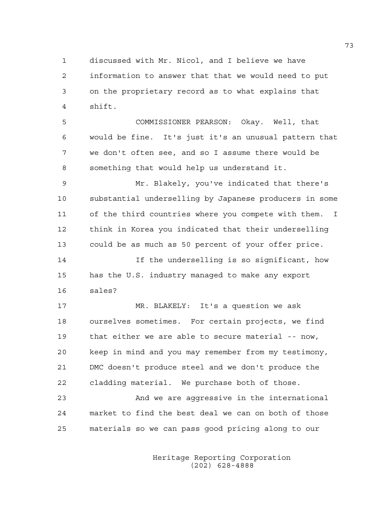1 discussed with Mr. Nicol, and I believe we have 2 information to answer that that we would need to put 3 on the proprietary record as to what explains that 4 shift.

5 COMMISSIONER PEARSON: Okay. Well, that 6 would be fine. It's just it's an unusual pattern that 7 we don't often see, and so I assume there would be 8 something that would help us understand it.

9 Mr. Blakely, you've indicated that there's 10 substantial underselling by Japanese producers in some 11 of the third countries where you compete with them. I 12 think in Korea you indicated that their underselling 13 could be as much as 50 percent of your offer price.

14 If the underselling is so significant, how 15 has the U.S. industry managed to make any export 16 sales?

17 MR. BLAKELY: It's a question we ask 18 ourselves sometimes. For certain projects, we find 19 that either we are able to secure material -- now, 20 keep in mind and you may remember from my testimony, 21 DMC doesn't produce steel and we don't produce the 22 cladding material. We purchase both of those.

23 And we are aggressive in the international 24 market to find the best deal we can on both of those 25 materials so we can pass good pricing along to our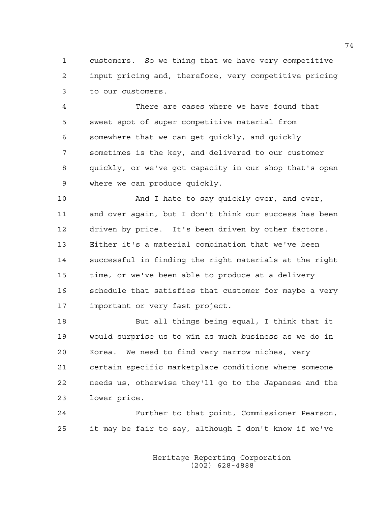1 customers. So we thing that we have very competitive 2 input pricing and, therefore, very competitive pricing 3 to our customers.

4 There are cases where we have found that 5 sweet spot of super competitive material from 6 somewhere that we can get quickly, and quickly 7 sometimes is the key, and delivered to our customer 8 quickly, or we've got capacity in our shop that's open 9 where we can produce quickly.

10 And I hate to say quickly over, and over, 11 and over again, but I don't think our success has been 12 driven by price. It's been driven by other factors. 13 Either it's a material combination that we've been 14 successful in finding the right materials at the right 15 time, or we've been able to produce at a delivery 16 schedule that satisfies that customer for maybe a very 17 important or very fast project.

18 But all things being equal, I think that it 19 would surprise us to win as much business as we do in 20 Korea. We need to find very narrow niches, very 21 certain specific marketplace conditions where someone 22 needs us, otherwise they'll go to the Japanese and the 23 lower price.

24 Further to that point, Commissioner Pearson, 25 it may be fair to say, although I don't know if we've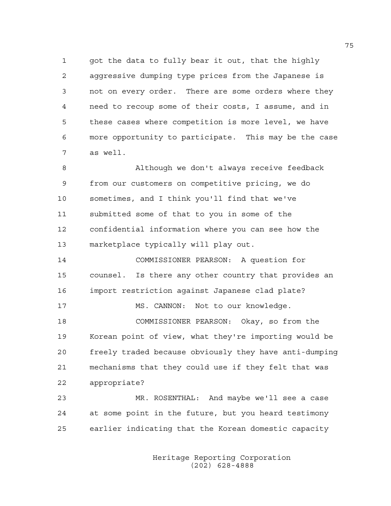1 got the data to fully bear it out, that the highly 2 aggressive dumping type prices from the Japanese is 3 not on every order. There are some orders where they 4 need to recoup some of their costs, I assume, and in 5 these cases where competition is more level, we have 6 more opportunity to participate. This may be the case 7 as well.

8 Although we don't always receive feedback 9 from our customers on competitive pricing, we do 10 sometimes, and I think you'll find that we've 11 submitted some of that to you in some of the 12 confidential information where you can see how the 13 marketplace typically will play out.

14 COMMISSIONER PEARSON: A question for 15 counsel. Is there any other country that provides an 16 import restriction against Japanese clad plate? 17 MS. CANNON: Not to our knowledge. 18 COMMISSIONER PEARSON: Okay, so from the 19 Korean point of view, what they're importing would be 20 freely traded because obviously they have anti-dumping 21 mechanisms that they could use if they felt that was 22 appropriate?

23 MR. ROSENTHAL: And maybe we'll see a case 24 at some point in the future, but you heard testimony 25 earlier indicating that the Korean domestic capacity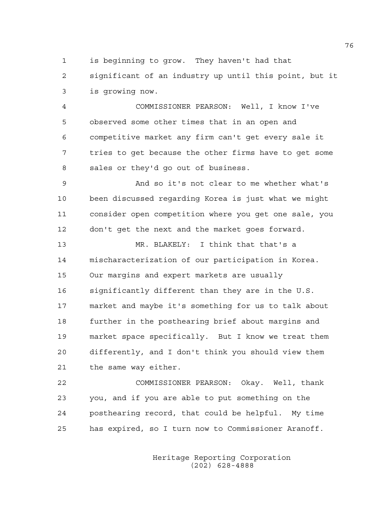1 is beginning to grow. They haven't had that

2 significant of an industry up until this point, but it 3 is growing now.

4 COMMISSIONER PEARSON: Well, I know I've 5 observed some other times that in an open and 6 competitive market any firm can't get every sale it 7 tries to get because the other firms have to get some 8 sales or they'd go out of business.

9 And so it's not clear to me whether what's 10 been discussed regarding Korea is just what we might 11 consider open competition where you get one sale, you 12 don't get the next and the market goes forward.

13 MR. BLAKELY: I think that that's a 14 mischaracterization of our participation in Korea. 15 Our margins and expert markets are usually 16 significantly different than they are in the U.S. 17 market and maybe it's something for us to talk about 18 further in the posthearing brief about margins and 19 market space specifically. But I know we treat them 20 differently, and I don't think you should view them 21 the same way either.

22 COMMISSIONER PEARSON: Okay. Well, thank 23 you, and if you are able to put something on the 24 posthearing record, that could be helpful. My time 25 has expired, so I turn now to Commissioner Aranoff.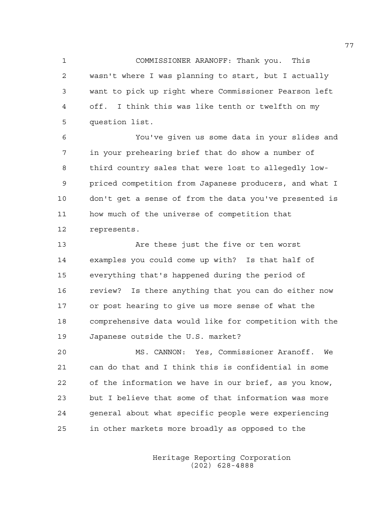1 COMMISSIONER ARANOFF: Thank you. This 2 wasn't where I was planning to start, but I actually 3 want to pick up right where Commissioner Pearson left 4 off. I think this was like tenth or twelfth on my 5 question list.

6 You've given us some data in your slides and 7 in your prehearing brief that do show a number of 8 third country sales that were lost to allegedly low-9 priced competition from Japanese producers, and what I 10 don't get a sense of from the data you've presented is 11 how much of the universe of competition that 12 represents.

13 Are these just the five or ten worst 14 examples you could come up with? Is that half of 15 everything that's happened during the period of 16 review? Is there anything that you can do either now 17 or post hearing to give us more sense of what the 18 comprehensive data would like for competition with the 19 Japanese outside the U.S. market?

20 MS. CANNON: Yes, Commissioner Aranoff. We 21 can do that and I think this is confidential in some 22 of the information we have in our brief, as you know, 23 but I believe that some of that information was more 24 general about what specific people were experiencing 25 in other markets more broadly as opposed to the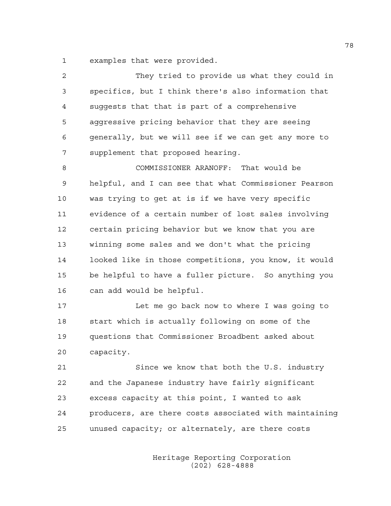1 examples that were provided.

| $\overline{c}$ | They tried to provide us what they could in            |
|----------------|--------------------------------------------------------|
| 3              | specifics, but I think there's also information that   |
| 4              | suggests that that is part of a comprehensive          |
| 5              | aggressive pricing behavior that they are seeing       |
| 6              | generally, but we will see if we can get any more to   |
| 7              | supplement that proposed hearing.                      |
| 8              | COMMISSIONER ARANOFF: That would be                    |
| 9              | helpful, and I can see that what Commissioner Pearson  |
| 10             | was trying to get at is if we have very specific       |
| 11             | evidence of a certain number of lost sales involving   |
| 12             | certain pricing behavior but we know that you are      |
| 13             | winning some sales and we don't what the pricing       |
| 14             | looked like in those competitions, you know, it would  |
| 15             | be helpful to have a fuller picture. So anything you   |
| 16             | can add would be helpful.                              |
| 17             | Let me go back now to where I was going to             |
| 18             | start which is actually following on some of the       |
| 19             | questions that Commissioner Broadbent asked about      |
| 20             | capacity.                                              |
| 21             | Since we know that both the U.S. industry              |
| 22             | and the Japanese industry have fairly significant      |
| 23             | excess capacity at this point, I wanted to ask         |
| 24             | producers, are there costs associated with maintaining |
| 25             | unused capacity; or alternately, are there costs       |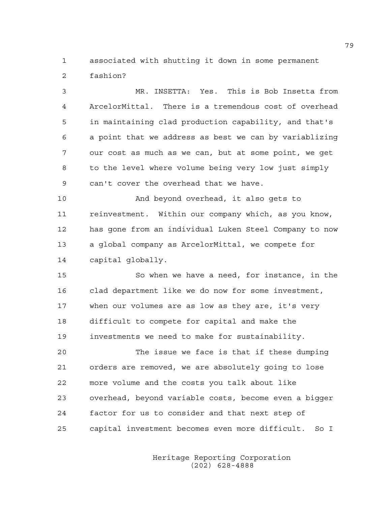1 associated with shutting it down in some permanent 2 fashion?

3 MR. INSETTA: Yes. This is Bob Insetta from 4 ArcelorMittal. There is a tremendous cost of overhead 5 in maintaining clad production capability, and that's 6 a point that we address as best we can by variablizing 7 our cost as much as we can, but at some point, we get 8 to the level where volume being very low just simply 9 can't cover the overhead that we have.

10 And beyond overhead, it also gets to 11 reinvestment. Within our company which, as you know, 12 has gone from an individual Luken Steel Company to now 13 a global company as ArcelorMittal, we compete for 14 capital globally.

15 So when we have a need, for instance, in the 16 clad department like we do now for some investment, 17 when our volumes are as low as they are, it's very 18 difficult to compete for capital and make the 19 investments we need to make for sustainability.

20 The issue we face is that if these dumping 21 orders are removed, we are absolutely going to lose 22 more volume and the costs you talk about like 23 overhead, beyond variable costs, become even a bigger 24 factor for us to consider and that next step of 25 capital investment becomes even more difficult. So I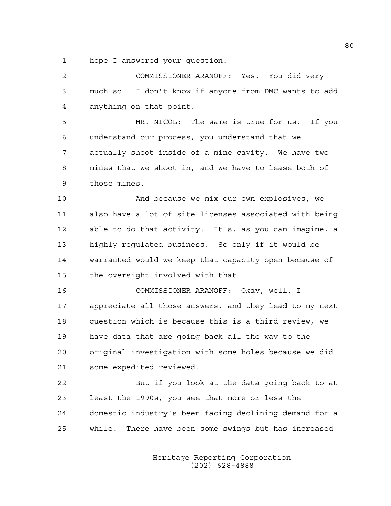1 hope I answered your question.

2 COMMISSIONER ARANOFF: Yes. You did very 3 much so. I don't know if anyone from DMC wants to add 4 anything on that point. 5 MR. NICOL: The same is true for us. If you 6 understand our process, you understand that we

7 actually shoot inside of a mine cavity. We have two 8 mines that we shoot in, and we have to lease both of 9 those mines.

10 And because we mix our own explosives, we 11 also have a lot of site licenses associated with being 12 able to do that activity. It's, as you can imagine, a 13 highly regulated business. So only if it would be 14 warranted would we keep that capacity open because of 15 the oversight involved with that.

16 COMMISSIONER ARANOFF: Okay, well, I 17 appreciate all those answers, and they lead to my next 18 question which is because this is a third review, we 19 have data that are going back all the way to the 20 original investigation with some holes because we did 21 some expedited reviewed.

22 But if you look at the data going back to at 23 least the 1990s, you see that more or less the 24 domestic industry's been facing declining demand for a 25 while. There have been some swings but has increased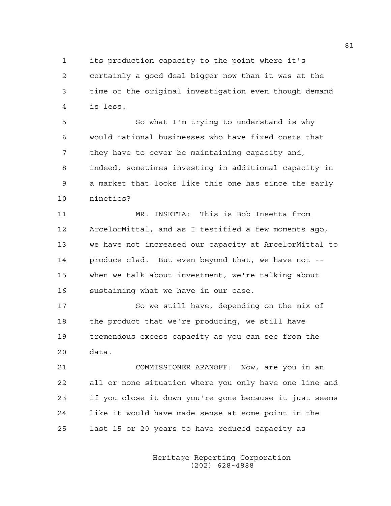1 its production capacity to the point where it's 2 certainly a good deal bigger now than it was at the 3 time of the original investigation even though demand 4 is less.

5 So what I'm trying to understand is why 6 would rational businesses who have fixed costs that 7 they have to cover be maintaining capacity and, 8 indeed, sometimes investing in additional capacity in 9 a market that looks like this one has since the early 10 nineties?

11 MR. INSETTA: This is Bob Insetta from 12 ArcelorMittal, and as I testified a few moments ago, 13 we have not increased our capacity at ArcelorMittal to 14 produce clad. But even beyond that, we have not -- 15 when we talk about investment, we're talking about 16 sustaining what we have in our case.

17 So we still have, depending on the mix of 18 the product that we're producing, we still have 19 tremendous excess capacity as you can see from the 20 data.

21 COMMISSIONER ARANOFF: Now, are you in an 22 all or none situation where you only have one line and 23 if you close it down you're gone because it just seems 24 like it would have made sense at some point in the 25 last 15 or 20 years to have reduced capacity as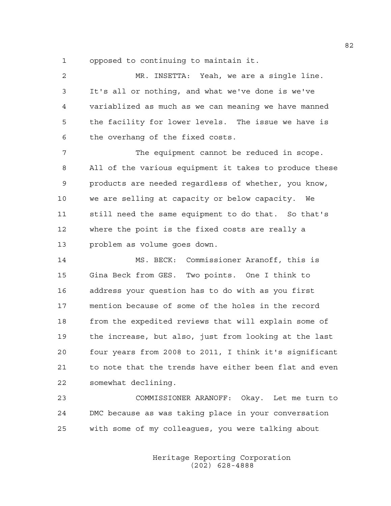1 opposed to continuing to maintain it.

| 2  | MR. INSETTA: Yeah, we are a single line.               |
|----|--------------------------------------------------------|
| 3  | It's all or nothing, and what we've done is we've      |
| 4  | variablized as much as we can meaning we have manned   |
| 5  | the facility for lower levels. The issue we have is    |
| 6  | the overhang of the fixed costs.                       |
| 7  | The equipment cannot be reduced in scope.              |
| 8  | All of the various equipment it takes to produce these |
| 9  | products are needed regardless of whether, you know,   |
| 10 | we are selling at capacity or below capacity. We       |
| 11 | still need the same equipment to do that. So that's    |
| 12 | where the point is the fixed costs are really a        |
| 13 | problem as volume goes down.                           |
| 14 | MS. BECK: Commissioner Aranoff, this is                |
| 15 | Gina Beck from GES. Two points. One I think to         |
| 16 | address your question has to do with as you first      |
| 17 | mention because of some of the holes in the record     |
| 18 | from the expedited reviews that will explain some of   |
| 19 | the increase, but also, just from looking at the last  |
| 20 | four years from 2008 to 2011, I think it's significant |
| 21 | to note that the trends have either been flat and even |
| 22 | somewhat declining.                                    |

23 COMMISSIONER ARANOFF: Okay. Let me turn to 24 DMC because as was taking place in your conversation 25 with some of my colleagues, you were talking about

> Heritage Reporting Corporation (202) 628-4888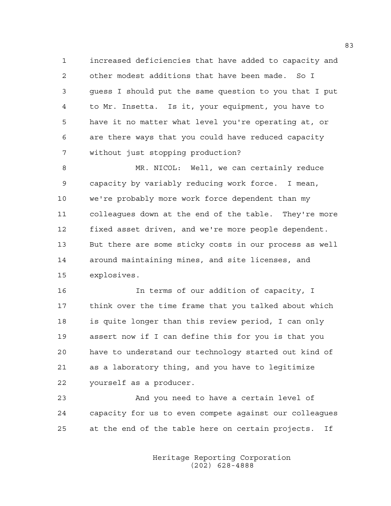1 increased deficiencies that have added to capacity and 2 other modest additions that have been made. So I 3 guess I should put the same question to you that I put 4 to Mr. Insetta. Is it, your equipment, you have to 5 have it no matter what level you're operating at, or 6 are there ways that you could have reduced capacity 7 without just stopping production?

8 MR. NICOL: Well, we can certainly reduce 9 capacity by variably reducing work force. I mean, 10 we're probably more work force dependent than my 11 colleagues down at the end of the table. They're more 12 fixed asset driven, and we're more people dependent. 13 But there are some sticky costs in our process as well 14 around maintaining mines, and site licenses, and 15 explosives.

16 In terms of our addition of capacity, I 17 think over the time frame that you talked about which 18 is quite longer than this review period, I can only 19 assert now if I can define this for you is that you 20 have to understand our technology started out kind of 21 as a laboratory thing, and you have to legitimize 22 yourself as a producer.

23 And you need to have a certain level of 24 capacity for us to even compete against our colleagues 25 at the end of the table here on certain projects. If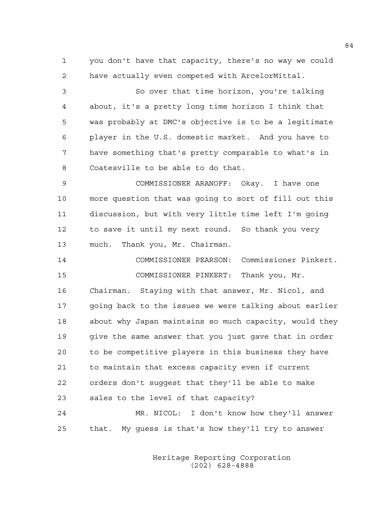1 you don't have that capacity, there's no way we could 2 have actually even competed with ArcelorMittal.

3 So over that time horizon, you're talking 4 about, it's a pretty long time horizon I think that 5 was probably at DMC's objective is to be a legitimate 6 player in the U.S. domestic market. And you have to 7 have something that's pretty comparable to what's in 8 Coatesville to be able to do that.

9 COMMISSIONER ARANOFF: Okay. I have one 10 more question that was going to sort of fill out this 11 discussion, but with very little time left I'm going 12 to save it until my next round. So thank you very 13 much. Thank you, Mr. Chairman.

14 COMMISSIONER PEARSON: Commissioner Pinkert. 15 COMMISSIONER PINKERT: Thank you, Mr. 16 Chairman. Staying with that answer, Mr. Nicol, and 17 going back to the issues we were talking about earlier 18 about why Japan maintains so much capacity, would they 19 give the same answer that you just gave that in order 20 to be competitive players in this business they have 21 to maintain that excess capacity even if current 22 orders don't suggest that they'll be able to make 23 sales to the level of that capacity? 24 MR. NICOL: I don't know how they'll answer

25 that. My guess is that's how they'll try to answer

 Heritage Reporting Corporation (202) 628-4888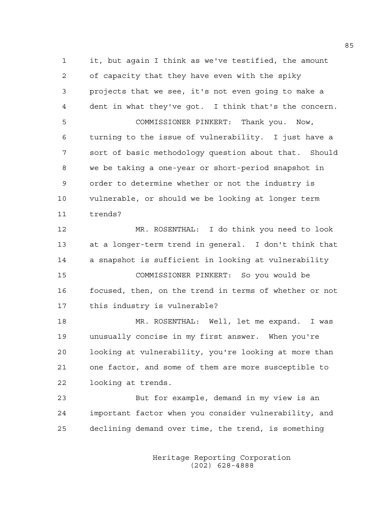1 it, but again I think as we've testified, the amount 2 of capacity that they have even with the spiky 3 projects that we see, it's not even going to make a 4 dent in what they've got. I think that's the concern. 5 COMMISSIONER PINKERT: Thank you. Now, 6 turning to the issue of vulnerability. I just have a 7 sort of basic methodology question about that. Should 8 we be taking a one-year or short-period snapshot in 9 order to determine whether or not the industry is 10 vulnerable, or should we be looking at longer term 11 trends? 12 MR. ROSENTHAL: I do think you need to look 13 at a longer-term trend in general. I don't think that 14 a snapshot is sufficient in looking at vulnerability 15 COMMISSIONER PINKERT: So you would be 16 focused, then, on the trend in terms of whether or not 17 this industry is vulnerable? 18 MR. ROSENTHAL: Well, let me expand. I was 19 unusually concise in my first answer. When you're 20 looking at vulnerability, you're looking at more than 21 one factor, and some of them are more susceptible to 22 looking at trends. 23 But for example, demand in my view is an

24 important factor when you consider vulnerability, and 25 declining demand over time, the trend, is something

> Heritage Reporting Corporation (202) 628-4888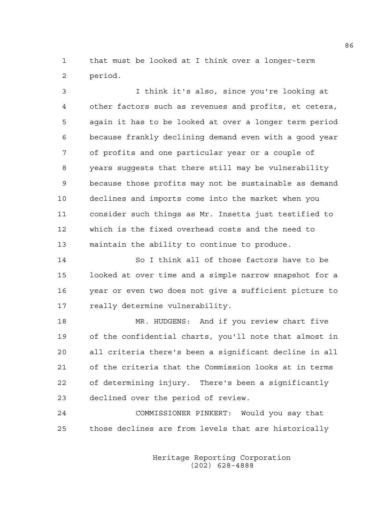1 that must be looked at I think over a longer-term 2 period.

3 I think it's also, since you're looking at 4 other factors such as revenues and profits, et cetera, 5 again it has to be looked at over a longer term period 6 because frankly declining demand even with a good year 7 of profits and one particular year or a couple of 8 years suggests that there still may be vulnerability 9 because those profits may not be sustainable as demand 10 declines and imports come into the market when you 11 consider such things as Mr. Insetta just testified to 12 which is the fixed overhead costs and the need to 13 maintain the ability to continue to produce.

14 So I think all of those factors have to be 15 looked at over time and a simple narrow snapshot for a 16 year or even two does not give a sufficient picture to 17 really determine vulnerability.

18 MR. HUDGENS: And if you review chart five 19 of the confidential charts, you'll note that almost in 20 all criteria there's been a significant decline in all 21 of the criteria that the Commission looks at in terms 22 of determining injury. There's been a significantly 23 declined over the period of review.

24 COMMISSIONER PINKERT: Would you say that 25 those declines are from levels that are historically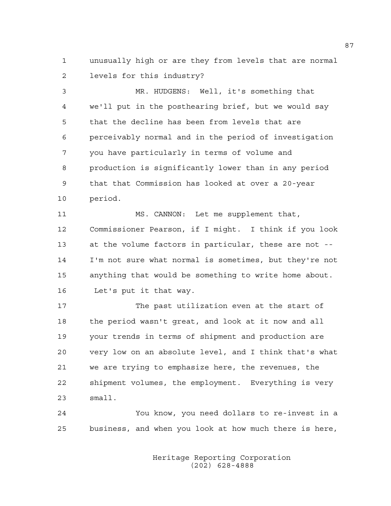1 unusually high or are they from levels that are normal 2 levels for this industry?

3 MR. HUDGENS: Well, it's something that 4 we'll put in the posthearing brief, but we would say 5 that the decline has been from levels that are 6 perceivably normal and in the period of investigation 7 you have particularly in terms of volume and 8 production is significantly lower than in any period 9 that that Commission has looked at over a 20-year 10 period.

11 MS. CANNON: Let me supplement that, 12 Commissioner Pearson, if I might. I think if you look 13 at the volume factors in particular, these are not -- 14 I'm not sure what normal is sometimes, but they're not 15 anything that would be something to write home about. 16 Let's put it that way.

17 The past utilization even at the start of 18 the period wasn't great, and look at it now and all 19 your trends in terms of shipment and production are 20 very low on an absolute level, and I think that's what 21 we are trying to emphasize here, the revenues, the 22 shipment volumes, the employment. Everything is very 23 small.

24 You know, you need dollars to re-invest in a 25 business, and when you look at how much there is here,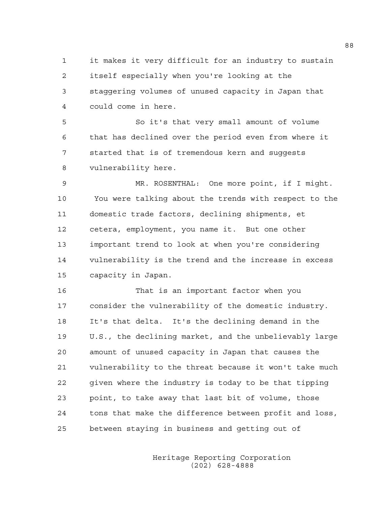1 it makes it very difficult for an industry to sustain 2 itself especially when you're looking at the 3 staggering volumes of unused capacity in Japan that 4 could come in here.

5 So it's that very small amount of volume 6 that has declined over the period even from where it 7 started that is of tremendous kern and suggests 8 vulnerability here.

9 MR. ROSENTHAL: One more point, if I might. 10 You were talking about the trends with respect to the 11 domestic trade factors, declining shipments, et 12 cetera, employment, you name it. But one other 13 important trend to look at when you're considering 14 vulnerability is the trend and the increase in excess 15 capacity in Japan.

16 That is an important factor when you 17 consider the vulnerability of the domestic industry. 18 It's that delta. It's the declining demand in the 19 U.S., the declining market, and the unbelievably large 20 amount of unused capacity in Japan that causes the 21 vulnerability to the threat because it won't take much 22 given where the industry is today to be that tipping 23 point, to take away that last bit of volume, those 24 tons that make the difference between profit and loss, 25 between staying in business and getting out of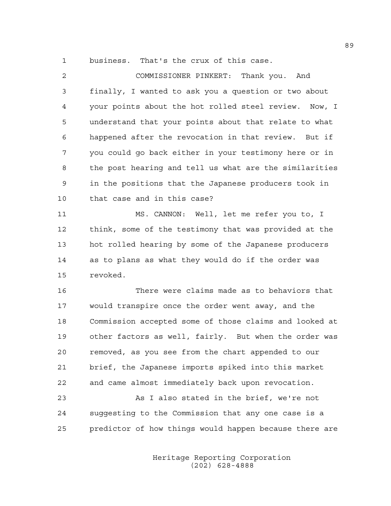1 business. That's the crux of this case.

| 2  | COMMISSIONER PINKERT: Thank you. And                   |
|----|--------------------------------------------------------|
| 3  | finally, I wanted to ask you a question or two about   |
| 4  | your points about the hot rolled steel review. Now, I  |
| 5  | understand that your points about that relate to what  |
| 6  | happened after the revocation in that review. But if   |
| 7  | you could go back either in your testimony here or in  |
| 8  | the post hearing and tell us what are the similarities |
| 9  | in the positions that the Japanese producers took in   |
| 10 | that case and in this case?                            |
| 11 | MS. CANNON: Well, let me refer you to, I               |
| 12 | think, some of the testimony that was provided at the  |
| 13 | hot rolled hearing by some of the Japanese producers   |
| 14 | as to plans as what they would do if the order was     |
| 15 | revoked.                                               |
| 16 | There were claims made as to behaviors that            |
| 17 | would transpire once the order went away, and the      |
| 18 | Commission accepted some of those claims and looked at |
| 19 | other factors as well, fairly. But when the order was  |
| 20 | removed, as you see from the chart appended to our     |
| 21 | brief, the Japanese imports spiked into this market    |
| 22 | and came almost immediately back upon revocation.      |
| 23 | As I also stated in the brief, we're not               |

24 suggesting to the Commission that any one case is a 25 predictor of how things would happen because there are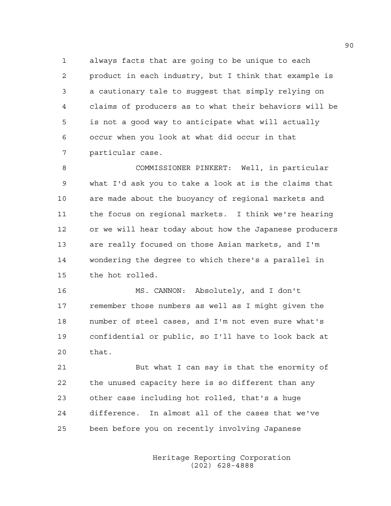1 always facts that are going to be unique to each 2 product in each industry, but I think that example is 3 a cautionary tale to suggest that simply relying on 4 claims of producers as to what their behaviors will be 5 is not a good way to anticipate what will actually 6 occur when you look at what did occur in that 7 particular case.

8 COMMISSIONER PINKERT: Well, in particular 9 what I'd ask you to take a look at is the claims that 10 are made about the buoyancy of regional markets and 11 the focus on regional markets. I think we're hearing 12 or we will hear today about how the Japanese producers 13 are really focused on those Asian markets, and I'm 14 wondering the degree to which there's a parallel in 15 the hot rolled.

16 MS. CANNON: Absolutely, and I don't 17 remember those numbers as well as I might given the 18 number of steel cases, and I'm not even sure what's 19 confidential or public, so I'll have to look back at 20 that.

21 But what I can say is that the enormity of 22 the unused capacity here is so different than any 23 other case including hot rolled, that's a huge 24 difference. In almost all of the cases that we've 25 been before you on recently involving Japanese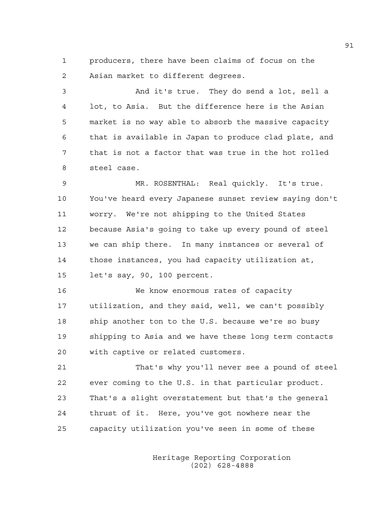1 producers, there have been claims of focus on the 2 Asian market to different degrees.

3 And it's true. They do send a lot, sell a 4 lot, to Asia. But the difference here is the Asian 5 market is no way able to absorb the massive capacity 6 that is available in Japan to produce clad plate, and 7 that is not a factor that was true in the hot rolled 8 steel case.

9 MR. ROSENTHAL: Real quickly. It's true. 10 You've heard every Japanese sunset review saying don't 11 worry. We're not shipping to the United States 12 because Asia's going to take up every pound of steel 13 we can ship there. In many instances or several of 14 those instances, you had capacity utilization at, 15 let's say, 90, 100 percent.

16 We know enormous rates of capacity 17 utilization, and they said, well, we can't possibly 18 ship another ton to the U.S. because we're so busy 19 shipping to Asia and we have these long term contacts 20 with captive or related customers.

21 That's why you'll never see a pound of steel 22 ever coming to the U.S. in that particular product. 23 That's a slight overstatement but that's the general 24 thrust of it. Here, you've got nowhere near the 25 capacity utilization you've seen in some of these

> Heritage Reporting Corporation (202) 628-4888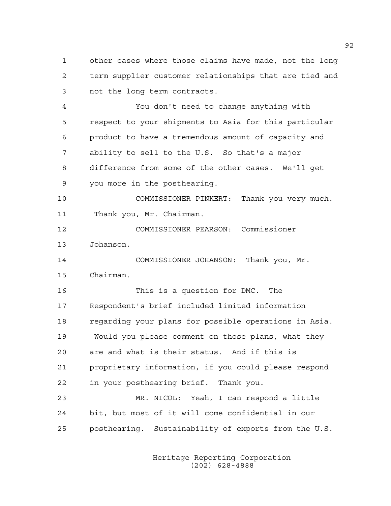1 other cases where those claims have made, not the long 2 term supplier customer relationships that are tied and 3 not the long term contracts.

4 You don't need to change anything with 5 respect to your shipments to Asia for this particular 6 product to have a tremendous amount of capacity and 7 ability to sell to the U.S. So that's a major 8 difference from some of the other cases. We'll get 9 you more in the posthearing.

10 COMMISSIONER PINKERT: Thank you very much. 11 Thank you, Mr. Chairman.

12 COMMISSIONER PEARSON: Commissioner 13 Johanson.

14 COMMISSIONER JOHANSON: Thank you, Mr. 15 Chairman.

16 This is a question for DMC. The 17 Respondent's brief included limited information 18 regarding your plans for possible operations in Asia. 19 Would you please comment on those plans, what they 20 are and what is their status. And if this is 21 proprietary information, if you could please respond 22 in your posthearing brief. Thank you. 23 MR. NICOL: Yeah, I can respond a little

24 bit, but most of it will come confidential in our 25 posthearing. Sustainability of exports from the U.S.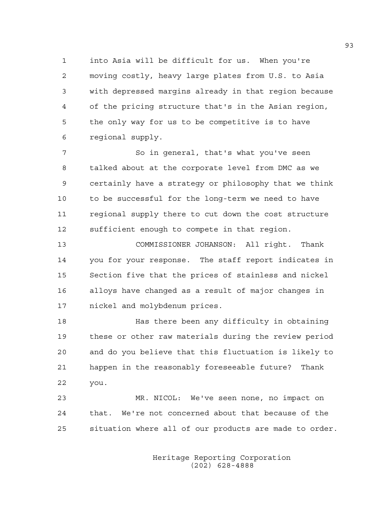1 into Asia will be difficult for us. When you're 2 moving costly, heavy large plates from U.S. to Asia 3 with depressed margins already in that region because 4 of the pricing structure that's in the Asian region, 5 the only way for us to be competitive is to have 6 regional supply.

7 So in general, that's what you've seen 8 talked about at the corporate level from DMC as we 9 certainly have a strategy or philosophy that we think 10 to be successful for the long-term we need to have 11 regional supply there to cut down the cost structure 12 sufficient enough to compete in that region.

13 COMMISSIONER JOHANSON: All right. Thank 14 you for your response. The staff report indicates in 15 Section five that the prices of stainless and nickel 16 alloys have changed as a result of major changes in 17 nickel and molybdenum prices.

18 Has there been any difficulty in obtaining 19 these or other raw materials during the review period 20 and do you believe that this fluctuation is likely to 21 happen in the reasonably foreseeable future? Thank 22 you.

23 MR. NICOL: We've seen none, no impact on 24 that. We're not concerned about that because of the 25 situation where all of our products are made to order.

> Heritage Reporting Corporation (202) 628-4888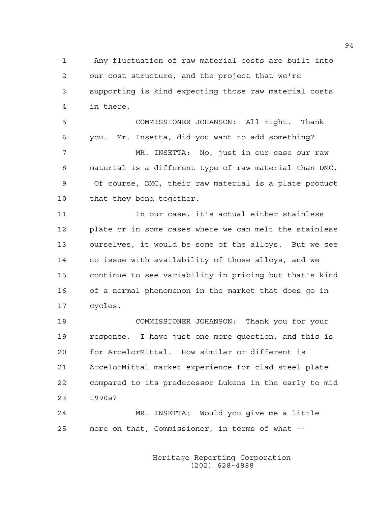1 Any fluctuation of raw material costs are built into 2 our cost structure, and the project that we're 3 supporting is kind expecting those raw material costs 4 in there.

5 COMMISSIONER JOHANSON: All right. Thank 6 you. Mr. Insetta, did you want to add something? 7 MR. INSETTA: No, just in our case our raw 8 material is a different type of raw material than DMC. 9 Of course, DMC, their raw material is a plate product 10 that they bond together.

11 In our case, it's actual either stainless 12 plate or in some cases where we can melt the stainless 13 ourselves, it would be some of the alloys. But we see 14 no issue with availability of those alloys, and we 15 continue to see variability in pricing but that's kind 16 of a normal phenomenon in the market that does go in 17 cycles.

18 COMMISSIONER JOHANSON: Thank you for your 19 response. I have just one more question, and this is 20 for ArcelorMittal. How similar or different is 21 ArcelorMittal market experience for clad steel plate 22 compared to its predecessor Lukens in the early to mid 23 1990s?

24 MR. INSETTA: Would you give me a little 25 more on that, Commissioner, in terms of what --

> Heritage Reporting Corporation (202) 628-4888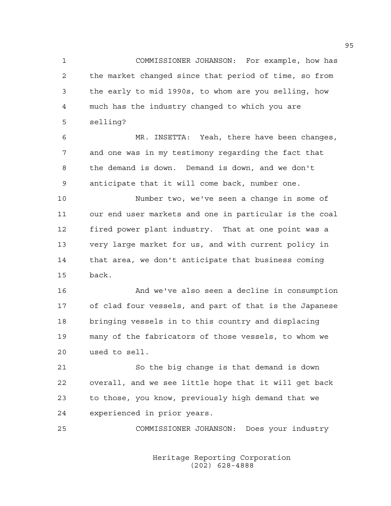1 COMMISSIONER JOHANSON: For example, how has 2 the market changed since that period of time, so from 3 the early to mid 1990s, to whom are you selling, how 4 much has the industry changed to which you are 5 selling?

6 MR. INSETTA: Yeah, there have been changes, 7 and one was in my testimony regarding the fact that 8 the demand is down. Demand is down, and we don't 9 anticipate that it will come back, number one.

10 Number two, we've seen a change in some of 11 our end user markets and one in particular is the coal 12 fired power plant industry. That at one point was a 13 very large market for us, and with current policy in 14 that area, we don't anticipate that business coming 15 back.

16 And we've also seen a decline in consumption 17 of clad four vessels, and part of that is the Japanese 18 bringing vessels in to this country and displacing 19 many of the fabricators of those vessels, to whom we 20 used to sell.

21 So the big change is that demand is down 22 overall, and we see little hope that it will get back 23 to those, you know, previously high demand that we 24 experienced in prior years.

25 COMMISSIONER JOHANSON: Does your industry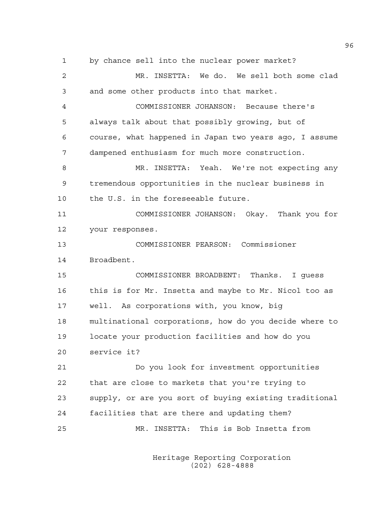1 by chance sell into the nuclear power market? 2 MR. INSETTA: We do. We sell both some clad 3 and some other products into that market. 4 COMMISSIONER JOHANSON: Because there's 5 always talk about that possibly growing, but of 6 course, what happened in Japan two years ago, I assume 7 dampened enthusiasm for much more construction. 8 MR. INSETTA: Yeah. We're not expecting any 9 tremendous opportunities in the nuclear business in 10 the U.S. in the foreseeable future. 11 COMMISSIONER JOHANSON: Okay. Thank you for 12 your responses. 13 COMMISSIONER PEARSON: Commissioner 14 Broadbent. 15 COMMISSIONER BROADBENT: Thanks. I guess 16 this is for Mr. Insetta and maybe to Mr. Nicol too as 17 well. As corporations with, you know, big 18 multinational corporations, how do you decide where to 19 locate your production facilities and how do you 20 service it? 21 Do you look for investment opportunities 22 that are close to markets that you're trying to 23 supply, or are you sort of buying existing traditional 24 facilities that are there and updating them? 25 MR. INSETTA: This is Bob Insetta from

> Heritage Reporting Corporation (202) 628-4888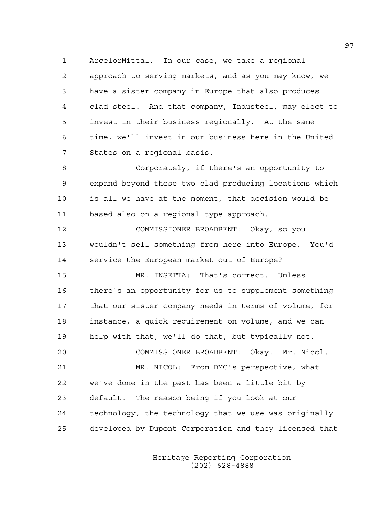1 ArcelorMittal. In our case, we take a regional 2 approach to serving markets, and as you may know, we 3 have a sister company in Europe that also produces 4 clad steel. And that company, Industeel, may elect to 5 invest in their business regionally. At the same 6 time, we'll invest in our business here in the United 7 States on a regional basis.

8 Corporately, if there's an opportunity to 9 expand beyond these two clad producing locations which 10 is all we have at the moment, that decision would be 11 based also on a regional type approach.

12 COMMISSIONER BROADBENT: Okay, so you 13 wouldn't sell something from here into Europe. You'd 14 service the European market out of Europe?

15 MR. INSETTA: That's correct. Unless 16 there's an opportunity for us to supplement something 17 that our sister company needs in terms of volume, for 18 instance, a quick requirement on volume, and we can 19 help with that, we'll do that, but typically not. 20 COMMISSIONER BROADBENT: Okay. Mr. Nicol.

21 MR. NICOL: From DMC's perspective, what 22 we've done in the past has been a little bit by 23 default. The reason being if you look at our 24 technology, the technology that we use was originally 25 developed by Dupont Corporation and they licensed that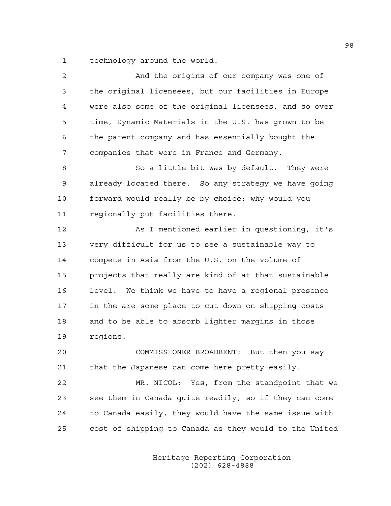1 technology around the world.

| 2  | And the origins of our company was one of              |
|----|--------------------------------------------------------|
| 3  | the original licensees, but our facilities in Europe   |
| 4  | were also some of the original licensees, and so over  |
| 5  | time, Dynamic Materials in the U.S. has grown to be    |
| 6  | the parent company and has essentially bought the      |
| 7  | companies that were in France and Germany.             |
| 8  | So a little bit was by default. They were              |
| 9  | already located there. So any strategy we have going   |
| 10 | forward would really be by choice; why would you       |
| 11 | regionally put facilities there.                       |
| 12 | As I mentioned earlier in questioning, it's            |
| 13 | very difficult for us to see a sustainable way to      |
| 14 | compete in Asia from the U.S. on the volume of         |
| 15 | projects that really are kind of at that sustainable   |
| 16 | level. We think we have to have a regional presence    |
| 17 | in the are some place to cut down on shipping costs    |
| 18 | and to be able to absorb lighter margins in those      |
| 19 | regions.                                               |
| 20 | COMMISSIONER BROADBENT: But then you say               |
| 21 | that the Japanese can come here pretty easily.         |
| 22 | MR. NICOL: Yes, from the standpoint that we            |
| 23 | see them in Canada quite readily, so if they can come  |
| 24 | to Canada easily, they would have the same issue with  |
| 25 | cost of shipping to Canada as they would to the United |
|    |                                                        |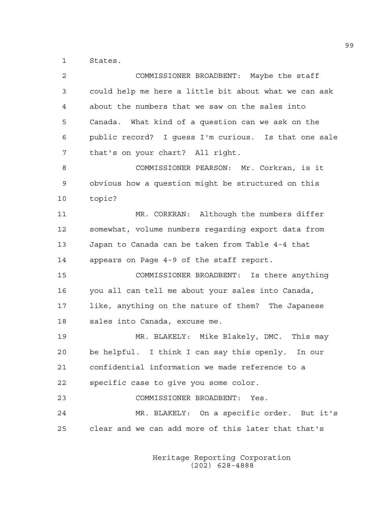1 States.

| 2  | COMMISSIONER BROADBENT: Maybe the staff               |
|----|-------------------------------------------------------|
| 3  | could help me here a little bit about what we can ask |
| 4  | about the numbers that we saw on the sales into       |
| 5  | Canada. What kind of a question can we ask on the     |
| 6  | public record? I guess I'm curious. Is that one sale  |
| 7  | that's on your chart? All right.                      |
| 8  | COMMISSIONER PEARSON: Mr. Corkran, is it              |
| 9  | obvious how a question might be structured on this    |
| 10 | topic?                                                |
| 11 | MR. CORKRAN: Although the numbers differ              |
| 12 | somewhat, volume numbers regarding export data from   |
| 13 | Japan to Canada can be taken from Table 4-4 that      |
| 14 | appears on Page 4-9 of the staff report.              |
| 15 | COMMISSIONER BROADBENT: Is there anything             |
| 16 | you all can tell me about your sales into Canada,     |
| 17 | like, anything on the nature of them? The Japanese    |
| 18 | sales into Canada, excuse me.                         |
| 19 | MR. BLAKELY: Mike Blakely, DMC. This may              |
| 20 | be helpful. I think I can say this openly. In our     |
| 21 | confidential information we made reference to a       |
| 22 | specific case to give you some color.                 |
| 23 | COMMISSIONER BROADBENT:<br>Yes.                       |
| 24 | MR. BLAKELY: On a specific order. But it's            |
| 25 | clear and we can add more of this later that that's   |
|    |                                                       |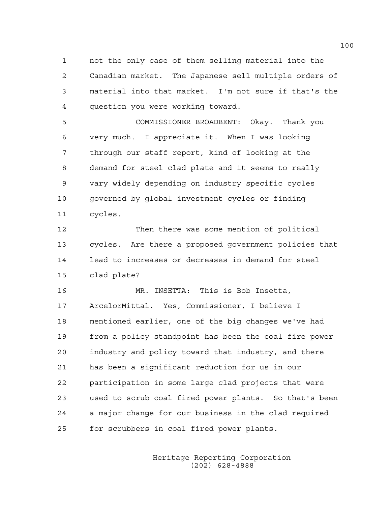1 not the only case of them selling material into the 2 Canadian market. The Japanese sell multiple orders of 3 material into that market. I'm not sure if that's the 4 question you were working toward.

5 COMMISSIONER BROADBENT: Okay. Thank you 6 very much. I appreciate it. When I was looking 7 through our staff report, kind of looking at the 8 demand for steel clad plate and it seems to really 9 vary widely depending on industry specific cycles 10 governed by global investment cycles or finding 11 cycles.

12 Then there was some mention of political 13 cycles. Are there a proposed government policies that 14 lead to increases or decreases in demand for steel 15 clad plate?

16 MR. INSETTA: This is Bob Insetta, 17 ArcelorMittal. Yes, Commissioner, I believe I 18 mentioned earlier, one of the big changes we've had 19 from a policy standpoint has been the coal fire power 20 industry and policy toward that industry, and there 21 has been a significant reduction for us in our 22 participation in some large clad projects that were 23 used to scrub coal fired power plants. So that's been 24 a major change for our business in the clad required 25 for scrubbers in coal fired power plants.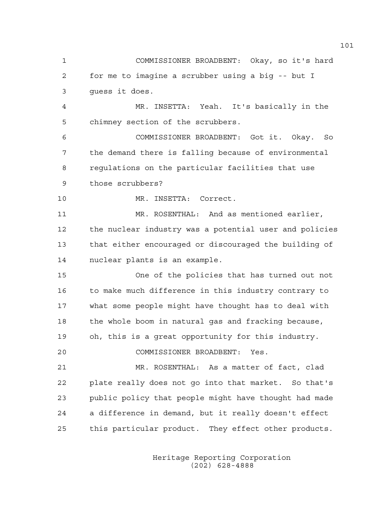1 COMMISSIONER BROADBENT: Okay, so it's hard 2 for me to imagine a scrubber using a big -- but I 3 guess it does. 4 MR. INSETTA: Yeah. It's basically in the 5 chimney section of the scrubbers. 6 COMMISSIONER BROADBENT: Got it. Okay. So 7 the demand there is falling because of environmental 8 regulations on the particular facilities that use 9 those scrubbers? 10 MR. INSETTA: Correct.

11 MR. ROSENTHAL: And as mentioned earlier, 12 the nuclear industry was a potential user and policies 13 that either encouraged or discouraged the building of 14 nuclear plants is an example.

15 One of the policies that has turned out not 16 to make much difference in this industry contrary to 17 what some people might have thought has to deal with 18 the whole boom in natural gas and fracking because, 19 oh, this is a great opportunity for this industry. 20 COMMISSIONER BROADBENT: Yes.

21 MR. ROSENTHAL: As a matter of fact, clad 22 plate really does not go into that market. So that's 23 public policy that people might have thought had made 24 a difference in demand, but it really doesn't effect 25 this particular product. They effect other products.

> Heritage Reporting Corporation (202) 628-4888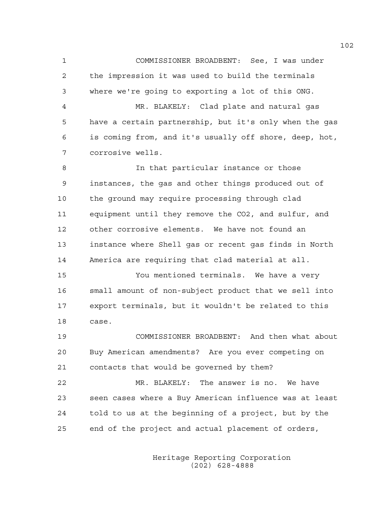1 COMMISSIONER BROADBENT: See, I was under 2 the impression it was used to build the terminals 3 where we're going to exporting a lot of this ONG.

4 MR. BLAKELY: Clad plate and natural gas 5 have a certain partnership, but it's only when the gas 6 is coming from, and it's usually off shore, deep, hot, 7 corrosive wells.

8 In that particular instance or those 9 instances, the gas and other things produced out of 10 the ground may require processing through clad 11 equipment until they remove the CO2, and sulfur, and 12 other corrosive elements. We have not found an 13 instance where Shell gas or recent gas finds in North 14 America are requiring that clad material at all.

15 You mentioned terminals. We have a very 16 small amount of non-subject product that we sell into 17 export terminals, but it wouldn't be related to this 18 case.

19 COMMISSIONER BROADBENT: And then what about 20 Buy American amendments? Are you ever competing on 21 contacts that would be governed by them?

22 MR. BLAKELY: The answer is no. We have 23 seen cases where a Buy American influence was at least 24 told to us at the beginning of a project, but by the 25 end of the project and actual placement of orders,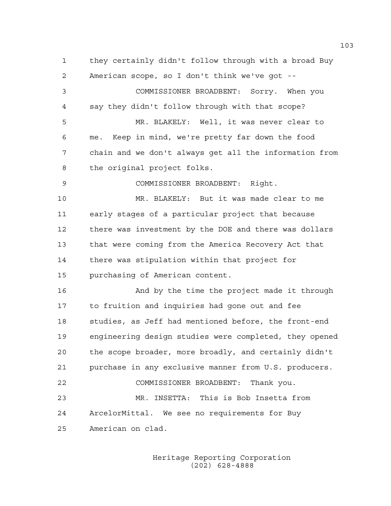1 they certainly didn't follow through with a broad Buy 2 American scope, so I don't think we've got -- 3 COMMISSIONER BROADBENT: Sorry. When you 4 say they didn't follow through with that scope? 5 MR. BLAKELY: Well, it was never clear to 6 me. Keep in mind, we're pretty far down the food 7 chain and we don't always get all the information from 8 the original project folks. 9 COMMISSIONER BROADBENT: Right. 10 MR. BLAKELY: But it was made clear to me 11 early stages of a particular project that because 12 there was investment by the DOE and there was dollars 13 that were coming from the America Recovery Act that 14 there was stipulation within that project for 15 purchasing of American content. 16 And by the time the project made it through 17 to fruition and inquiries had gone out and fee 18 studies, as Jeff had mentioned before, the front-end 19 engineering design studies were completed, they opened 20 the scope broader, more broadly, and certainly didn't 21 purchase in any exclusive manner from U.S. producers. 22 COMMISSIONER BROADBENT: Thank you. 23 MR. INSETTA: This is Bob Insetta from 24 ArcelorMittal. We see no requirements for Buy 25 American on clad.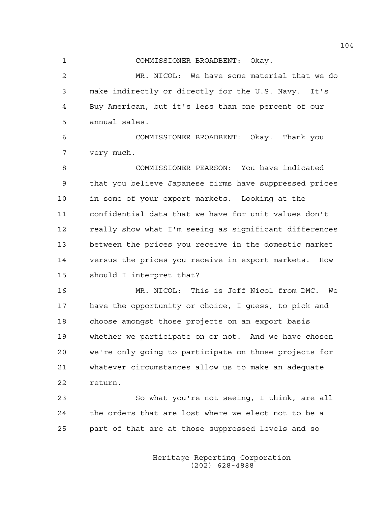1 COMMISSIONER BROADBENT: Okay.

2 MR. NICOL: We have some material that we do 3 make indirectly or directly for the U.S. Navy. It's 4 Buy American, but it's less than one percent of our 5 annual sales.

6 COMMISSIONER BROADBENT: Okay. Thank you 7 very much.

8 COMMISSIONER PEARSON: You have indicated 9 that you believe Japanese firms have suppressed prices 10 in some of your export markets. Looking at the 11 confidential data that we have for unit values don't 12 really show what I'm seeing as significant differences 13 between the prices you receive in the domestic market 14 versus the prices you receive in export markets. How 15 should I interpret that?

16 MR. NICOL: This is Jeff Nicol from DMC. We 17 have the opportunity or choice, I guess, to pick and 18 choose amongst those projects on an export basis 19 whether we participate on or not. And we have chosen 20 we're only going to participate on those projects for 21 whatever circumstances allow us to make an adequate 22 return.

23 So what you're not seeing, I think, are all 24 the orders that are lost where we elect not to be a 25 part of that are at those suppressed levels and so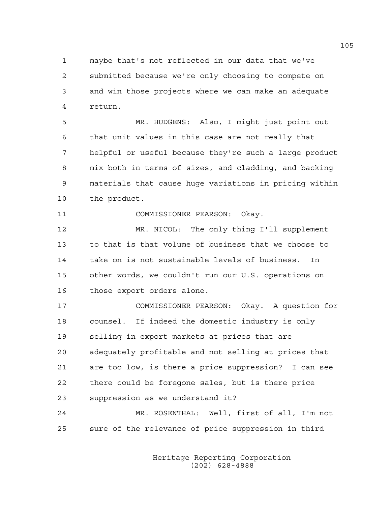1 maybe that's not reflected in our data that we've 2 submitted because we're only choosing to compete on 3 and win those projects where we can make an adequate 4 return.

5 MR. HUDGENS: Also, I might just point out 6 that unit values in this case are not really that 7 helpful or useful because they're such a large product 8 mix both in terms of sizes, and cladding, and backing 9 materials that cause huge variations in pricing within 10 the product.

11 COMMISSIONER PEARSON: Okay.

12 MR. NICOL: The only thing I'll supplement 13 to that is that volume of business that we choose to 14 take on is not sustainable levels of business. In 15 other words, we couldn't run our U.S. operations on 16 those export orders alone.

17 COMMISSIONER PEARSON: Okay. A question for 18 counsel. If indeed the domestic industry is only 19 selling in export markets at prices that are 20 adequately profitable and not selling at prices that 21 are too low, is there a price suppression? I can see 22 there could be foregone sales, but is there price 23 suppression as we understand it?

24 MR. ROSENTHAL: Well, first of all, I'm not 25 sure of the relevance of price suppression in third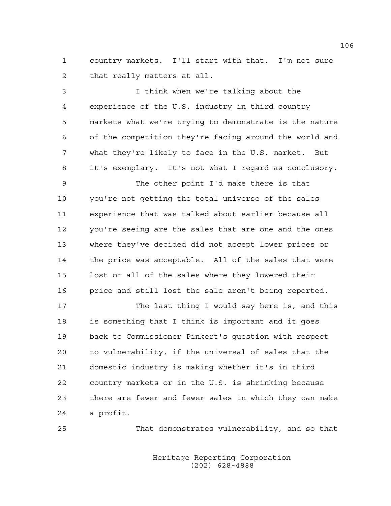1 country markets. I'll start with that. I'm not sure 2 that really matters at all.

3 I think when we're talking about the 4 experience of the U.S. industry in third country 5 markets what we're trying to demonstrate is the nature 6 of the competition they're facing around the world and 7 what they're likely to face in the U.S. market. But 8 it's exemplary. It's not what I regard as conclusory.

9 The other point I'd make there is that 10 you're not getting the total universe of the sales 11 experience that was talked about earlier because all 12 you're seeing are the sales that are one and the ones 13 where they've decided did not accept lower prices or 14 the price was acceptable. All of the sales that were 15 lost or all of the sales where they lowered their 16 price and still lost the sale aren't being reported.

17 The last thing I would say here is, and this 18 is something that I think is important and it goes 19 back to Commissioner Pinkert's question with respect 20 to vulnerability, if the universal of sales that the 21 domestic industry is making whether it's in third 22 country markets or in the U.S. is shrinking because 23 there are fewer and fewer sales in which they can make 24 a profit.

25 That demonstrates vulnerability, and so that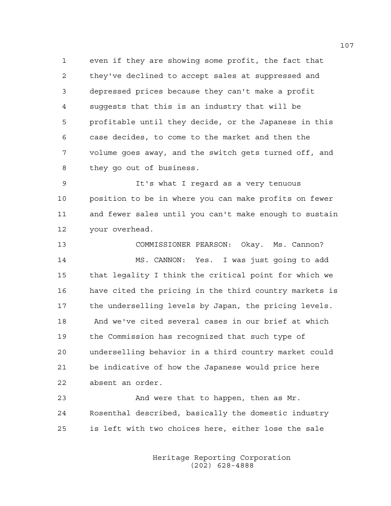1 even if they are showing some profit, the fact that 2 they've declined to accept sales at suppressed and 3 depressed prices because they can't make a profit 4 suggests that this is an industry that will be 5 profitable until they decide, or the Japanese in this 6 case decides, to come to the market and then the 7 volume goes away, and the switch gets turned off, and 8 they go out of business.

9 It's what I regard as a very tenuous 10 position to be in where you can make profits on fewer 11 and fewer sales until you can't make enough to sustain 12 your overhead.

13 COMMISSIONER PEARSON: Okay. Ms. Cannon? 14 MS. CANNON: Yes. I was just going to add 15 that legality I think the critical point for which we 16 have cited the pricing in the third country markets is 17 the underselling levels by Japan, the pricing levels. 18 And we've cited several cases in our brief at which 19 the Commission has recognized that such type of 20 underselling behavior in a third country market could 21 be indicative of how the Japanese would price here 22 absent an order.

23 And were that to happen, then as Mr. 24 Rosenthal described, basically the domestic industry 25 is left with two choices here, either lose the sale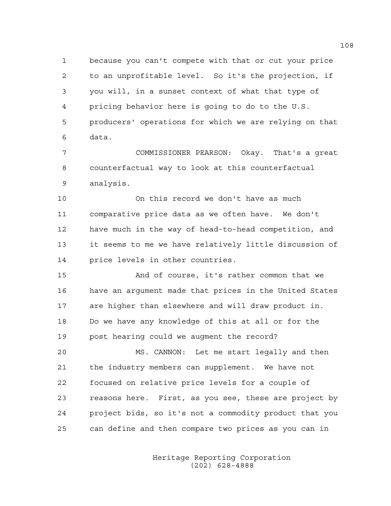1 because you can't compete with that or cut your price 2 to an unprofitable level. So it's the projection, if 3 you will, in a sunset context of what that type of 4 pricing behavior here is going to do to the U.S. 5 producers' operations for which we are relying on that 6 data.

7 COMMISSIONER PEARSON: Okay. That's a great 8 counterfactual way to look at this counterfactual 9 analysis.

10 On this record we don't have as much 11 comparative price data as we often have. We don't 12 have much in the way of head-to-head competition, and 13 it seems to me we have relatively little discussion of 14 price levels in other countries.

15 And of course, it's rather common that we 16 have an argument made that prices in the United States 17 are higher than elsewhere and will draw product in. 18 Do we have any knowledge of this at all or for the 19 post hearing could we augment the record?

20 MS. CANNON: Let me start legally and then 21 the industry members can supplement. We have not 22 focused on relative price levels for a couple of 23 reasons here. First, as you see, these are project by 24 project bids, so it's not a commodity product that you 25 can define and then compare two prices as you can in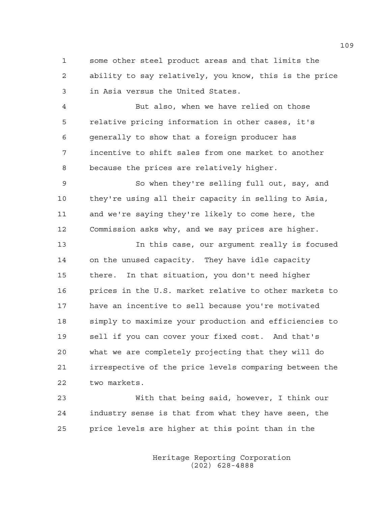1 some other steel product areas and that limits the 2 ability to say relatively, you know, this is the price 3 in Asia versus the United States.

4 But also, when we have relied on those 5 relative pricing information in other cases, it's 6 generally to show that a foreign producer has 7 incentive to shift sales from one market to another 8 because the prices are relatively higher.

9 So when they're selling full out, say, and 10 they're using all their capacity in selling to Asia, 11 and we're saying they're likely to come here, the 12 Commission asks why, and we say prices are higher.

13 In this case, our argument really is focused 14 on the unused capacity. They have idle capacity 15 there. In that situation, you don't need higher 16 prices in the U.S. market relative to other markets to 17 have an incentive to sell because you're motivated 18 simply to maximize your production and efficiencies to 19 sell if you can cover your fixed cost. And that's 20 what we are completely projecting that they will do 21 irrespective of the price levels comparing between the 22 two markets.

23 With that being said, however, I think our 24 industry sense is that from what they have seen, the 25 price levels are higher at this point than in the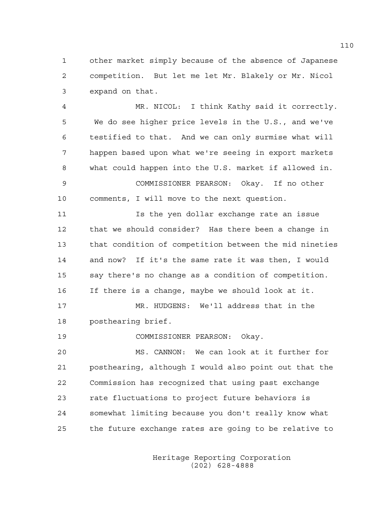1 other market simply because of the absence of Japanese 2 competition. But let me let Mr. Blakely or Mr. Nicol 3 expand on that.

4 MR. NICOL: I think Kathy said it correctly. 5 We do see higher price levels in the U.S., and we've 6 testified to that. And we can only surmise what will 7 happen based upon what we're seeing in export markets 8 what could happen into the U.S. market if allowed in. 9 COMMISSIONER PEARSON: Okay. If no other 10 comments, I will move to the next question.

11 Is the yen dollar exchange rate an issue 12 that we should consider? Has there been a change in 13 that condition of competition between the mid nineties 14 and now? If it's the same rate it was then, I would 15 say there's no change as a condition of competition. 16 If there is a change, maybe we should look at it.

17 MR. HUDGENS: We'll address that in the 18 posthearing brief.

19 COMMISSIONER PEARSON: Okay.

20 MS. CANNON: We can look at it further for 21 posthearing, although I would also point out that the 22 Commission has recognized that using past exchange 23 rate fluctuations to project future behaviors is 24 somewhat limiting because you don't really know what 25 the future exchange rates are going to be relative to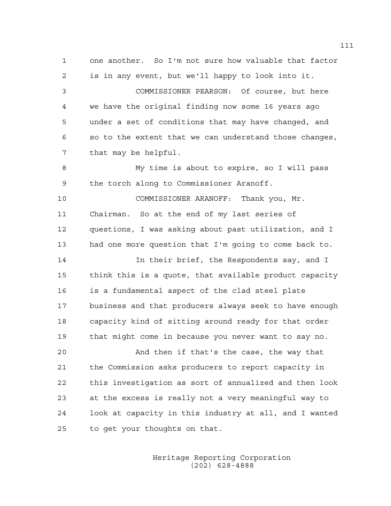1 one another. So I'm not sure how valuable that factor 2 is in any event, but we'll happy to look into it. 3 COMMISSIONER PEARSON: Of course, but here 4 we have the original finding now some 16 years ago 5 under a set of conditions that may have changed, and 6 so to the extent that we can understand those changes, 7 that may be helpful. 8 My time is about to expire, so I will pass 9 the torch along to Commissioner Aranoff. 10 COMMISSIONER ARANOFF: Thank you, Mr. 11 Chairman. So at the end of my last series of 12 questions, I was asking about past utilization, and I 13 had one more question that I'm going to come back to. 14 **In their brief, the Respondents say, and I** 15 think this is a quote, that available product capacity 16 is a fundamental aspect of the clad steel plate 17 business and that producers always seek to have enough 18 capacity kind of sitting around ready for that order 19 that might come in because you never want to say no. 20 And then if that's the case, the way that 21 the Commission asks producers to report capacity in 22 this investigation as sort of annualized and then look 23 at the excess is really not a very meaningful way to

25 to get your thoughts on that.

 Heritage Reporting Corporation (202) 628-4888

24 look at capacity in this industry at all, and I wanted

111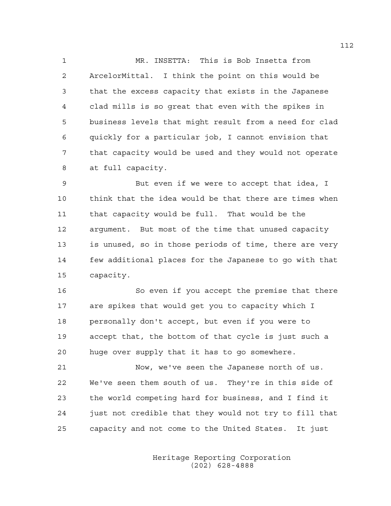1 MR. INSETTA: This is Bob Insetta from 2 ArcelorMittal. I think the point on this would be 3 that the excess capacity that exists in the Japanese 4 clad mills is so great that even with the spikes in 5 business levels that might result from a need for clad 6 quickly for a particular job, I cannot envision that 7 that capacity would be used and they would not operate 8 at full capacity.

9 But even if we were to accept that idea, I 10 think that the idea would be that there are times when 11 that capacity would be full. That would be the 12 argument. But most of the time that unused capacity 13 is unused, so in those periods of time, there are very 14 few additional places for the Japanese to go with that 15 capacity.

16 So even if you accept the premise that there 17 are spikes that would get you to capacity which I 18 personally don't accept, but even if you were to 19 accept that, the bottom of that cycle is just such a 20 huge over supply that it has to go somewhere.

21 Now, we've seen the Japanese north of us. 22 We've seen them south of us. They're in this side of 23 the world competing hard for business, and I find it 24 just not credible that they would not try to fill that 25 capacity and not come to the United States. It just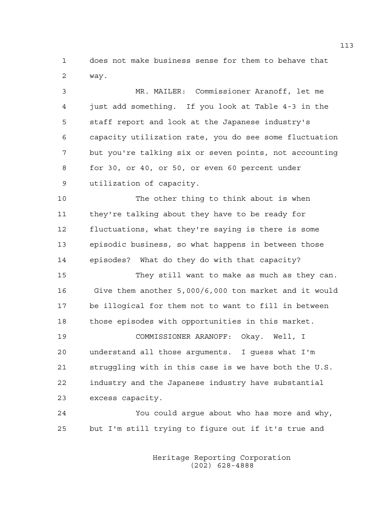1 does not make business sense for them to behave that 2 way.

3 MR. MAILER: Commissioner Aranoff, let me 4 just add something. If you look at Table 4-3 in the 5 staff report and look at the Japanese industry's 6 capacity utilization rate, you do see some fluctuation 7 but you're talking six or seven points, not accounting 8 for 30, or 40, or 50, or even 60 percent under 9 utilization of capacity.

10 The other thing to think about is when 11 they're talking about they have to be ready for 12 fluctuations, what they're saying is there is some 13 episodic business, so what happens in between those 14 episodes? What do they do with that capacity?

15 They still want to make as much as they can. 16 Give them another 5,000/6,000 ton market and it would 17 be illogical for them not to want to fill in between 18 those episodes with opportunities in this market.

19 COMMISSIONER ARANOFF: Okay. Well, I 20 understand all those arguments. I guess what I'm 21 struggling with in this case is we have both the U.S. 22 industry and the Japanese industry have substantial 23 excess capacity.

24 You could argue about who has more and why, 25 but I'm still trying to figure out if it's true and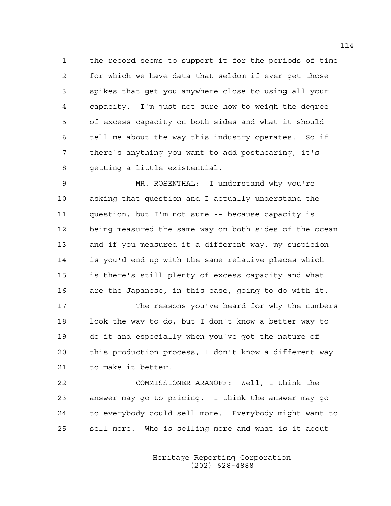1 the record seems to support it for the periods of time 2 for which we have data that seldom if ever get those 3 spikes that get you anywhere close to using all your 4 capacity. I'm just not sure how to weigh the degree 5 of excess capacity on both sides and what it should 6 tell me about the way this industry operates. So if 7 there's anything you want to add posthearing, it's 8 getting a little existential.

9 MR. ROSENTHAL: I understand why you're 10 asking that question and I actually understand the 11 question, but I'm not sure -- because capacity is 12 being measured the same way on both sides of the ocean 13 and if you measured it a different way, my suspicion 14 is you'd end up with the same relative places which 15 is there's still plenty of excess capacity and what 16 are the Japanese, in this case, going to do with it.

17 The reasons you've heard for why the numbers 18 look the way to do, but I don't know a better way to 19 do it and especially when you've got the nature of 20 this production process, I don't know a different way 21 to make it better.

22 COMMISSIONER ARANOFF: Well, I think the 23 answer may go to pricing. I think the answer may go 24 to everybody could sell more. Everybody might want to 25 sell more. Who is selling more and what is it about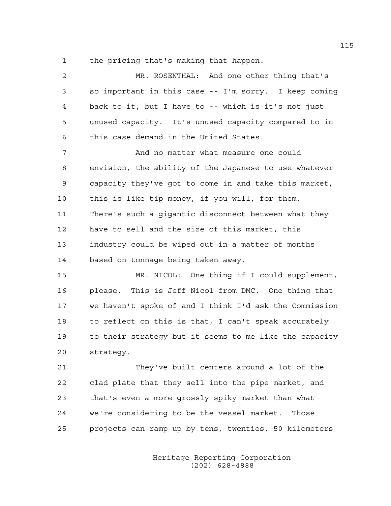1 the pricing that's making that happen.

| 2  | MR. ROSENTHAL: And one other thing that's             |
|----|-------------------------------------------------------|
| 3  | so important in this case -- I'm sorry. I keep coming |
| 4  | back to it, but I have to -- which is it's not just   |
| 5  | unused capacity. It's unused capacity compared to in  |
| 6  | this case demand in the United States.                |
| 7  | And no matter what measure one could                  |
| 8  | envision, the ability of the Japanese to use whatever |
| 9  | capacity they've got to come in and take this market, |
| 10 | this is like tip money, if you will, for them.        |
| 11 | There's such a gigantic disconnect between what they  |
| 12 | have to sell and the size of this market, this        |
| 13 | industry could be wiped out in a matter of months     |
| 14 | based on tonnage being taken away.                    |
| 15 | MR. NICOL: One thing if I could supplement,           |
| 16 | please. This is Jeff Nicol from DMC. One thing that   |

17 we haven't spoke of and I think I'd ask the Commission 18 to reflect on this is that, I can't speak accurately 19 to their strategy but it seems to me like the capacity 20 strategy.

21 They've built centers around a lot of the 22 clad plate that they sell into the pipe market, and 23 that's even a more grossly spiky market than what 24 we're considering to be the vessel market. Those 25 projects can ramp up by tens, twenties, 50 kilometers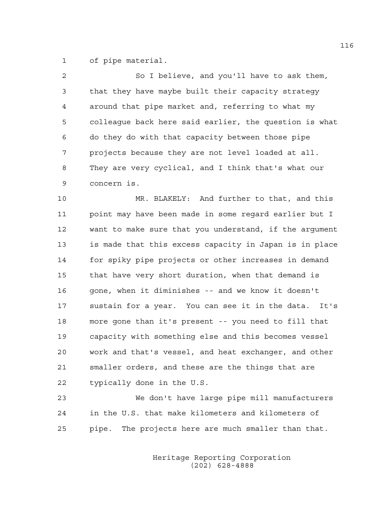1 of pipe material.

| $\overline{2}$ | So I believe, and you'll have to ask them,              |
|----------------|---------------------------------------------------------|
| $\mathfrak{Z}$ | that they have maybe built their capacity strategy      |
| $\overline{4}$ | around that pipe market and, referring to what my       |
| 5              | colleaque back here said earlier, the question is what  |
| 6              | do they do with that capacity between those pipe        |
| 7              | projects because they are not level loaded at all.      |
| 8              | They are very cyclical, and I think that's what our     |
| 9              | concern is.                                             |
| 10             | MR. BLAKELY: And further to that, and this              |
| 11             | point may have been made in some regard earlier but I   |
| 12             | want to make sure that you understand, if the argument  |
| 13             | is made that this excess capacity in Japan is in place  |
| 14             | for spiky pipe projects or other increases in demand    |
| 15             | that have very short duration, when that demand is      |
| 16             | gone, when it diminishes -- and we know it doesn't      |
| 17             | sustain for a year. You can see it in the data.<br>It's |
| 18             | more gone than it's present -- you need to fill that    |
| 19             | capacity with something else and this becomes vessel    |
| 20             | work and that's vessel, and heat exchanger, and other   |
| 21             | smaller orders, and these are the things that are       |

22 typically done in the U.S.

23 We don't have large pipe mill manufacturers 24 in the U.S. that make kilometers and kilometers of 25 pipe. The projects here are much smaller than that.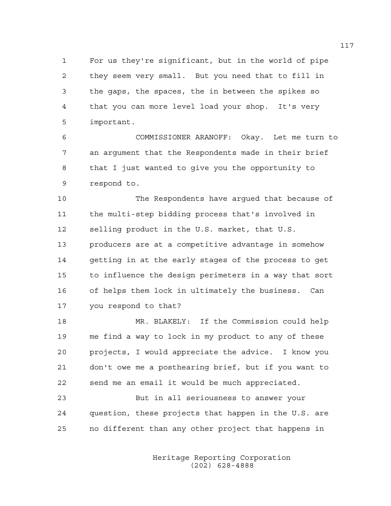1 For us they're significant, but in the world of pipe 2 they seem very small. But you need that to fill in 3 the gaps, the spaces, the in between the spikes so 4 that you can more level load your shop. It's very 5 important.

6 COMMISSIONER ARANOFF: Okay. Let me turn to 7 an argument that the Respondents made in their brief 8 that I just wanted to give you the opportunity to 9 respond to.

10 The Respondents have argued that because of 11 the multi-step bidding process that's involved in 12 selling product in the U.S. market, that U.S. 13 producers are at a competitive advantage in somehow 14 getting in at the early stages of the process to get 15 to influence the design perimeters in a way that sort 16 of helps them lock in ultimately the business. Can 17 you respond to that?

18 MR. BLAKELY: If the Commission could help 19 me find a way to lock in my product to any of these 20 projects, I would appreciate the advice. I know you 21 don't owe me a posthearing brief, but if you want to 22 send me an email it would be much appreciated.

23 But in all seriousness to answer your 24 question, these projects that happen in the U.S. are 25 no different than any other project that happens in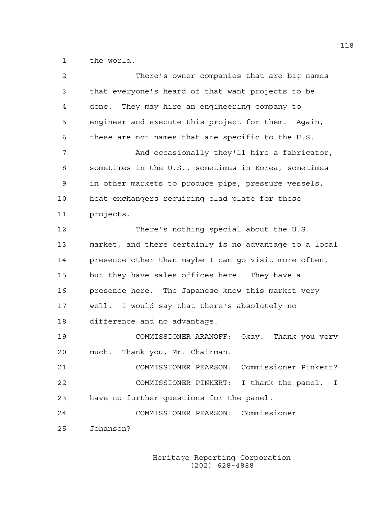1 the world.

| 2  | There's owner companies that are big names             |
|----|--------------------------------------------------------|
| 3  | that everyone's heard of that want projects to be      |
| 4  | done. They may hire an engineering company to          |
| 5  | engineer and execute this project for them. Again,     |
| 6  | these are not names that are specific to the U.S.      |
| 7  | And occasionally they'll hire a fabricator,            |
| 8  | sometimes in the U.S., sometimes in Korea, sometimes   |
| 9  | in other markets to produce pipe, pressure vessels,    |
| 10 | heat exchangers requiring clad plate for these         |
| 11 | projects.                                              |
| 12 | There's nothing special about the U.S.                 |
| 13 | market, and there certainly is no advantage to a local |
| 14 | presence other than maybe I can go visit more often,   |
| 15 | but they have sales offices here. They have a          |
| 16 | presence here. The Japanese know this market very      |
| 17 | well. I would say that there's absolutely no           |
| 18 | difference and no advantage.                           |
| 19 | COMMISSIONER ARANOFF: Okay. Thank you very             |
| 20 | Thank you, Mr. Chairman.<br>much.                      |
| 21 | Commissioner Pinkert?<br>COMMISSIONER PEARSON:         |
| 22 | COMMISSIONER PINKERT:<br>I thank the panel.<br>T       |
| 23 | have no further questions for the panel.               |
| 24 | COMMISSIONER PEARSON: Commissioner                     |
| 25 | Johanson?                                              |
|    |                                                        |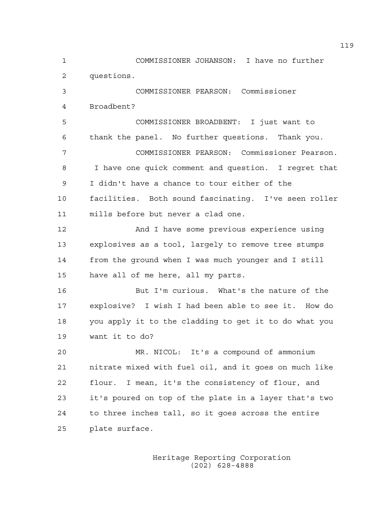1 COMMISSIONER JOHANSON: I have no further 2 questions.

3 COMMISSIONER PEARSON: Commissioner 4 Broadbent?

5 COMMISSIONER BROADBENT: I just want to 6 thank the panel. No further questions. Thank you. 7 COMMISSIONER PEARSON: Commissioner Pearson. 8 I have one quick comment and question. I regret that 9 I didn't have a chance to tour either of the 10 facilities. Both sound fascinating. I've seen roller 11 mills before but never a clad one.

12 And I have some previous experience using 13 explosives as a tool, largely to remove tree stumps 14 from the ground when I was much younger and I still 15 have all of me here, all my parts.

16 But I'm curious. What's the nature of the 17 explosive? I wish I had been able to see it. How do 18 you apply it to the cladding to get it to do what you 19 want it to do?

20 MR. NICOL: It's a compound of ammonium 21 nitrate mixed with fuel oil, and it goes on much like 22 flour. I mean, it's the consistency of flour, and 23 it's poured on top of the plate in a layer that's two 24 to three inches tall, so it goes across the entire 25 plate surface.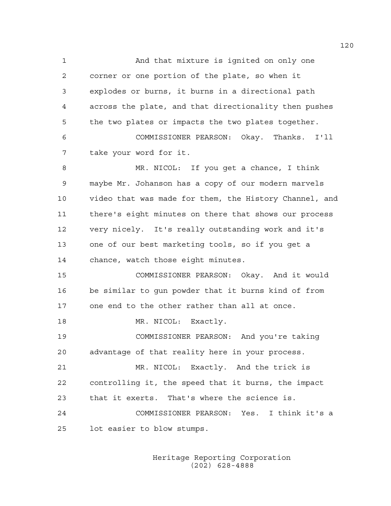1 And that mixture is ignited on only one 2 corner or one portion of the plate, so when it 3 explodes or burns, it burns in a directional path 4 across the plate, and that directionality then pushes 5 the two plates or impacts the two plates together. 6 COMMISSIONER PEARSON: Okay. Thanks. I'll 7 take your word for it. 8 MR. NICOL: If you get a chance, I think 9 maybe Mr. Johanson has a copy of our modern marvels 10 video that was made for them, the History Channel, and 11 there's eight minutes on there that shows our process 12 very nicely. It's really outstanding work and it's 13 one of our best marketing tools, so if you get a 14 chance, watch those eight minutes. 15 COMMISSIONER PEARSON: Okay. And it would 16 be similar to gun powder that it burns kind of from 17 one end to the other rather than all at once. 18 MR. NICOL: Exactly. 19 COMMISSIONER PEARSON: And you're taking 20 advantage of that reality here in your process. 21 MR. NICOL: Exactly. And the trick is 22 controlling it, the speed that it burns, the impact 23 that it exerts. That's where the science is. 24 COMMISSIONER PEARSON: Yes. I think it's a 25 lot easier to blow stumps.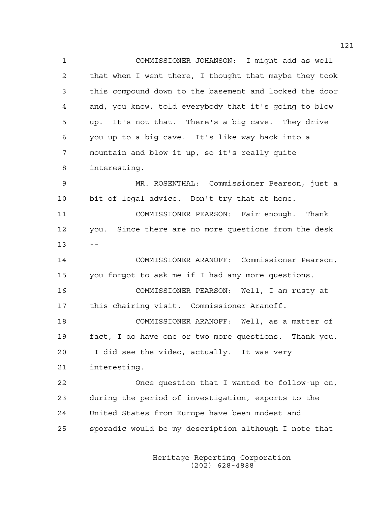1 COMMISSIONER JOHANSON: I might add as well 2 that when I went there, I thought that maybe they took 3 this compound down to the basement and locked the door 4 and, you know, told everybody that it's going to blow 5 up. It's not that. There's a big cave. They drive 6 you up to a big cave. It's like way back into a 7 mountain and blow it up, so it's really quite 8 interesting. 9 MR. ROSENTHAL: Commissioner Pearson, just a 10 bit of legal advice. Don't try that at home. 11 COMMISSIONER PEARSON: Fair enough. Thank 12 you. Since there are no more questions from the desk  $13 - -$ 14 COMMISSIONER ARANOFF: Commissioner Pearson, 15 you forgot to ask me if I had any more questions. 16 COMMISSIONER PEARSON: Well, I am rusty at 17 this chairing visit. Commissioner Aranoff. 18 COMMISSIONER ARANOFF: Well, as a matter of 19 fact, I do have one or two more questions. Thank you. 20 I did see the video, actually. It was very 21 interesting. 22 Once question that I wanted to follow-up on, 23 during the period of investigation, exports to the 24 United States from Europe have been modest and 25 sporadic would be my description although I note that

> Heritage Reporting Corporation (202) 628-4888

121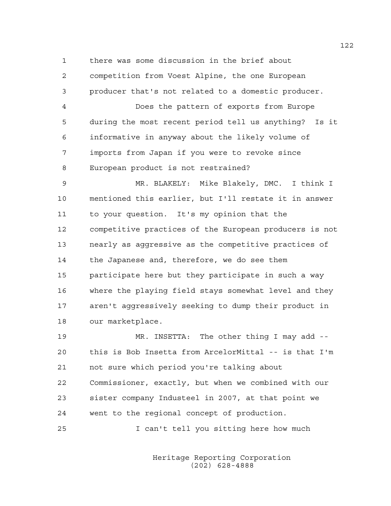1 there was some discussion in the brief about 2 competition from Voest Alpine, the one European 3 producer that's not related to a domestic producer. 4 Does the pattern of exports from Europe 5 during the most recent period tell us anything? Is it 6 informative in anyway about the likely volume of 7 imports from Japan if you were to revoke since 8 European product is not restrained?

9 MR. BLAKELY: Mike Blakely, DMC. I think I 10 mentioned this earlier, but I'll restate it in answer 11 to your question. It's my opinion that the 12 competitive practices of the European producers is not 13 nearly as aggressive as the competitive practices of 14 the Japanese and, therefore, we do see them 15 participate here but they participate in such a way 16 where the playing field stays somewhat level and they 17 aren't aggressively seeking to dump their product in 18 our marketplace.

19 MR. INSETTA: The other thing I may add -- 20 this is Bob Insetta from ArcelorMittal -- is that I'm 21 not sure which period you're talking about 22 Commissioner, exactly, but when we combined with our 23 sister company Industeel in 2007, at that point we 24 went to the regional concept of production.

25 I can't tell you sitting here how much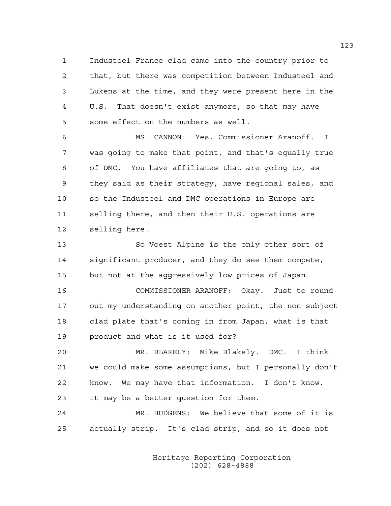1 Industeel France clad came into the country prior to 2 that, but there was competition between Industeel and 3 Lukens at the time, and they were present here in the 4 U.S. That doesn't exist anymore, so that may have 5 some effect on the numbers as well.

6 MS. CANNON: Yes, Commissioner Aranoff. I 7 was going to make that point, and that's equally true 8 of DMC. You have affiliates that are going to, as 9 they said as their strategy, have regional sales, and 10 so the Industeel and DMC operations in Europe are 11 selling there, and then their U.S. operations are 12 selling here.

13 So Voest Alpine is the only other sort of 14 significant producer, and they do see them compete, 15 but not at the aggressively low prices of Japan.

16 COMMISSIONER ARANOFF: Okay. Just to round 17 out my understanding on another point, the non-subject 18 clad plate that's coming in from Japan, what is that 19 product and what is it used for?

20 MR. BLAKELY: Mike Blakely. DMC. I think 21 we could make some assumptions, but I personally don't 22 know. We may have that information. I don't know. 23 It may be a better question for them.

24 MR. HUDGENS: We believe that some of it is 25 actually strip. It's clad strip, and so it does not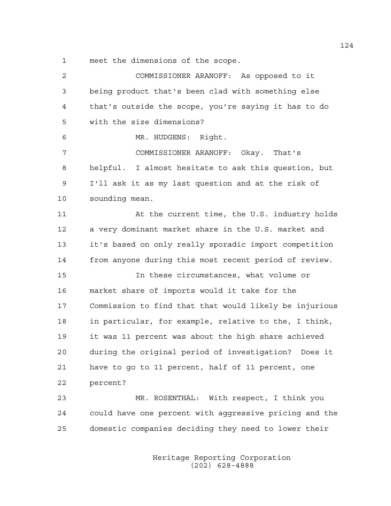1 meet the dimensions of the scope.

2 COMMISSIONER ARANOFF: As opposed to it 3 being product that's been clad with something else 4 that's outside the scope, you're saying it has to do 5 with the size dimensions? 6 MR. HUDGENS: Right. 7 COMMISSIONER ARANOFF: Okay. That's 8 helpful. I almost hesitate to ask this question, but 9 I'll ask it as my last question and at the risk of 10 sounding mean. 11 At the current time, the U.S. industry holds 12 a very dominant market share in the U.S. market and 13 it's based on only really sporadic import competition 14 from anyone during this most recent period of review. 15 In these circumstances, what volume or 16 market share of imports would it take for the 17 Commission to find that that would likely be injurious 18 in particular, for example, relative to the, I think, 19 it was 11 percent was about the high share achieved 20 during the original period of investigation? Does it 21 have to go to 11 percent, half of 11 percent, one 22 percent? 23 MR. ROSENTHAL: With respect, I think you 24 could have one percent with aggressive pricing and the 25 domestic companies deciding they need to lower their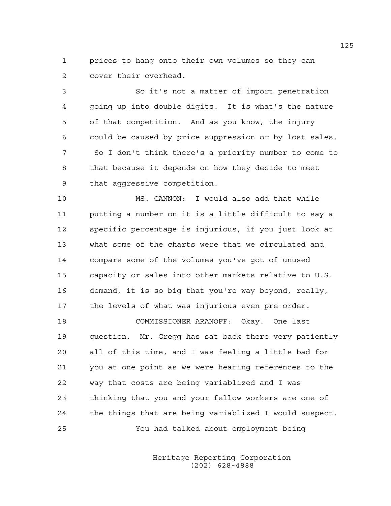1 prices to hang onto their own volumes so they can 2 cover their overhead.

3 So it's not a matter of import penetration 4 going up into double digits. It is what's the nature 5 of that competition. And as you know, the injury 6 could be caused by price suppression or by lost sales. 7 So I don't think there's a priority number to come to 8 that because it depends on how they decide to meet 9 that aggressive competition.

10 MS. CANNON: I would also add that while 11 putting a number on it is a little difficult to say a 12 specific percentage is injurious, if you just look at 13 what some of the charts were that we circulated and 14 compare some of the volumes you've got of unused 15 capacity or sales into other markets relative to U.S. 16 demand, it is so big that you're way beyond, really, 17 the levels of what was injurious even pre-order.

18 COMMISSIONER ARANOFF: Okay. One last 19 question. Mr. Gregg has sat back there very patiently 20 all of this time, and I was feeling a little bad for 21 you at one point as we were hearing references to the 22 way that costs are being variablized and I was 23 thinking that you and your fellow workers are one of 24 the things that are being variablized I would suspect. 25 You had talked about employment being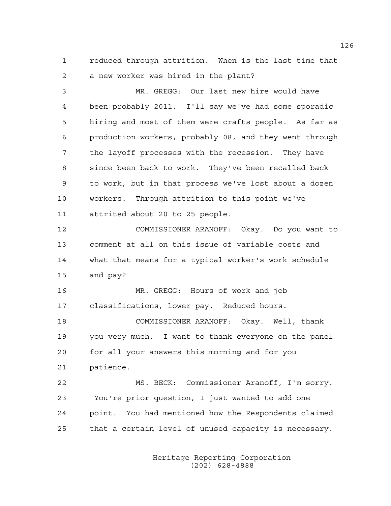1 reduced through attrition. When is the last time that 2 a new worker was hired in the plant?

3 MR. GREGG: Our last new hire would have 4 been probably 2011. I'll say we've had some sporadic 5 hiring and most of them were crafts people. As far as 6 production workers, probably 08, and they went through 7 the layoff processes with the recession. They have 8 since been back to work. They've been recalled back 9 to work, but in that process we've lost about a dozen 10 workers. Through attrition to this point we've 11 attrited about 20 to 25 people. 12 COMMISSIONER ARANOFF: Okay. Do you want to 13 comment at all on this issue of variable costs and 14 what that means for a typical worker's work schedule 15 and pay? 16 MR. GREGG: Hours of work and job 17 classifications, lower pay. Reduced hours. 18 COMMISSIONER ARANOFF: Okay. Well, thank 19 you very much. I want to thank everyone on the panel

20 for all your answers this morning and for you 21 patience.

22 MS. BECK: Commissioner Aranoff, I'm sorry. 23 You're prior question, I just wanted to add one 24 point. You had mentioned how the Respondents claimed 25 that a certain level of unused capacity is necessary.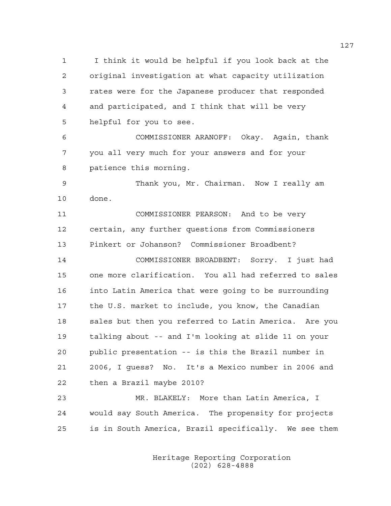1 I think it would be helpful if you look back at the 2 original investigation at what capacity utilization 3 rates were for the Japanese producer that responded 4 and participated, and I think that will be very 5 helpful for you to see.

6 COMMISSIONER ARANOFF: Okay. Again, thank 7 you all very much for your answers and for your 8 patience this morning.

9 Thank you, Mr. Chairman. Now I really am 10 done.

11 COMMISSIONER PEARSON: And to be very 12 certain, any further questions from Commissioners 13 Pinkert or Johanson? Commissioner Broadbent?

14 COMMISSIONER BROADBENT: Sorry. I just had 15 one more clarification. You all had referred to sales 16 into Latin America that were going to be surrounding 17 the U.S. market to include, you know, the Canadian 18 sales but then you referred to Latin America. Are you 19 talking about -- and I'm looking at slide 11 on your 20 public presentation -- is this the Brazil number in 21 2006, I guess? No. It's a Mexico number in 2006 and 22 then a Brazil maybe 2010?

23 MR. BLAKELY: More than Latin America, I 24 would say South America. The propensity for projects 25 is in South America, Brazil specifically. We see them

> Heritage Reporting Corporation (202) 628-4888

127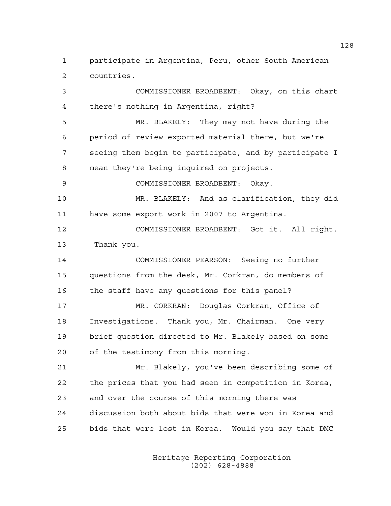1 participate in Argentina, Peru, other South American 2 countries.

3 COMMISSIONER BROADBENT: Okay, on this chart 4 there's nothing in Argentina, right? 5 MR. BLAKELY: They may not have during the 6 period of review exported material there, but we're 7 seeing them begin to participate, and by participate I 8 mean they're being inquired on projects. 9 COMMISSIONER BROADBENT: Okay. 10 MR. BLAKELY: And as clarification, they did 11 have some export work in 2007 to Argentina. 12 COMMISSIONER BROADBENT: Got it. All right. 13 Thank you. 14 COMMISSIONER PEARSON: Seeing no further 15 questions from the desk, Mr. Corkran, do members of 16 the staff have any questions for this panel? 17 MR. CORKRAN: Douglas Corkran, Office of 18 Investigations. Thank you, Mr. Chairman. One very 19 brief question directed to Mr. Blakely based on some 20 of the testimony from this morning. 21 Mr. Blakely, you've been describing some of 22 the prices that you had seen in competition in Korea, 23 and over the course of this morning there was 24 discussion both about bids that were won in Korea and 25 bids that were lost in Korea. Would you say that DMC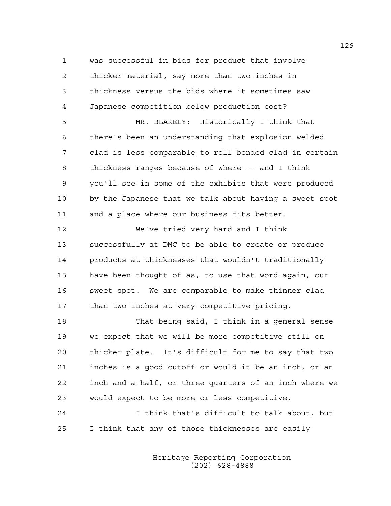1 was successful in bids for product that involve 2 thicker material, say more than two inches in 3 thickness versus the bids where it sometimes saw 4 Japanese competition below production cost?

5 MR. BLAKELY: Historically I think that 6 there's been an understanding that explosion welded 7 clad is less comparable to roll bonded clad in certain 8 thickness ranges because of where -- and I think 9 you'll see in some of the exhibits that were produced 10 by the Japanese that we talk about having a sweet spot 11 and a place where our business fits better.

12 We've tried very hard and I think 13 successfully at DMC to be able to create or produce 14 products at thicknesses that wouldn't traditionally 15 have been thought of as, to use that word again, our 16 sweet spot. We are comparable to make thinner clad 17 than two inches at very competitive pricing.

18 That being said, I think in a general sense 19 we expect that we will be more competitive still on 20 thicker plate. It's difficult for me to say that two 21 inches is a good cutoff or would it be an inch, or an 22 inch and-a-half, or three quarters of an inch where we 23 would expect to be more or less competitive.

24 I think that's difficult to talk about, but 25 I think that any of those thicknesses are easily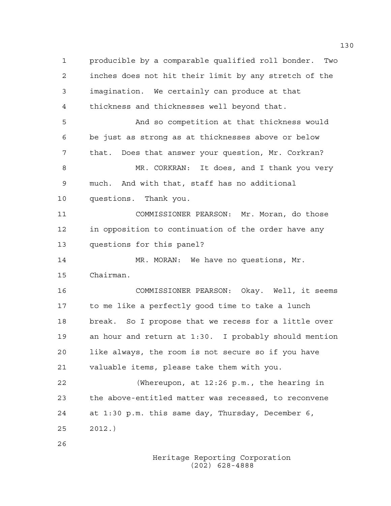1 producible by a comparable qualified roll bonder. Two 2 inches does not hit their limit by any stretch of the 3 imagination. We certainly can produce at that 4 thickness and thicknesses well beyond that. 5 And so competition at that thickness would 6 be just as strong as at thicknesses above or below 7 that. Does that answer your question, Mr. Corkran? 8 MR. CORKRAN: It does, and I thank you very 9 much. And with that, staff has no additional 10 questions. Thank you. 11 COMMISSIONER PEARSON: Mr. Moran, do those 12 in opposition to continuation of the order have any 13 questions for this panel? 14 MR. MORAN: We have no questions, Mr. 15 Chairman. 16 COMMISSIONER PEARSON: Okay. Well, it seems 17 to me like a perfectly good time to take a lunch 18 break. So I propose that we recess for a little over 19 an hour and return at 1:30. I probably should mention 20 like always, the room is not secure so if you have 21 valuable items, please take them with you. 22 (Whereupon, at 12:26 p.m., the hearing in 23 the above-entitled matter was recessed, to reconvene 24 at 1:30 p.m. this same day, Thursday, December 6, 25 2012.) 26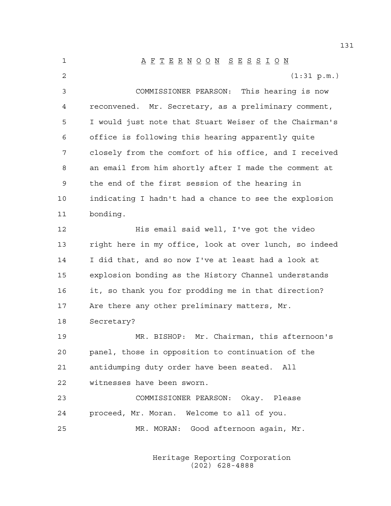1 A F T E R N O O N S E S S I O N 2 (1:31 p.m.) 3 COMMISSIONER PEARSON: This hearing is now 4 reconvened. Mr. Secretary, as a preliminary comment, 5 I would just note that Stuart Weiser of the Chairman's 6 office is following this hearing apparently quite 7 closely from the comfort of his office, and I received 8 an email from him shortly after I made the comment at 9 the end of the first session of the hearing in 10 indicating I hadn't had a chance to see the explosion 11 bonding. 12 His email said well, I've got the video 13 right here in my office, look at over lunch, so indeed 14 I did that, and so now I've at least had a look at 15 explosion bonding as the History Channel understands 16 it, so thank you for prodding me in that direction? 17 Are there any other preliminary matters, Mr. 18 Secretary? 19 MR. BISHOP: Mr. Chairman, this afternoon's 20 panel, those in opposition to continuation of the 21 antidumping duty order have been seated. All 22 witnesses have been sworn. 23 COMMISSIONER PEARSON: Okay. Please 24 proceed, Mr. Moran. Welcome to all of you. 25 MR. MORAN: Good afternoon again, Mr.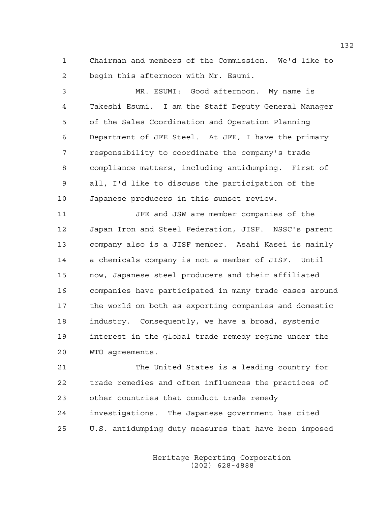1 Chairman and members of the Commission. We'd like to 2 begin this afternoon with Mr. Esumi.

3 MR. ESUMI: Good afternoon. My name is 4 Takeshi Esumi. I am the Staff Deputy General Manager 5 of the Sales Coordination and Operation Planning 6 Department of JFE Steel. At JFE, I have the primary 7 responsibility to coordinate the company's trade 8 compliance matters, including antidumping. First of 9 all, I'd like to discuss the participation of the 10 Japanese producers in this sunset review.

11 JFE and JSW are member companies of the 12 Japan Iron and Steel Federation, JISF. NSSC's parent 13 company also is a JISF member. Asahi Kasei is mainly 14 a chemicals company is not a member of JISF. Until 15 now, Japanese steel producers and their affiliated 16 companies have participated in many trade cases around 17 the world on both as exporting companies and domestic 18 industry. Consequently, we have a broad, systemic 19 interest in the global trade remedy regime under the 20 WTO agreements.

21 The United States is a leading country for 22 trade remedies and often influences the practices of 23 other countries that conduct trade remedy 24 investigations. The Japanese government has cited 25 U.S. antidumping duty measures that have been imposed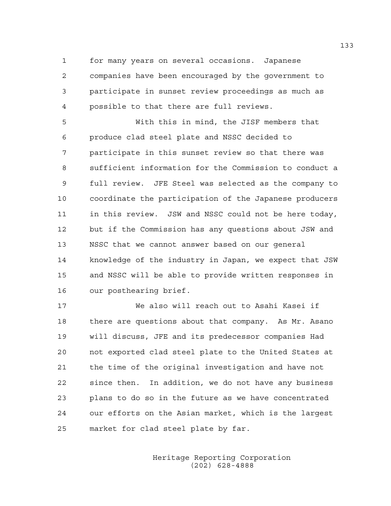1 for many years on several occasions. Japanese 2 companies have been encouraged by the government to 3 participate in sunset review proceedings as much as 4 possible to that there are full reviews.

5 With this in mind, the JISF members that 6 produce clad steel plate and NSSC decided to 7 participate in this sunset review so that there was 8 sufficient information for the Commission to conduct a 9 full review. JFE Steel was selected as the company to 10 coordinate the participation of the Japanese producers 11 in this review. JSW and NSSC could not be here today, 12 but if the Commission has any questions about JSW and 13 NSSC that we cannot answer based on our general 14 knowledge of the industry in Japan, we expect that JSW 15 and NSSC will be able to provide written responses in 16 our posthearing brief.

17 We also will reach out to Asahi Kasei if 18 there are questions about that company. As Mr. Asano 19 will discuss, JFE and its predecessor companies Had 20 not exported clad steel plate to the United States at 21 the time of the original investigation and have not 22 since then. In addition, we do not have any business 23 plans to do so in the future as we have concentrated 24 our efforts on the Asian market, which is the largest 25 market for clad steel plate by far.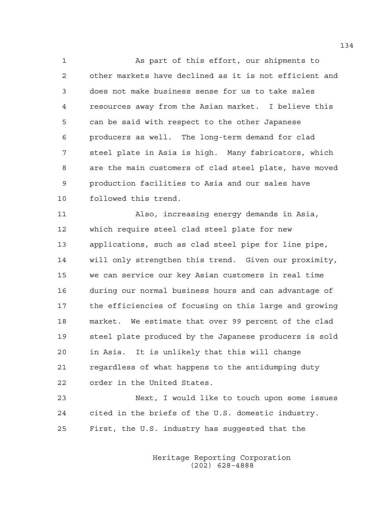1 As part of this effort, our shipments to 2 other markets have declined as it is not efficient and 3 does not make business sense for us to take sales 4 resources away from the Asian market. I believe this 5 can be said with respect to the other Japanese 6 producers as well. The long-term demand for clad 7 steel plate in Asia is high. Many fabricators, which 8 are the main customers of clad steel plate, have moved 9 production facilities to Asia and our sales have 10 followed this trend.

11 Also, increasing energy demands in Asia, 12 which require steel clad steel plate for new 13 applications, such as clad steel pipe for line pipe, 14 will only strengthen this trend. Given our proximity, 15 we can service our key Asian customers in real time 16 during our normal business hours and can advantage of 17 the efficiencies of focusing on this large and growing 18 market. We estimate that over 99 percent of the clad 19 steel plate produced by the Japanese producers is sold 20 in Asia. It is unlikely that this will change 21 regardless of what happens to the antidumping duty 22 order in the United States.

23 Next, I would like to touch upon some issues 24 cited in the briefs of the U.S. domestic industry. 25 First, the U.S. industry has suggested that the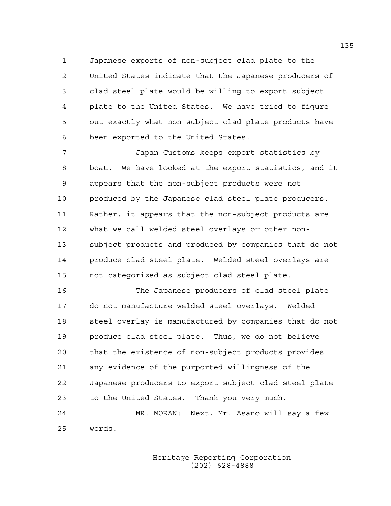1 Japanese exports of non-subject clad plate to the 2 United States indicate that the Japanese producers of 3 clad steel plate would be willing to export subject 4 plate to the United States. We have tried to figure 5 out exactly what non-subject clad plate products have 6 been exported to the United States.

7 Japan Customs keeps export statistics by 8 boat. We have looked at the export statistics, and it 9 appears that the non-subject products were not 10 produced by the Japanese clad steel plate producers. 11 Rather, it appears that the non-subject products are 12 what we call welded steel overlays or other non-13 subject products and produced by companies that do not 14 produce clad steel plate. Welded steel overlays are 15 not categorized as subject clad steel plate.

16 The Japanese producers of clad steel plate 17 do not manufacture welded steel overlays. Welded 18 steel overlay is manufactured by companies that do not 19 produce clad steel plate. Thus, we do not believe 20 that the existence of non-subject products provides 21 any evidence of the purported willingness of the 22 Japanese producers to export subject clad steel plate 23 to the United States. Thank you very much. 24 MR. MORAN: Next, Mr. Asano will say a few

25 words.

 Heritage Reporting Corporation (202) 628-4888

135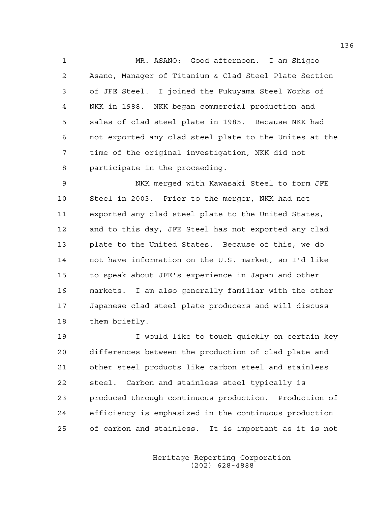1 MR. ASANO: Good afternoon. I am Shigeo 2 Asano, Manager of Titanium & Clad Steel Plate Section 3 of JFE Steel. I joined the Fukuyama Steel Works of 4 NKK in 1988. NKK began commercial production and 5 sales of clad steel plate in 1985. Because NKK had 6 not exported any clad steel plate to the Unites at the 7 time of the original investigation, NKK did not 8 participate in the proceeding.

9 NKK merged with Kawasaki Steel to form JFE 10 Steel in 2003. Prior to the merger, NKK had not 11 exported any clad steel plate to the United States, 12 and to this day, JFE Steel has not exported any clad 13 plate to the United States. Because of this, we do 14 not have information on the U.S. market, so I'd like 15 to speak about JFE's experience in Japan and other 16 markets. I am also generally familiar with the other 17 Japanese clad steel plate producers and will discuss 18 them briefly.

19 I would like to touch quickly on certain key 20 differences between the production of clad plate and 21 other steel products like carbon steel and stainless 22 steel. Carbon and stainless steel typically is 23 produced through continuous production. Production of 24 efficiency is emphasized in the continuous production 25 of carbon and stainless. It is important as it is not

> Heritage Reporting Corporation (202) 628-4888

136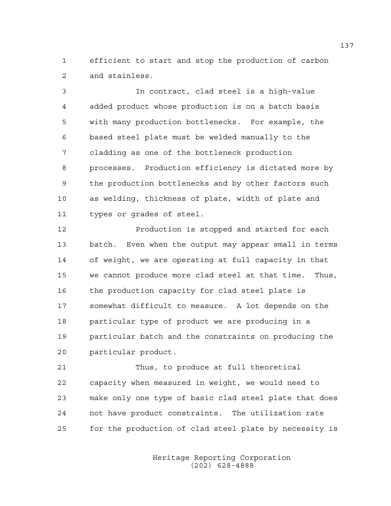1 efficient to start and stop the production of carbon 2 and stainless.

3 In contract, clad steel is a high-value 4 added product whose production is on a batch basis 5 with many production bottlenecks. For example, the 6 based steel plate must be welded manually to the 7 cladding as one of the bottleneck production 8 processes. Production efficiency is dictated more by 9 the production bottlenecks and by other factors such 10 as welding, thickness of plate, width of plate and 11 types or grades of steel.

12 Production is stopped and started for each 13 batch. Even when the output may appear small in terms 14 of weight, we are operating at full capacity in that 15 we cannot produce more clad steel at that time. Thus, 16 the production capacity for clad steel plate is 17 somewhat difficult to measure. A lot depends on the 18 particular type of product we are producing in a 19 particular batch and the constraints on producing the 20 particular product.

21 Thus, to produce at full theoretical 22 capacity when measured in weight, we would need to 23 make only one type of basic clad steel plate that does 24 not have product constraints. The utilization rate 25 for the production of clad steel plate by necessity is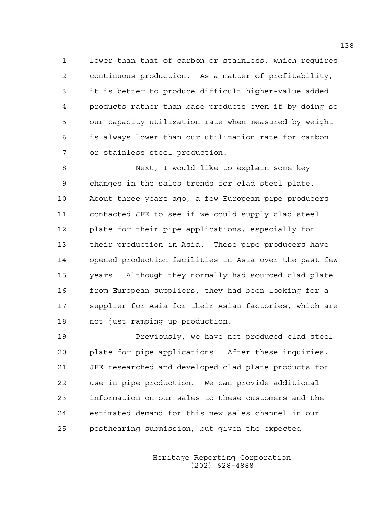1 lower than that of carbon or stainless, which requires 2 continuous production. As a matter of profitability, 3 it is better to produce difficult higher-value added 4 products rather than base products even if by doing so 5 our capacity utilization rate when measured by weight 6 is always lower than our utilization rate for carbon 7 or stainless steel production.

8 Next, I would like to explain some key 9 changes in the sales trends for clad steel plate. 10 About three years ago, a few European pipe producers 11 contacted JFE to see if we could supply clad steel 12 plate for their pipe applications, especially for 13 their production in Asia. These pipe producers have 14 opened production facilities in Asia over the past few 15 years. Although they normally had sourced clad plate 16 from European suppliers, they had been looking for a 17 supplier for Asia for their Asian factories, which are 18 not just ramping up production.

19 Previously, we have not produced clad steel 20 plate for pipe applications. After these inquiries, 21 JFE researched and developed clad plate products for 22 use in pipe production. We can provide additional 23 information on our sales to these customers and the 24 estimated demand for this new sales channel in our 25 posthearing submission, but given the expected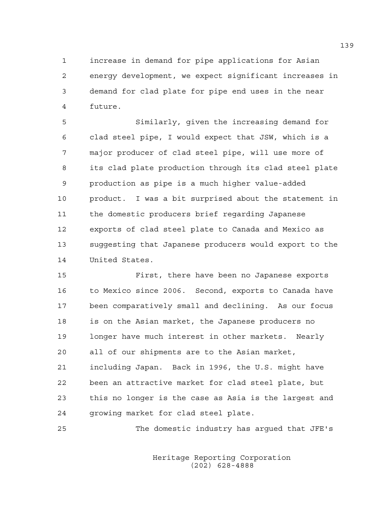1 increase in demand for pipe applications for Asian 2 energy development, we expect significant increases in 3 demand for clad plate for pipe end uses in the near 4 future.

5 Similarly, given the increasing demand for 6 clad steel pipe, I would expect that JSW, which is a 7 major producer of clad steel pipe, will use more of 8 its clad plate production through its clad steel plate 9 production as pipe is a much higher value-added 10 product. I was a bit surprised about the statement in 11 the domestic producers brief regarding Japanese 12 exports of clad steel plate to Canada and Mexico as 13 suggesting that Japanese producers would export to the 14 United States.

15 First, there have been no Japanese exports 16 to Mexico since 2006. Second, exports to Canada have 17 been comparatively small and declining. As our focus 18 is on the Asian market, the Japanese producers no 19 longer have much interest in other markets. Nearly 20 all of our shipments are to the Asian market, 21 including Japan. Back in 1996, the U.S. might have 22 been an attractive market for clad steel plate, but 23 this no longer is the case as Asia is the largest and 24 growing market for clad steel plate.

25 The domestic industry has argued that JFE's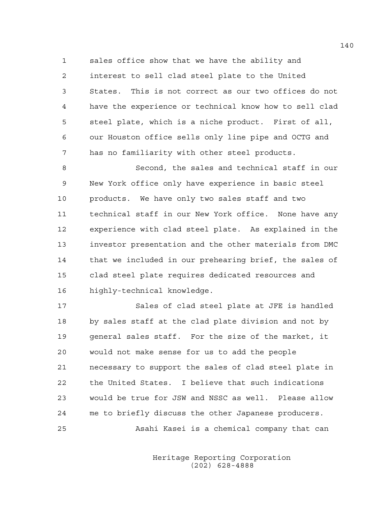1 sales office show that we have the ability and 2 interest to sell clad steel plate to the United 3 States. This is not correct as our two offices do not 4 have the experience or technical know how to sell clad 5 steel plate, which is a niche product. First of all, 6 our Houston office sells only line pipe and OCTG and 7 has no familiarity with other steel products.

8 Second, the sales and technical staff in our 9 New York office only have experience in basic steel 10 products. We have only two sales staff and two 11 technical staff in our New York office. None have any 12 experience with clad steel plate. As explained in the 13 investor presentation and the other materials from DMC 14 that we included in our prehearing brief, the sales of 15 clad steel plate requires dedicated resources and 16 highly-technical knowledge.

17 Sales of clad steel plate at JFE is handled 18 by sales staff at the clad plate division and not by 19 general sales staff. For the size of the market, it 20 would not make sense for us to add the people 21 necessary to support the sales of clad steel plate in 22 the United States. I believe that such indications 23 would be true for JSW and NSSC as well. Please allow 24 me to briefly discuss the other Japanese producers. 25 Asahi Kasei is a chemical company that can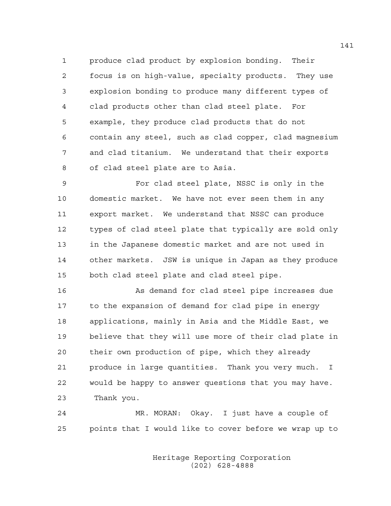1 produce clad product by explosion bonding. Their 2 focus is on high-value, specialty products. They use 3 explosion bonding to produce many different types of 4 clad products other than clad steel plate. For 5 example, they produce clad products that do not 6 contain any steel, such as clad copper, clad magnesium 7 and clad titanium. We understand that their exports 8 of clad steel plate are to Asia.

9 For clad steel plate, NSSC is only in the 10 domestic market. We have not ever seen them in any 11 export market. We understand that NSSC can produce 12 types of clad steel plate that typically are sold only 13 in the Japanese domestic market and are not used in 14 other markets. JSW is unique in Japan as they produce 15 both clad steel plate and clad steel pipe.

16 As demand for clad steel pipe increases due 17 to the expansion of demand for clad pipe in energy 18 applications, mainly in Asia and the Middle East, we 19 believe that they will use more of their clad plate in 20 their own production of pipe, which they already 21 produce in large quantities. Thank you very much. I 22 would be happy to answer questions that you may have. 23 Thank you.

24 MR. MORAN: Okay. I just have a couple of 25 points that I would like to cover before we wrap up to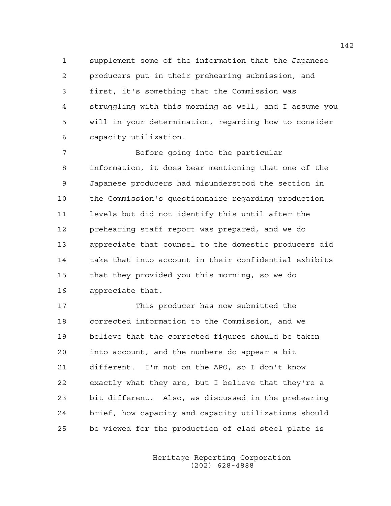1 supplement some of the information that the Japanese 2 producers put in their prehearing submission, and 3 first, it's something that the Commission was 4 struggling with this morning as well, and I assume you 5 will in your determination, regarding how to consider 6 capacity utilization.

7 Before going into the particular 8 information, it does bear mentioning that one of the 9 Japanese producers had misunderstood the section in 10 the Commission's questionnaire regarding production 11 levels but did not identify this until after the 12 prehearing staff report was prepared, and we do 13 appreciate that counsel to the domestic producers did 14 take that into account in their confidential exhibits 15 that they provided you this morning, so we do 16 appreciate that.

17 This producer has now submitted the 18 corrected information to the Commission, and we 19 believe that the corrected figures should be taken 20 into account, and the numbers do appear a bit 21 different. I'm not on the APO, so I don't know 22 exactly what they are, but I believe that they're a 23 bit different. Also, as discussed in the prehearing 24 brief, how capacity and capacity utilizations should 25 be viewed for the production of clad steel plate is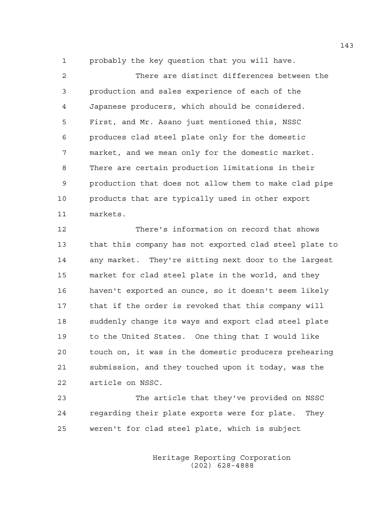1 probably the key question that you will have.

2 There are distinct differences between the 3 production and sales experience of each of the 4 Japanese producers, which should be considered. 5 First, and Mr. Asano just mentioned this, NSSC 6 produces clad steel plate only for the domestic 7 market, and we mean only for the domestic market. 8 There are certain production limitations in their 9 production that does not allow them to make clad pipe 10 products that are typically used in other export 11 markets.

12 There's information on record that shows 13 that this company has not exported clad steel plate to 14 any market. They're sitting next door to the largest 15 market for clad steel plate in the world, and they 16 haven't exported an ounce, so it doesn't seem likely 17 that if the order is revoked that this company will 18 suddenly change its ways and export clad steel plate 19 to the United States. One thing that I would like 20 touch on, it was in the domestic producers prehearing 21 submission, and they touched upon it today, was the 22 article on NSSC.

23 The article that they've provided on NSSC 24 regarding their plate exports were for plate. They 25 weren't for clad steel plate, which is subject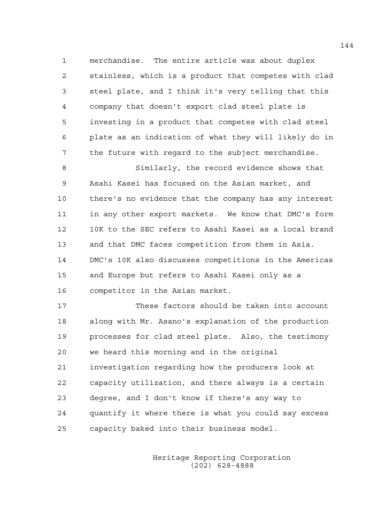1 merchandise. The entire article was about duplex 2 stainless, which is a product that competes with clad 3 steel plate, and I think it's very telling that this 4 company that doesn't export clad steel plate is 5 investing in a product that competes with clad steel 6 plate as an indication of what they will likely do in 7 the future with regard to the subject merchandise.

8 Similarly, the record evidence shows that 9 Asahi Kasei has focused on the Asian market, and 10 there's no evidence that the company has any interest 11 in any other export markets. We know that DMC's form 12 10K to the SEC refers to Asahi Kasei as a local brand 13 and that DMC faces competition from them in Asia. 14 DMC's 10K also discusses competitions in the Americas 15 and Europe but refers to Asahi Kasei only as a 16 competitor in the Asian market.

17 These factors should be taken into account 18 along with Mr. Asano's explanation of the production 19 processes for clad steel plate. Also, the testimony 20 we heard this morning and in the original 21 investigation regarding how the producers look at 22 capacity utilization, and there always is a certain 23 degree, and I don't know if there's any way to 24 quantify it where there is what you could say excess 25 capacity baked into their business model.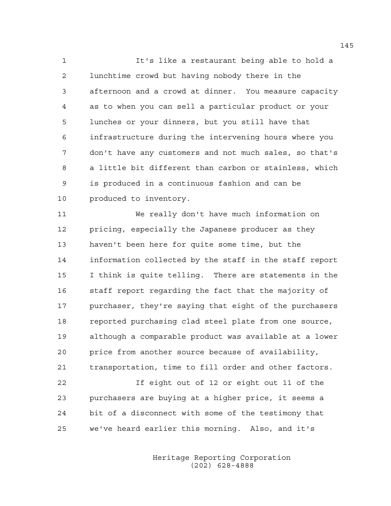1 It's like a restaurant being able to hold a 2 lunchtime crowd but having nobody there in the 3 afternoon and a crowd at dinner. You measure capacity 4 as to when you can sell a particular product or your 5 lunches or your dinners, but you still have that 6 infrastructure during the intervening hours where you 7 don't have any customers and not much sales, so that's 8 a little bit different than carbon or stainless, which 9 is produced in a continuous fashion and can be 10 produced to inventory.

11 We really don't have much information on 12 pricing, especially the Japanese producer as they 13 haven't been here for quite some time, but the 14 information collected by the staff in the staff report 15 I think is quite telling. There are statements in the 16 staff report regarding the fact that the majority of 17 purchaser, they're saying that eight of the purchasers 18 reported purchasing clad steel plate from one source, 19 although a comparable product was available at a lower 20 price from another source because of availability, 21 transportation, time to fill order and other factors. 22 If eight out of 12 or eight out 11 of the 23 purchasers are buying at a higher price, it seems a 24 bit of a disconnect with some of the testimony that

25 we've heard earlier this morning. Also, and it's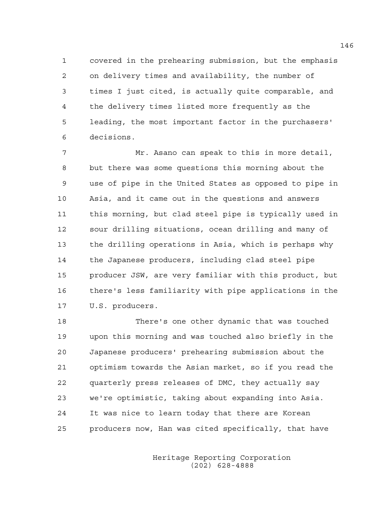1 covered in the prehearing submission, but the emphasis 2 on delivery times and availability, the number of 3 times I just cited, is actually quite comparable, and 4 the delivery times listed more frequently as the 5 leading, the most important factor in the purchasers' 6 decisions.

7 Mr. Asano can speak to this in more detail, 8 but there was some questions this morning about the 9 use of pipe in the United States as opposed to pipe in 10 Asia, and it came out in the questions and answers 11 this morning, but clad steel pipe is typically used in 12 sour drilling situations, ocean drilling and many of 13 the drilling operations in Asia, which is perhaps why 14 the Japanese producers, including clad steel pipe 15 producer JSW, are very familiar with this product, but 16 there's less familiarity with pipe applications in the 17 U.S. producers.

18 There's one other dynamic that was touched 19 upon this morning and was touched also briefly in the 20 Japanese producers' prehearing submission about the 21 optimism towards the Asian market, so if you read the 22 quarterly press releases of DMC, they actually say 23 we're optimistic, taking about expanding into Asia. 24 It was nice to learn today that there are Korean 25 producers now, Han was cited specifically, that have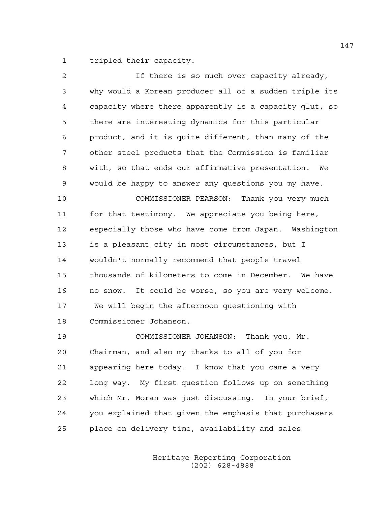1 tripled their capacity.

| If there is so much over capacity already,             |
|--------------------------------------------------------|
| why would a Korean producer all of a sudden triple its |
| capacity where there apparently is a capacity glut, so |
| there are interesting dynamics for this particular     |
| product, and it is quite different, than many of the   |
| other steel products that the Commission is familiar   |
| with, so that ends our affirmative presentation. We    |
| would be happy to answer any questions you my have.    |
| COMMISSIONER PEARSON: Thank you very much              |
| for that testimony. We appreciate you being here,      |
| especially those who have come from Japan. Washington  |
| is a pleasant city in most circumstances, but I        |
| wouldn't normally recommend that people travel         |
| thousands of kilometers to come in December. We have   |
| no snow. It could be worse, so you are very welcome.   |
| We will begin the afternoon questioning with           |
| Commissioner Johanson.                                 |
| COMMISSIONER JOHANSON: Thank you, Mr.                  |
| Chairman, and also my thanks to all of you for         |
| appearing here today. I know that you came a very      |
| long way. My first question follows up on something    |
| which Mr. Moran was just discussing. In your brief,    |
| you explained that given the emphasis that purchasers  |
|                                                        |

25 place on delivery time, availability and sales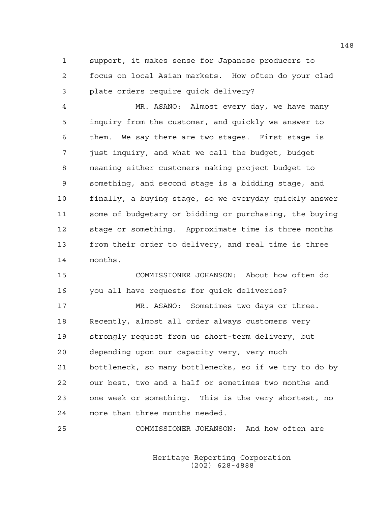1 support, it makes sense for Japanese producers to 2 focus on local Asian markets. How often do your clad 3 plate orders require quick delivery?

4 MR. ASANO: Almost every day, we have many 5 inquiry from the customer, and quickly we answer to 6 them. We say there are two stages. First stage is 7 just inquiry, and what we call the budget, budget 8 meaning either customers making project budget to 9 something, and second stage is a bidding stage, and 10 finally, a buying stage, so we everyday quickly answer 11 some of budgetary or bidding or purchasing, the buying 12 stage or something. Approximate time is three months 13 from their order to delivery, and real time is three 14 months.

15 COMMISSIONER JOHANSON: About how often do 16 you all have requests for quick deliveries?

17 MR. ASANO: Sometimes two days or three. 18 Recently, almost all order always customers very 19 strongly request from us short-term delivery, but 20 depending upon our capacity very, very much 21 bottleneck, so many bottlenecks, so if we try to do by 22 our best, two and a half or sometimes two months and 23 one week or something. This is the very shortest, no 24 more than three months needed.

25 COMMISSIONER JOHANSON: And how often are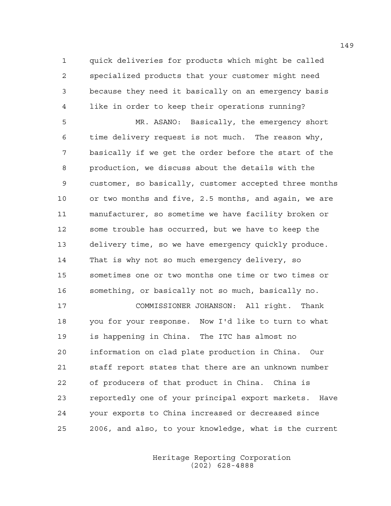1 quick deliveries for products which might be called 2 specialized products that your customer might need 3 because they need it basically on an emergency basis 4 like in order to keep their operations running?

5 MR. ASANO: Basically, the emergency short 6 time delivery request is not much. The reason why, 7 basically if we get the order before the start of the 8 production, we discuss about the details with the 9 customer, so basically, customer accepted three months 10 or two months and five, 2.5 months, and again, we are 11 manufacturer, so sometime we have facility broken or 12 some trouble has occurred, but we have to keep the 13 delivery time, so we have emergency quickly produce. 14 That is why not so much emergency delivery, so 15 sometimes one or two months one time or two times or 16 something, or basically not so much, basically no.

17 COMMISSIONER JOHANSON: All right. Thank 18 you for your response. Now I'd like to turn to what 19 is happening in China. The ITC has almost no 20 information on clad plate production in China. Our 21 staff report states that there are an unknown number 22 of producers of that product in China. China is 23 reportedly one of your principal export markets. Have 24 your exports to China increased or decreased since 25 2006, and also, to your knowledge, what is the current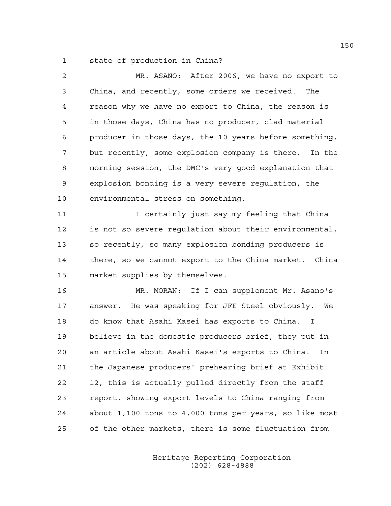1 state of production in China?

| 2  | MR. ASANO: After 2006, we have no export to            |
|----|--------------------------------------------------------|
| 3  | China, and recently, some orders we received.<br>The   |
| 4  | reason why we have no export to China, the reason is   |
| 5  | in those days, China has no producer, clad material    |
| 6  | producer in those days, the 10 years before something, |
| 7  | but recently, some explosion company is there. In the  |
| 8  | morning session, the DMC's very good explanation that  |
| 9  | explosion bonding is a very severe regulation, the     |
| 10 | environmental stress on something.                     |
| 11 | I certainly just say my feeling that China             |
| 12 | is not so severe regulation about their environmental, |
| 13 | so recently, so many explosion bonding producers is    |
| 14 | there, so we cannot export to the China market. China  |
| 15 | market supplies by themselves.                         |
| 16 | MR. MORAN: If I can supplement Mr. Asano's             |
| 17 | answer. He was speaking for JFE Steel obviously.<br>We |
| 18 | do know that Asahi Kasei has exports to China. I       |
| 19 | believe in the domestic producers brief, they put in   |
| 20 | an article about Asahi Kasei's exports to China.<br>In |
| 21 | the Japanese producers' prehearing brief at Exhibit    |
| 22 | 12, this is actually pulled directly from the staff    |
| 23 | report, showing export levels to China ranging from    |
| 24 | about 1,100 tons to 4,000 tons per years, so like most |
| 25 | of the other markets, there is some fluctuation from   |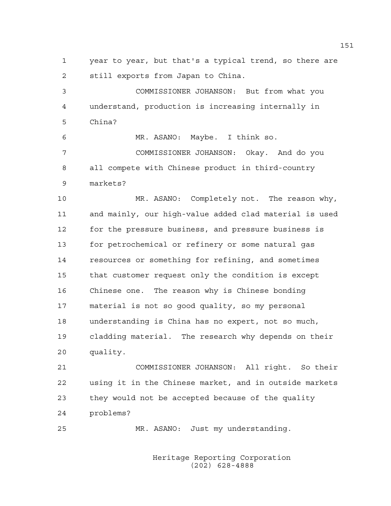1 year to year, but that's a typical trend, so there are 2 still exports from Japan to China.

3 COMMISSIONER JOHANSON: But from what you 4 understand, production is increasing internally in 5 China?

6 MR. ASANO: Maybe. I think so. 7 COMMISSIONER JOHANSON: Okay. And do you 8 all compete with Chinese product in third-country 9 markets?

10 MR. ASANO: Completely not. The reason why, 11 and mainly, our high-value added clad material is used 12 for the pressure business, and pressure business is 13 for petrochemical or refinery or some natural gas 14 resources or something for refining, and sometimes 15 that customer request only the condition is except 16 Chinese one. The reason why is Chinese bonding 17 material is not so good quality, so my personal 18 understanding is China has no expert, not so much, 19 cladding material. The research why depends on their 20 quality.

21 COMMISSIONER JOHANSON: All right. So their 22 using it in the Chinese market, and in outside markets 23 they would not be accepted because of the quality 24 problems?

25 MR. ASANO: Just my understanding.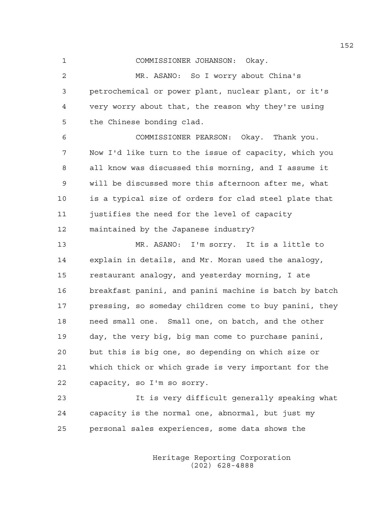1 COMMISSIONER JOHANSON: Okay.

2 MR. ASANO: So I worry about China's 3 petrochemical or power plant, nuclear plant, or it's 4 very worry about that, the reason why they're using 5 the Chinese bonding clad.

6 COMMISSIONER PEARSON: Okay. Thank you. 7 Now I'd like turn to the issue of capacity, which you 8 all know was discussed this morning, and I assume it 9 will be discussed more this afternoon after me, what 10 is a typical size of orders for clad steel plate that 11 justifies the need for the level of capacity 12 maintained by the Japanese industry?

13 MR. ASANO: I'm sorry. It is a little to 14 explain in details, and Mr. Moran used the analogy, 15 restaurant analogy, and yesterday morning, I ate 16 breakfast panini, and panini machine is batch by batch 17 pressing, so someday children come to buy panini, they 18 need small one. Small one, on batch, and the other 19 day, the very big, big man come to purchase panini, 20 but this is big one, so depending on which size or 21 which thick or which grade is very important for the 22 capacity, so I'm so sorry.

23 It is very difficult generally speaking what 24 capacity is the normal one, abnormal, but just my 25 personal sales experiences, some data shows the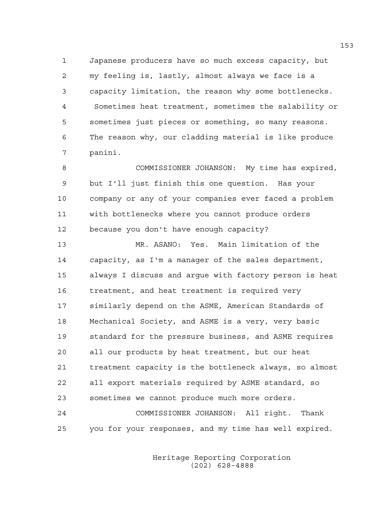1 Japanese producers have so much excess capacity, but 2 my feeling is, lastly, almost always we face is a 3 capacity limitation, the reason why some bottlenecks. 4 Sometimes heat treatment, sometimes the salability or 5 sometimes just pieces or something, so many reasons. 6 The reason why, our cladding material is like produce 7 panini.

8 COMMISSIONER JOHANSON: My time has expired, 9 but I'll just finish this one question. Has your 10 company or any of your companies ever faced a problem 11 with bottlenecks where you cannot produce orders 12 because you don't have enough capacity?

13 MR. ASANO: Yes. Main limitation of the 14 capacity, as I'm a manager of the sales department, 15 always I discuss and argue with factory person is heat 16 treatment, and heat treatment is required very 17 similarly depend on the ASME, American Standards of 18 Mechanical Society, and ASME is a very, very basic 19 standard for the pressure business, and ASME requires 20 all our products by heat treatment, but our heat 21 treatment capacity is the bottleneck always, so almost 22 all export materials required by ASME standard, so 23 sometimes we cannot produce much more orders. 24 COMMISSIONER JOHANSON: All right. Thank

25 you for your responses, and my time has well expired.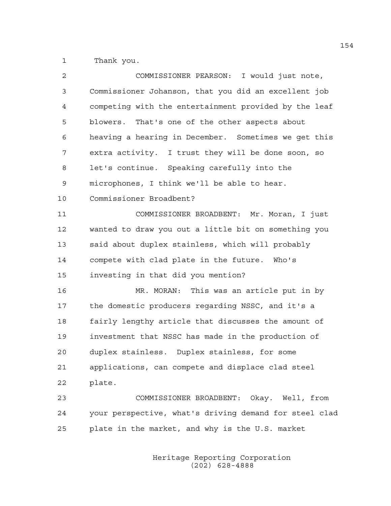1 Thank you.

| $\overline{2}$ | COMMISSIONER PEARSON: I would just note,               |
|----------------|--------------------------------------------------------|
| 3              | Commissioner Johanson, that you did an excellent job   |
| 4              | competing with the entertainment provided by the leaf  |
| 5              | blowers. That's one of the other aspects about         |
| 6              | heaving a hearing in December. Sometimes we get this   |
| 7              | extra activity. I trust they will be done soon, so     |
| 8              | let's continue. Speaking carefully into the            |
| 9              | microphones, I think we'll be able to hear.            |
| 10             | Commissioner Broadbent?                                |
| 11             | COMMISSIONER BROADBENT: Mr. Moran, I just              |
| 12             | wanted to draw you out a little bit on something you   |
| 13             | said about duplex stainless, which will probably       |
| 14             | compete with clad plate in the future. Who's           |
| 15             | investing in that did you mention?                     |
| 16             | MR. MORAN: This was an article put in by               |
| 17             | the domestic producers regarding NSSC, and it's a      |
| 18             | fairly lengthy article that discusses the amount of    |
| 19             | investment that NSSC has made in the production of     |
| 20             | duplex stainless. Duplex stainless, for some           |
| 21             | applications, can compete and displace clad steel      |
| 22             | plate.                                                 |
| 23             | COMMISSIONER BROADBENT: Okay. Well, from               |
| 24             | your perspective, what's driving demand for steel clad |
| 25             | plate in the market, and why is the U.S. market        |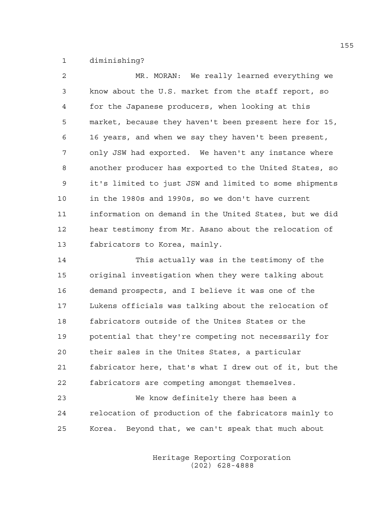1 diminishing?

| $\mathfrak{D}$ | MR. MORAN: We really learned everything we             |
|----------------|--------------------------------------------------------|
| 3              | know about the U.S. market from the staff report, so   |
| 4              | for the Japanese producers, when looking at this       |
| 5              | market, because they haven't been present here for 15, |
| 6              | 16 years, and when we say they haven't been present,   |
| 7              | only JSW had exported. We haven't any instance where   |
| 8              | another producer has exported to the United States, so |
| 9              | it's limited to just JSW and limited to some shipments |
| 10             | in the 1980s and 1990s, so we don't have current       |
| 11             | information on demand in the United States, but we did |
| 12             | hear testimony from Mr. Asano about the relocation of  |
| 13             | fabricators to Korea, mainly.                          |

14 This actually was in the testimony of the 15 original investigation when they were talking about 16 demand prospects, and I believe it was one of the 17 Lukens officials was talking about the relocation of 18 fabricators outside of the Unites States or the 19 potential that they're competing not necessarily for 20 their sales in the Unites States, a particular 21 fabricator here, that's what I drew out of it, but the 22 fabricators are competing amongst themselves.

23 We know definitely there has been a 24 relocation of production of the fabricators mainly to 25 Korea. Beyond that, we can't speak that much about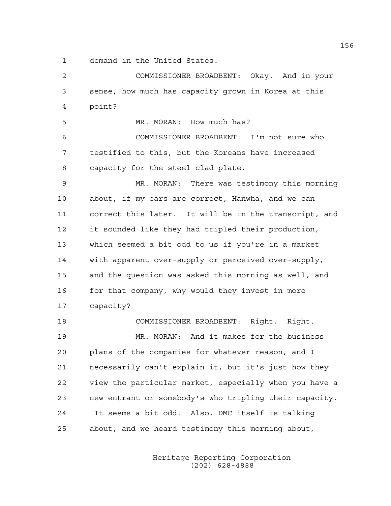1 demand in the United States.

2 COMMISSIONER BROADBENT: Okay. And in your 3 sense, how much has capacity grown in Korea at this 4 point? 5 MR. MORAN: How much has? 6 COMMISSIONER BROADBENT: I'm not sure who 7 testified to this, but the Koreans have increased 8 capacity for the steel clad plate. 9 MR. MORAN: There was testimony this morning 10 about, if my ears are correct, Hanwha, and we can 11 correct this later. It will be in the transcript, and 12 it sounded like they had tripled their production, 13 which seemed a bit odd to us if you're in a market 14 with apparent over-supply or perceived over-supply, 15 and the question was asked this morning as well, and 16 for that company, why would they invest in more 17 capacity? 18 COMMISSIONER BROADBENT: Right. Right. 19 MR. MORAN: And it makes for the business 20 plans of the companies for whatever reason, and I 21 necessarily can't explain it, but it's just how they 22 view the particular market, especially when you have a 23 new entrant or somebody's who tripling their capacity. 24 It seems a bit odd. Also, DMC itself is talking 25 about, and we heard testimony this morning about,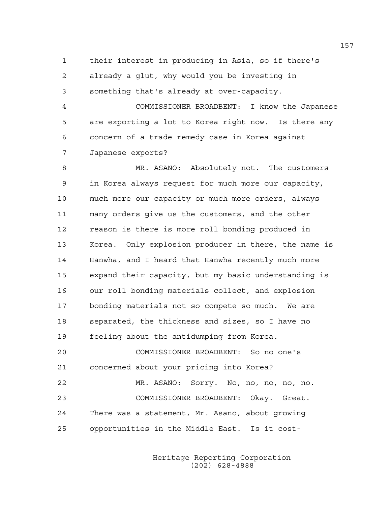1 their interest in producing in Asia, so if there's 2 already a glut, why would you be investing in 3 something that's already at over-capacity.

4 COMMISSIONER BROADBENT: I know the Japanese 5 are exporting a lot to Korea right now. Is there any 6 concern of a trade remedy case in Korea against 7 Japanese exports?

8 MR. ASANO: Absolutely not. The customers 9 in Korea always request for much more our capacity, 10 much more our capacity or much more orders, always 11 many orders give us the customers, and the other 12 reason is there is more roll bonding produced in 13 Korea. Only explosion producer in there, the name is 14 Hanwha, and I heard that Hanwha recently much more 15 expand their capacity, but my basic understanding is 16 our roll bonding materials collect, and explosion 17 bonding materials not so compete so much. We are 18 separated, the thickness and sizes, so I have no 19 feeling about the antidumping from Korea.

20 COMMISSIONER BROADBENT: So no one's 21 concerned about your pricing into Korea? 22 MR. ASANO: Sorry. No, no, no, no, no. 23 COMMISSIONER BROADBENT: Okay. Great. 24 There was a statement, Mr. Asano, about growing 25 opportunities in the Middle East. Is it cost-

> Heritage Reporting Corporation (202) 628-4888

157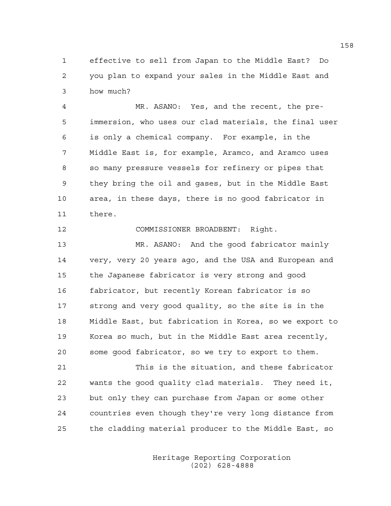1 effective to sell from Japan to the Middle East? Do 2 you plan to expand your sales in the Middle East and 3 how much?

4 MR. ASANO: Yes, and the recent, the pre-5 immersion, who uses our clad materials, the final user 6 is only a chemical company. For example, in the 7 Middle East is, for example, Aramco, and Aramco uses 8 so many pressure vessels for refinery or pipes that 9 they bring the oil and gases, but in the Middle East 10 area, in these days, there is no good fabricator in 11 there.

12 COMMISSIONER BROADBENT: Right.

13 MR. ASANO: And the good fabricator mainly 14 very, very 20 years ago, and the USA and European and 15 the Japanese fabricator is very strong and good 16 fabricator, but recently Korean fabricator is so 17 strong and very good quality, so the site is in the 18 Middle East, but fabrication in Korea, so we export to 19 Korea so much, but in the Middle East area recently, 20 some good fabricator, so we try to export to them.

21 This is the situation, and these fabricator 22 wants the good quality clad materials. They need it, 23 but only they can purchase from Japan or some other 24 countries even though they're very long distance from 25 the cladding material producer to the Middle East, so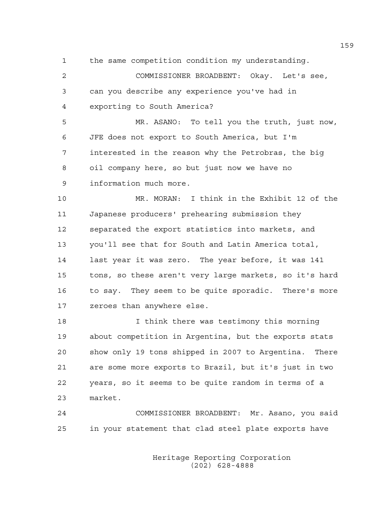1 the same competition condition my understanding.

2 COMMISSIONER BROADBENT: Okay. Let's see, 3 can you describe any experience you've had in 4 exporting to South America?

5 MR. ASANO: To tell you the truth, just now, 6 JFE does not export to South America, but I'm 7 interested in the reason why the Petrobras, the big 8 oil company here, so but just now we have no 9 information much more.

10 MR. MORAN: I think in the Exhibit 12 of the 11 Japanese producers' prehearing submission they 12 separated the export statistics into markets, and 13 you'll see that for South and Latin America total, 14 last year it was zero. The year before, it was 141 15 tons, so these aren't very large markets, so it's hard 16 to say. They seem to be quite sporadic. There's more 17 zeroes than anywhere else.

18 I think there was testimony this morning 19 about competition in Argentina, but the exports stats 20 show only 19 tons shipped in 2007 to Argentina. There 21 are some more exports to Brazil, but it's just in two 22 years, so it seems to be quite random in terms of a 23 market.

24 COMMISSIONER BROADBENT: Mr. Asano, you said 25 in your statement that clad steel plate exports have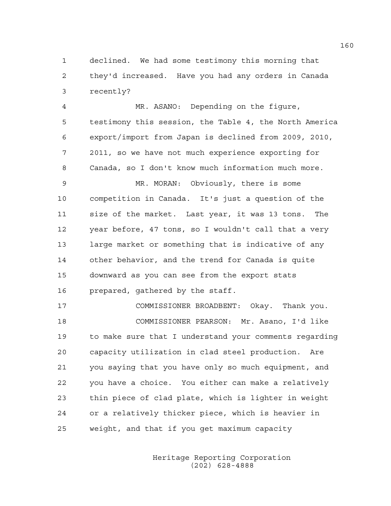1 declined. We had some testimony this morning that 2 they'd increased. Have you had any orders in Canada 3 recently?

4 MR. ASANO: Depending on the figure, 5 testimony this session, the Table 4, the North America 6 export/import from Japan is declined from 2009, 2010, 7 2011, so we have not much experience exporting for 8 Canada, so I don't know much information much more.

9 MR. MORAN: Obviously, there is some 10 competition in Canada. It's just a question of the 11 size of the market. Last year, it was 13 tons. The 12 year before, 47 tons, so I wouldn't call that a very 13 large market or something that is indicative of any 14 other behavior, and the trend for Canada is quite 15 downward as you can see from the export stats 16 prepared, gathered by the staff.

17 COMMISSIONER BROADBENT: Okay. Thank you. 18 COMMISSIONER PEARSON: Mr. Asano, I'd like 19 to make sure that I understand your comments regarding 20 capacity utilization in clad steel production. Are 21 you saying that you have only so much equipment, and 22 you have a choice. You either can make a relatively 23 thin piece of clad plate, which is lighter in weight 24 or a relatively thicker piece, which is heavier in 25 weight, and that if you get maximum capacity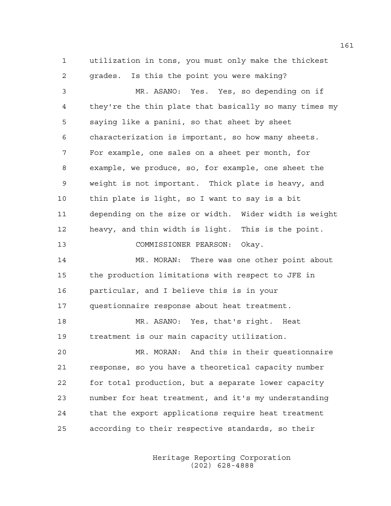1 utilization in tons, you must only make the thickest 2 grades. Is this the point you were making?

3 MR. ASANO: Yes. Yes, so depending on if 4 they're the thin plate that basically so many times my 5 saying like a panini, so that sheet by sheet 6 characterization is important, so how many sheets. 7 For example, one sales on a sheet per month, for 8 example, we produce, so, for example, one sheet the 9 weight is not important. Thick plate is heavy, and 10 thin plate is light, so I want to say is a bit 11 depending on the size or width. Wider width is weight 12 heavy, and thin width is light. This is the point. 13 COMMISSIONER PEARSON: Okay. 14 MR. MORAN: There was one other point about 15 the production limitations with respect to JFE in 16 particular, and I believe this is in your 17 questionnaire response about heat treatment. 18 MR. ASANO: Yes, that's right. Heat 19 treatment is our main capacity utilization. 20 MR. MORAN: And this in their questionnaire 21 response, so you have a theoretical capacity number 22 for total production, but a separate lower capacity 23 number for heat treatment, and it's my understanding 24 that the export applications require heat treatment 25 according to their respective standards, so their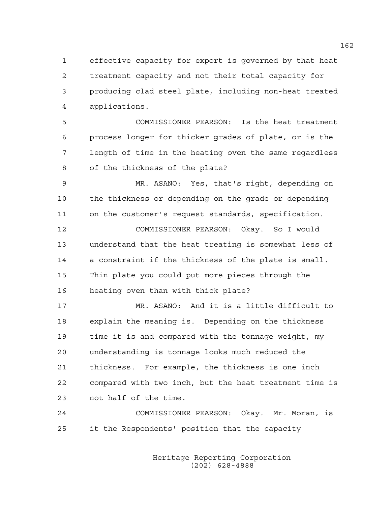1 effective capacity for export is governed by that heat 2 treatment capacity and not their total capacity for 3 producing clad steel plate, including non-heat treated 4 applications.

5 COMMISSIONER PEARSON: Is the heat treatment 6 process longer for thicker grades of plate, or is the 7 length of time in the heating oven the same regardless 8 of the thickness of the plate?

9 MR. ASANO: Yes, that's right, depending on 10 the thickness or depending on the grade or depending 11 on the customer's request standards, specification.

12 COMMISSIONER PEARSON: Okay. So I would 13 understand that the heat treating is somewhat less of 14 a constraint if the thickness of the plate is small. 15 Thin plate you could put more pieces through the 16 heating oven than with thick plate?

17 MR. ASANO: And it is a little difficult to 18 explain the meaning is. Depending on the thickness 19 time it is and compared with the tonnage weight, my 20 understanding is tonnage looks much reduced the 21 thickness. For example, the thickness is one inch 22 compared with two inch, but the heat treatment time is 23 not half of the time.

24 COMMISSIONER PEARSON: Okay. Mr. Moran, is 25 it the Respondents' position that the capacity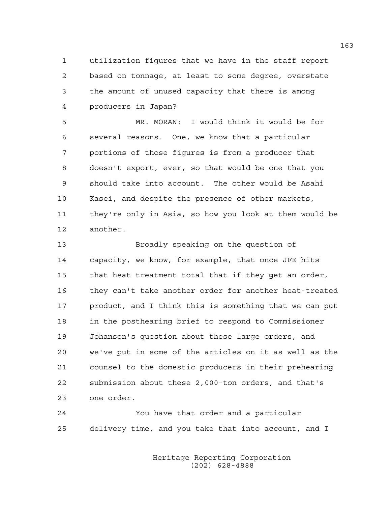1 utilization figures that we have in the staff report 2 based on tonnage, at least to some degree, overstate 3 the amount of unused capacity that there is among 4 producers in Japan?

5 MR. MORAN: I would think it would be for 6 several reasons. One, we know that a particular 7 portions of those figures is from a producer that 8 doesn't export, ever, so that would be one that you 9 should take into account. The other would be Asahi 10 Kasei, and despite the presence of other markets, 11 they're only in Asia, so how you look at them would be 12 another.

13 Broadly speaking on the question of 14 capacity, we know, for example, that once JFE hits 15 that heat treatment total that if they get an order, 16 they can't take another order for another heat-treated 17 product, and I think this is something that we can put 18 in the posthearing brief to respond to Commissioner 19 Johanson's question about these large orders, and 20 we've put in some of the articles on it as well as the 21 counsel to the domestic producers in their prehearing 22 submission about these 2,000-ton orders, and that's 23 one order.

24 You have that order and a particular 25 delivery time, and you take that into account, and I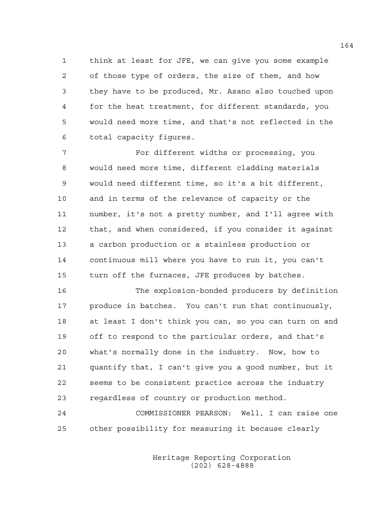1 think at least for JFE, we can give you some example 2 of those type of orders, the size of them, and how 3 they have to be produced, Mr. Asano also touched upon 4 for the heat treatment, for different standards, you 5 would need more time, and that's not reflected in the 6 total capacity figures.

7 For different widths or processing, you 8 would need more time, different cladding materials 9 would need different time, so it's a bit different, 10 and in terms of the relevance of capacity or the 11 number, it's not a pretty number, and I'll agree with 12 that, and when considered, if you consider it against 13 a carbon production or a stainless production or 14 continuous mill where you have to run it, you can't 15 turn off the furnaces, JFE produces by batches.

16 The explosion-bonded producers by definition 17 produce in batches. You can't run that continuously, 18 at least I don't think you can, so you can turn on and 19 off to respond to the particular orders, and that's 20 what's normally done in the industry. Now, how to 21 quantify that, I can't give you a good number, but it 22 seems to be consistent practice across the industry 23 regardless of country or production method.

24 COMMISSIONER PEARSON: Well, I can raise one 25 other possibility for measuring it because clearly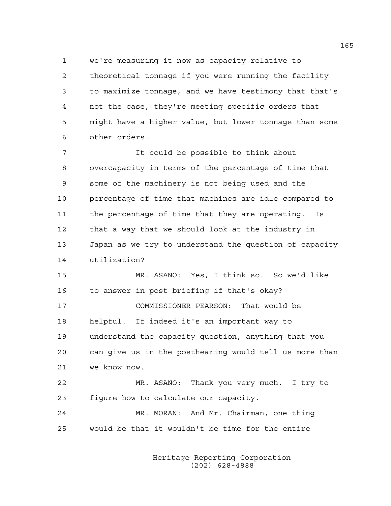1 we're measuring it now as capacity relative to 2 theoretical tonnage if you were running the facility 3 to maximize tonnage, and we have testimony that that's 4 not the case, they're meeting specific orders that 5 might have a higher value, but lower tonnage than some 6 other orders.

7 It could be possible to think about 8 overcapacity in terms of the percentage of time that 9 some of the machinery is not being used and the 10 percentage of time that machines are idle compared to 11 the percentage of time that they are operating. Is 12 that a way that we should look at the industry in 13 Japan as we try to understand the question of capacity 14 utilization?

15 MR. ASANO: Yes, I think so. So we'd like 16 to answer in post briefing if that's okay?

17 COMMISSIONER PEARSON: That would be 18 helpful. If indeed it's an important way to 19 understand the capacity question, anything that you 20 can give us in the posthearing would tell us more than 21 we know now.

22 MR. ASANO: Thank you very much. I try to 23 figure how to calculate our capacity.

24 MR. MORAN: And Mr. Chairman, one thing 25 would be that it wouldn't be time for the entire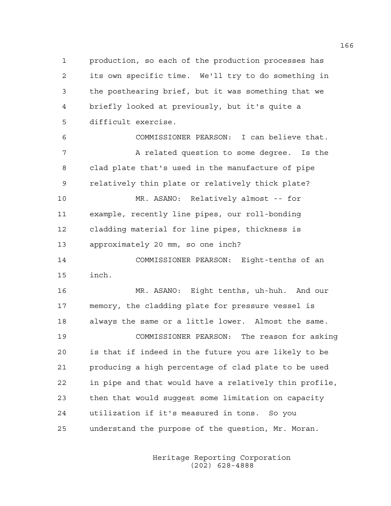1 production, so each of the production processes has 2 its own specific time. We'll try to do something in 3 the posthearing brief, but it was something that we 4 briefly looked at previously, but it's quite a 5 difficult exercise.

6 COMMISSIONER PEARSON: I can believe that. 7 A related question to some degree. Is the 8 clad plate that's used in the manufacture of pipe 9 relatively thin plate or relatively thick plate?

10 MR. ASANO: Relatively almost -- for 11 example, recently line pipes, our roll-bonding 12 cladding material for line pipes, thickness is 13 approximately 20 mm, so one inch?

14 COMMISSIONER PEARSON: Eight-tenths of an 15 inch.

16 MR. ASANO: Eight tenths, uh-huh. And our 17 memory, the cladding plate for pressure vessel is 18 always the same or a little lower. Almost the same. 19 COMMISSIONER PEARSON: The reason for asking 20 is that if indeed in the future you are likely to be 21 producing a high percentage of clad plate to be used 22 in pipe and that would have a relatively thin profile, 23 then that would suggest some limitation on capacity 24 utilization if it's measured in tons. So you 25 understand the purpose of the question, Mr. Moran.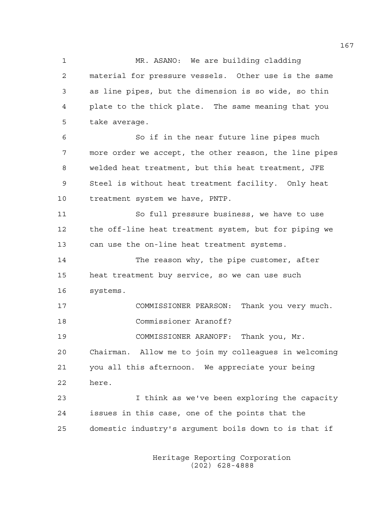1 MR. ASANO: We are building cladding 2 material for pressure vessels. Other use is the same 3 as line pipes, but the dimension is so wide, so thin 4 plate to the thick plate. The same meaning that you 5 take average.

6 So if in the near future line pipes much 7 more order we accept, the other reason, the line pipes 8 welded heat treatment, but this heat treatment, JFE 9 Steel is without heat treatment facility. Only heat 10 treatment system we have, PNTP.

11 So full pressure business, we have to use 12 the off-line heat treatment system, but for piping we 13 can use the on-line heat treatment systems.

14 The reason why, the pipe customer, after 15 heat treatment buy service, so we can use such 16 systems.

17 COMMISSIONER PEARSON: Thank you very much. 18 Commissioner Aranoff?

19 COMMISSIONER ARANOFF: Thank you, Mr.

20 Chairman. Allow me to join my colleagues in welcoming 21 you all this afternoon. We appreciate your being 22 here.

23 I think as we've been exploring the capacity 24 issues in this case, one of the points that the 25 domestic industry's argument boils down to is that if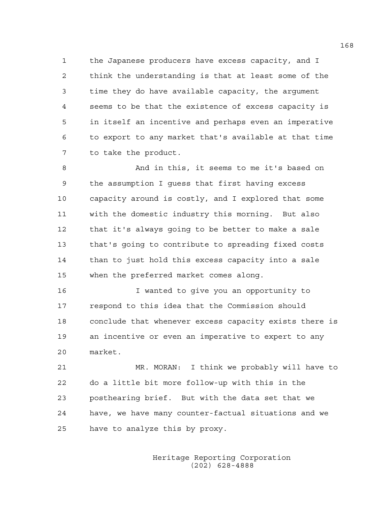1 the Japanese producers have excess capacity, and I 2 think the understanding is that at least some of the 3 time they do have available capacity, the argument 4 seems to be that the existence of excess capacity is 5 in itself an incentive and perhaps even an imperative 6 to export to any market that's available at that time 7 to take the product.

8 And in this, it seems to me it's based on 9 the assumption I guess that first having excess 10 capacity around is costly, and I explored that some 11 with the domestic industry this morning. But also 12 that it's always going to be better to make a sale 13 that's going to contribute to spreading fixed costs 14 than to just hold this excess capacity into a sale 15 when the preferred market comes along.

16 I wanted to give you an opportunity to 17 respond to this idea that the Commission should 18 conclude that whenever excess capacity exists there is 19 an incentive or even an imperative to expert to any 20 market.

21 MR. MORAN: I think we probably will have to 22 do a little bit more follow-up with this in the 23 posthearing brief. But with the data set that we 24 have, we have many counter-factual situations and we 25 have to analyze this by proxy.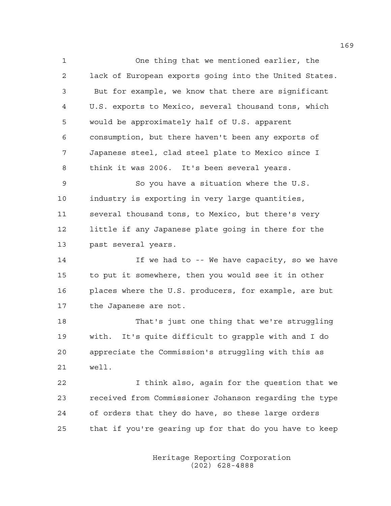1 One thing that we mentioned earlier, the 2 lack of European exports going into the United States. 3 But for example, we know that there are significant 4 U.S. exports to Mexico, several thousand tons, which 5 would be approximately half of U.S. apparent 6 consumption, but there haven't been any exports of 7 Japanese steel, clad steel plate to Mexico since I 8 think it was 2006. It's been several years. 9 So you have a situation where the U.S. 10 industry is exporting in very large quantities, 11 several thousand tons, to Mexico, but there's very

12 little if any Japanese plate going in there for the 13 past several years.

14 If we had to -- We have capacity, so we have 15 to put it somewhere, then you would see it in other 16 places where the U.S. producers, for example, are but 17 the Japanese are not.

18 That's just one thing that we're struggling 19 with. It's quite difficult to grapple with and I do 20 appreciate the Commission's struggling with this as 21 well.

22 I think also, again for the question that we 23 received from Commissioner Johanson regarding the type 24 of orders that they do have, so these large orders 25 that if you're gearing up for that do you have to keep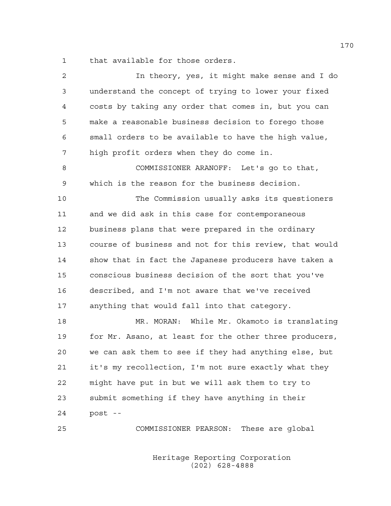1 that available for those orders.

| 2           | In theory, yes, it might make sense and I do           |
|-------------|--------------------------------------------------------|
| $\mathsf 3$ | understand the concept of trying to lower your fixed   |
| 4           | costs by taking any order that comes in, but you can   |
| 5           | make a reasonable business decision to forego those    |
| 6           | small orders to be available to have the high value,   |
| 7           | high profit orders when they do come in.               |
| 8           | COMMISSIONER ARANOFF: Let's go to that,                |
| 9           | which is the reason for the business decision.         |
| 10          | The Commission usually asks its questioners            |
| 11          | and we did ask in this case for contemporaneous        |
| 12          | business plans that were prepared in the ordinary      |
| 13          | course of business and not for this review, that would |
| 14          | show that in fact the Japanese producers have taken a  |
| 15          | conscious business decision of the sort that you've    |
| 16          | described, and I'm not aware that we've received       |
| 17          | anything that would fall into that category.           |
| 18          | MR. MORAN: While Mr. Okamoto is translating            |
| 19          | for Mr. Asano, at least for the other three producers, |
| 20          | we can ask them to see if they had anything else, but  |
| 21          | it's my recollection, I'm not sure exactly what they   |
| 22          | might have put in but we will ask them to try to       |
| 23          | submit something if they have anything in their        |
| 24          | post --                                                |
| 25          | These are global<br>COMMISSIONER PEARSON:              |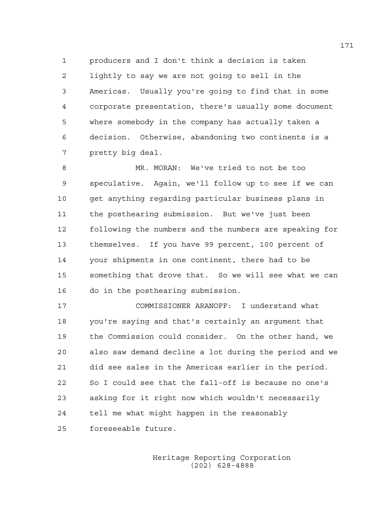1 producers and I don't think a decision is taken 2 lightly to say we are not going to sell in the 3 Americas. Usually you're going to find that in some 4 corporate presentation, there's usually some document 5 where somebody in the company has actually taken a 6 decision. Otherwise, abandoning two continents is a 7 pretty big deal.

8 MR. MORAN: We've tried to not be too 9 speculative. Again, we'll follow up to see if we can 10 get anything regarding particular business plans in 11 the posthearing submission. But we've just been 12 following the numbers and the numbers are speaking for 13 themselves. If you have 99 percent, 100 percent of 14 your shipments in one continent, there had to be 15 something that drove that. So we will see what we can 16 do in the posthearing submission.

17 COMMISSIONER ARANOFF: I understand what 18 you're saying and that's certainly an argument that 19 the Commission could consider. On the other hand, we 20 also saw demand decline a lot during the period and we 21 did see sales in the Americas earlier in the period. 22 So I could see that the fall-off is because no one's 23 asking for it right now which wouldn't necessarily 24 tell me what might happen in the reasonably 25 foreseeable future.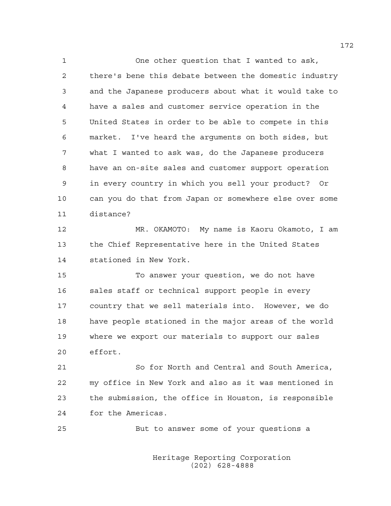1 One other question that I wanted to ask, 2 there's bene this debate between the domestic industry 3 and the Japanese producers about what it would take to 4 have a sales and customer service operation in the 5 United States in order to be able to compete in this 6 market. I've heard the arguments on both sides, but 7 what I wanted to ask was, do the Japanese producers 8 have an on-site sales and customer support operation 9 in every country in which you sell your product? Or 10 can you do that from Japan or somewhere else over some 11 distance?

12 MR. OKAMOTO: My name is Kaoru Okamoto, I am 13 the Chief Representative here in the United States 14 stationed in New York.

15 To answer your question, we do not have 16 sales staff or technical support people in every 17 country that we sell materials into. However, we do 18 have people stationed in the major areas of the world 19 where we export our materials to support our sales 20 effort.

21 So for North and Central and South America, 22 my office in New York and also as it was mentioned in 23 the submission, the office in Houston, is responsible 24 for the Americas.

25 But to answer some of your questions a

 Heritage Reporting Corporation (202) 628-4888

172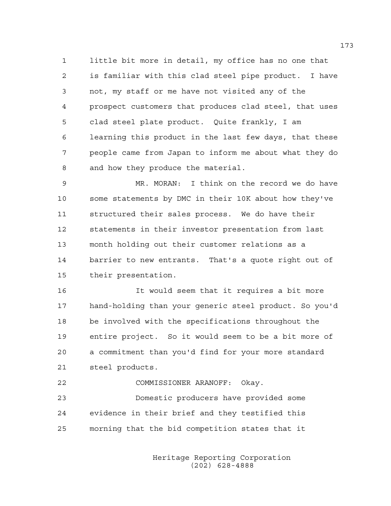1 little bit more in detail, my office has no one that 2 is familiar with this clad steel pipe product. I have 3 not, my staff or me have not visited any of the 4 prospect customers that produces clad steel, that uses 5 clad steel plate product. Quite frankly, I am 6 learning this product in the last few days, that these 7 people came from Japan to inform me about what they do 8 and how they produce the material.

9 MR. MORAN: I think on the record we do have 10 some statements by DMC in their 10K about how they've 11 structured their sales process. We do have their 12 statements in their investor presentation from last 13 month holding out their customer relations as a 14 barrier to new entrants. That's a quote right out of 15 their presentation.

16 It would seem that it requires a bit more 17 hand-holding than your generic steel product. So you'd 18 be involved with the specifications throughout the 19 entire project. So it would seem to be a bit more of 20 a commitment than you'd find for your more standard 21 steel products.

22 COMMISSIONER ARANOFF: Okay. 23 Domestic producers have provided some 24 evidence in their brief and they testified this 25 morning that the bid competition states that it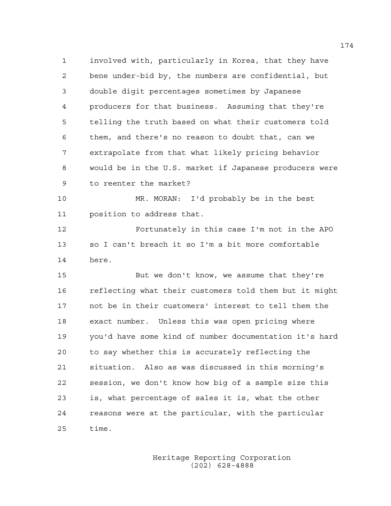1 involved with, particularly in Korea, that they have 2 bene under-bid by, the numbers are confidential, but 3 double digit percentages sometimes by Japanese 4 producers for that business. Assuming that they're 5 telling the truth based on what their customers told 6 them, and there's no reason to doubt that, can we 7 extrapolate from that what likely pricing behavior 8 would be in the U.S. market if Japanese producers were 9 to reenter the market?

10 MR. MORAN: I'd probably be in the best 11 position to address that.

12 Fortunately in this case I'm not in the APO 13 so I can't breach it so I'm a bit more comfortable 14 here.

15 But we don't know, we assume that they're 16 reflecting what their customers told them but it might 17 not be in their customers' interest to tell them the 18 exact number. Unless this was open pricing where 19 you'd have some kind of number documentation it's hard 20 to say whether this is accurately reflecting the 21 situation. Also as was discussed in this morning's 22 session, we don't know how big of a sample size this 23 is, what percentage of sales it is, what the other 24 reasons were at the particular, with the particular 25 time.

> Heritage Reporting Corporation (202) 628-4888

174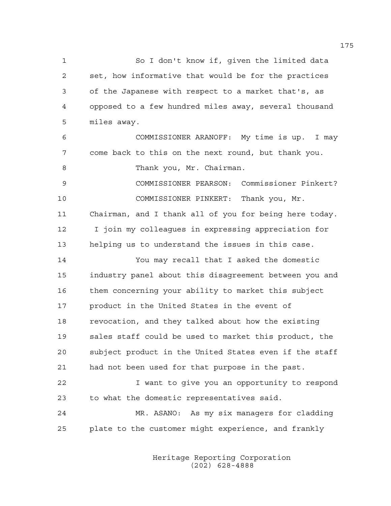1 So I don't know if, given the limited data 2 set, how informative that would be for the practices 3 of the Japanese with respect to a market that's, as 4 opposed to a few hundred miles away, several thousand 5 miles away.

6 COMMISSIONER ARANOFF: My time is up. I may 7 come back to this on the next round, but thank you.

8 Thank you, Mr. Chairman.

9 COMMISSIONER PEARSON: Commissioner Pinkert? 10 COMMISSIONER PINKERT: Thank you, Mr. 11 Chairman, and I thank all of you for being here today. 12 I join my colleagues in expressing appreciation for 13 helping us to understand the issues in this case.

14 You may recall that I asked the domestic 15 industry panel about this disagreement between you and 16 them concerning your ability to market this subject 17 product in the United States in the event of 18 revocation, and they talked about how the existing 19 sales staff could be used to market this product, the 20 subject product in the United States even if the staff 21 had not been used for that purpose in the past.

22 I want to give you an opportunity to respond 23 to what the domestic representatives said.

24 MR. ASANO: As my six managers for cladding 25 plate to the customer might experience, and frankly

> Heritage Reporting Corporation (202) 628-4888

175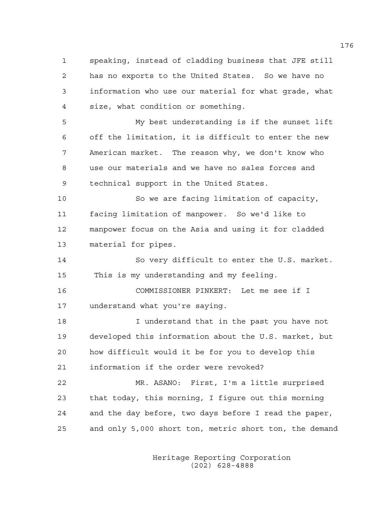1 speaking, instead of cladding business that JFE still 2 has no exports to the United States. So we have no 3 information who use our material for what grade, what 4 size, what condition or something.

5 My best understanding is if the sunset lift 6 off the limitation, it is difficult to enter the new 7 American market. The reason why, we don't know who 8 use our materials and we have no sales forces and 9 technical support in the United States.

10 So we are facing limitation of capacity, 11 facing limitation of manpower. So we'd like to 12 manpower focus on the Asia and using it for cladded 13 material for pipes.

14 So very difficult to enter the U.S. market. 15 This is my understanding and my feeling.

16 COMMISSIONER PINKERT: Let me see if I 17 understand what you're saying.

18 I understand that in the past you have not 19 developed this information about the U.S. market, but 20 how difficult would it be for you to develop this 21 information if the order were revoked?

22 MR. ASANO: First, I'm a little surprised 23 that today, this morning, I figure out this morning 24 and the day before, two days before I read the paper, 25 and only 5,000 short ton, metric short ton, the demand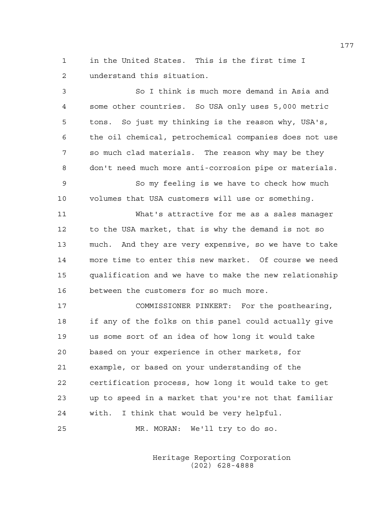1 in the United States. This is the first time I 2 understand this situation.

3 So I think is much more demand in Asia and 4 some other countries. So USA only uses 5,000 metric 5 tons. So just my thinking is the reason why, USA's, 6 the oil chemical, petrochemical companies does not use 7 so much clad materials. The reason why may be they 8 don't need much more anti-corrosion pipe or materials. 9 So my feeling is we have to check how much 10 volumes that USA customers will use or something. 11 What's attractive for me as a sales manager 12 to the USA market, that is why the demand is not so 13 much. And they are very expensive, so we have to take 14 more time to enter this new market. Of course we need 15 qualification and we have to make the new relationship 16 between the customers for so much more. 17 COMMISSIONER PINKERT: For the posthearing, 18 if any of the folks on this panel could actually give 19 us some sort of an idea of how long it would take 20 based on your experience in other markets, for 21 example, or based on your understanding of the 22 certification process, how long it would take to get 23 up to speed in a market that you're not that familiar

24 with. I think that would be very helpful. 25 MR. MORAN: We'll try to do so.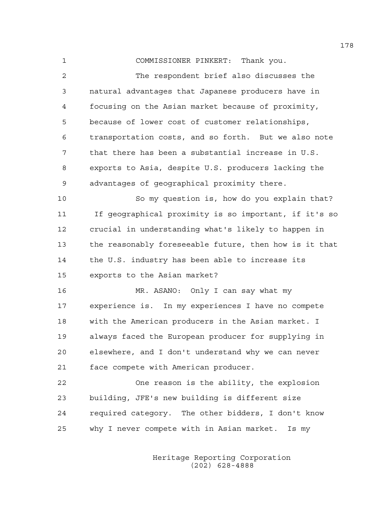1 COMMISSIONER PINKERT: Thank you. 2 The respondent brief also discusses the 3 natural advantages that Japanese producers have in 4 focusing on the Asian market because of proximity, 5 because of lower cost of customer relationships, 6 transportation costs, and so forth. But we also note 7 that there has been a substantial increase in U.S. 8 exports to Asia, despite U.S. producers lacking the 9 advantages of geographical proximity there.

10 So my question is, how do you explain that? 11 If geographical proximity is so important, if it's so 12 crucial in understanding what's likely to happen in 13 the reasonably foreseeable future, then how is it that 14 the U.S. industry has been able to increase its 15 exports to the Asian market?

16 MR. ASANO: Only I can say what my 17 experience is. In my experiences I have no compete 18 with the American producers in the Asian market. I 19 always faced the European producer for supplying in 20 elsewhere, and I don't understand why we can never 21 face compete with American producer.

22 One reason is the ability, the explosion 23 building, JFE's new building is different size 24 required category. The other bidders, I don't know 25 why I never compete with in Asian market. Is my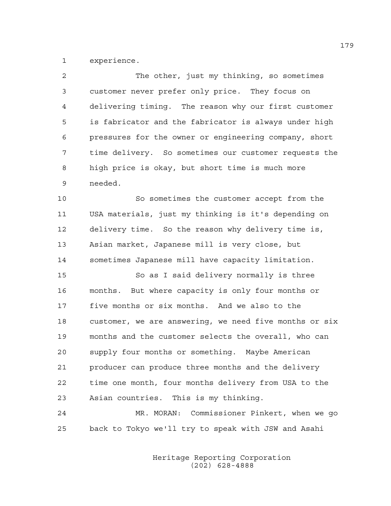1 experience.

| 2  | The other, just my thinking, so sometimes              |
|----|--------------------------------------------------------|
| 3  | customer never prefer only price. They focus on        |
| 4  | delivering timing. The reason why our first customer   |
| 5  | is fabricator and the fabricator is always under high  |
| 6  | pressures for the owner or engineering company, short  |
| 7  | time delivery. So sometimes our customer requests the  |
| 8  | high price is okay, but short time is much more        |
| 9  | needed.                                                |
| 10 | So sometimes the customer accept from the              |
| 11 | USA materials, just my thinking is it's depending on   |
| 12 | delivery time. So the reason why delivery time is,     |
| 13 | Asian market, Japanese mill is very close, but         |
| 14 | sometimes Japanese mill have capacity limitation.      |
| 15 | So as I said delivery normally is three                |
| 16 | months. But where capacity is only four months or      |
| 17 | five months or six months. And we also to the          |
| 18 | customer, we are answering, we need five months or six |
| 19 | months and the customer selects the overall, who can   |
| 20 | supply four months or something. Maybe American        |
| 21 | producer can produce three months and the delivery     |
| 22 | time one month, four months delivery from USA to the   |
| 23 | Asian countries. This is my thinking.                  |
| 24 | MR. MORAN: Commissioner Pinkert, when we go            |
| 25 | back to Tokyo we'll try to speak with JSW and Asahi    |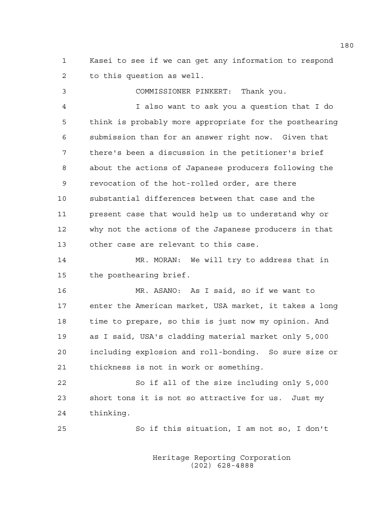1 Kasei to see if we can get any information to respond 2 to this question as well.

3 COMMISSIONER PINKERT: Thank you. 4 I also want to ask you a question that I do 5 think is probably more appropriate for the posthearing 6 submission than for an answer right now. Given that 7 there's been a discussion in the petitioner's brief 8 about the actions of Japanese producers following the 9 revocation of the hot-rolled order, are there 10 substantial differences between that case and the 11 present case that would help us to understand why or 12 why not the actions of the Japanese producers in that 13 other case are relevant to this case.

14 MR. MORAN: We will try to address that in 15 the posthearing brief.

16 MR. ASANO: As I said, so if we want to 17 enter the American market, USA market, it takes a long 18 time to prepare, so this is just now my opinion. And 19 as I said, USA's cladding material market only 5,000 20 including explosion and roll-bonding. So sure size or 21 thickness is not in work or something.

22 So if all of the size including only 5,000 23 short tons it is not so attractive for us. Just my 24 thinking.

25 So if this situation, I am not so, I don't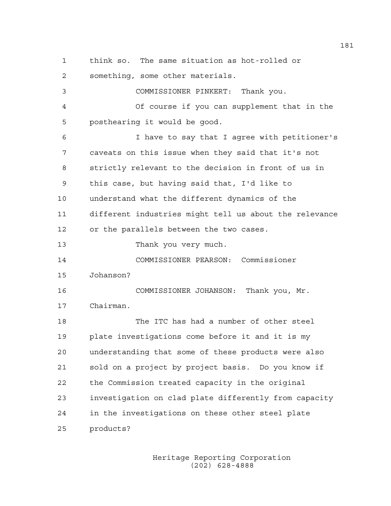1 think so. The same situation as hot-rolled or

2 something, some other materials.

3 COMMISSIONER PINKERT: Thank you. 4 Of course if you can supplement that in the 5 posthearing it would be good. 6 I have to say that I agree with petitioner's 7 caveats on this issue when they said that it's not 8 strictly relevant to the decision in front of us in 9 this case, but having said that, I'd like to 10 understand what the different dynamics of the 11 different industries might tell us about the relevance 12 or the parallels between the two cases. 13 Thank you very much. 14 COMMISSIONER PEARSON: Commissioner 15 Johanson? 16 COMMISSIONER JOHANSON: Thank you, Mr. 17 Chairman. 18 The ITC has had a number of other steel 19 plate investigations come before it and it is my 20 understanding that some of these products were also 21 sold on a project by project basis. Do you know if 22 the Commission treated capacity in the original 23 investigation on clad plate differently from capacity 24 in the investigations on these other steel plate 25 products?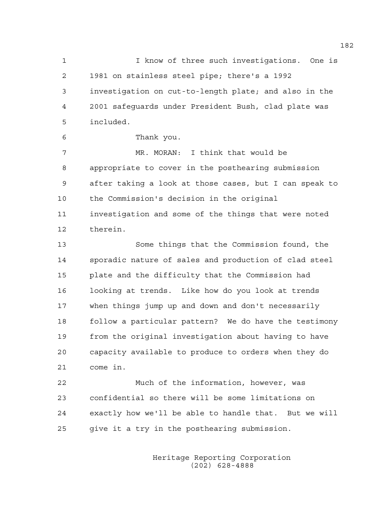1 I know of three such investigations. One is 2 1981 on stainless steel pipe; there's a 1992 3 investigation on cut-to-length plate; and also in the 4 2001 safeguards under President Bush, clad plate was 5 included.

6 Thank you.

7 MR. MORAN: I think that would be 8 appropriate to cover in the posthearing submission 9 after taking a look at those cases, but I can speak to 10 the Commission's decision in the original 11 investigation and some of the things that were noted 12 therein.

13 Some things that the Commission found, the 14 sporadic nature of sales and production of clad steel 15 plate and the difficulty that the Commission had 16 looking at trends. Like how do you look at trends 17 when things jump up and down and don't necessarily 18 follow a particular pattern? We do have the testimony 19 from the original investigation about having to have 20 capacity available to produce to orders when they do 21 come in.

22 Much of the information, however, was 23 confidential so there will be some limitations on 24 exactly how we'll be able to handle that. But we will 25 give it a try in the posthearing submission.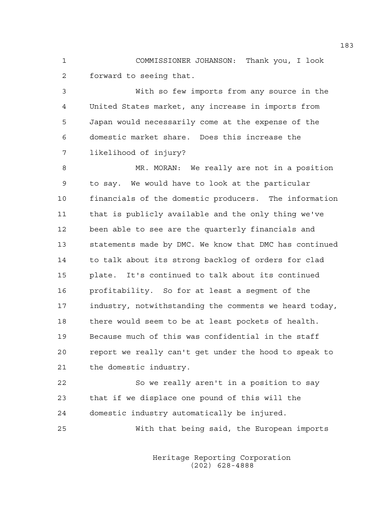1 COMMISSIONER JOHANSON: Thank you, I look 2 forward to seeing that.

3 With so few imports from any source in the 4 United States market, any increase in imports from 5 Japan would necessarily come at the expense of the 6 domestic market share. Does this increase the 7 likelihood of injury?

8 MR. MORAN: We really are not in a position 9 to say. We would have to look at the particular 10 financials of the domestic producers. The information 11 that is publicly available and the only thing we've 12 been able to see are the quarterly financials and 13 statements made by DMC. We know that DMC has continued 14 to talk about its strong backlog of orders for clad 15 plate. It's continued to talk about its continued 16 profitability. So for at least a segment of the 17 industry, notwithstanding the comments we heard today, 18 there would seem to be at least pockets of health. 19 Because much of this was confidential in the staff 20 report we really can't get under the hood to speak to 21 the domestic industry.

22 So we really aren't in a position to say 23 that if we displace one pound of this will the 24 domestic industry automatically be injured.

25 With that being said, the European imports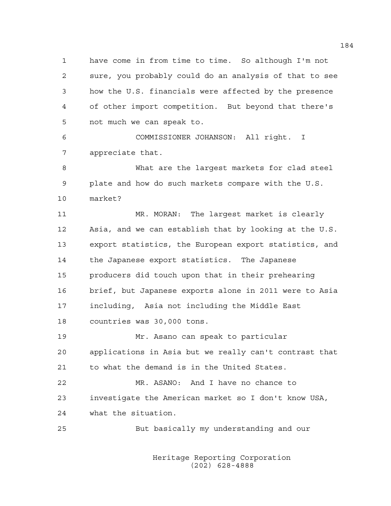1 have come in from time to time. So although I'm not 2 sure, you probably could do an analysis of that to see 3 how the U.S. financials were affected by the presence 4 of other import competition. But beyond that there's 5 not much we can speak to.

6 COMMISSIONER JOHANSON: All right. I 7 appreciate that.

8 What are the largest markets for clad steel 9 plate and how do such markets compare with the U.S. 10 market?

11 MR. MORAN: The largest market is clearly 12 Asia, and we can establish that by looking at the U.S. 13 export statistics, the European export statistics, and 14 the Japanese export statistics. The Japanese 15 producers did touch upon that in their prehearing 16 brief, but Japanese exports alone in 2011 were to Asia 17 including, Asia not including the Middle East 18 countries was 30,000 tons.

19 Mr. Asano can speak to particular 20 applications in Asia but we really can't contrast that 21 to what the demand is in the United States.

22 MR. ASANO: And I have no chance to 23 investigate the American market so I don't know USA, 24 what the situation.

25 But basically my understanding and our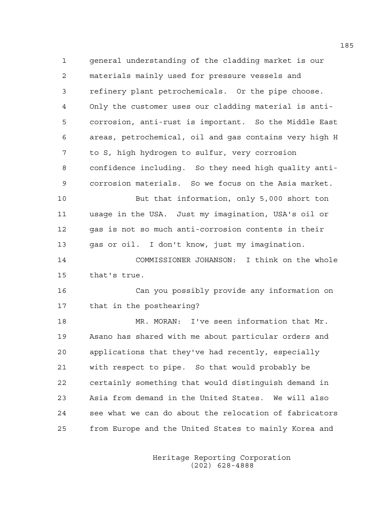1 general understanding of the cladding market is our 2 materials mainly used for pressure vessels and 3 refinery plant petrochemicals. Or the pipe choose. 4 Only the customer uses our cladding material is anti-5 corrosion, anti-rust is important. So the Middle East 6 areas, petrochemical, oil and gas contains very high H 7 to S, high hydrogen to sulfur, very corrosion 8 confidence including. So they need high quality anti-9 corrosion materials. So we focus on the Asia market. 10 But that information, only 5,000 short ton 11 usage in the USA. Just my imagination, USA's oil or 12 gas is not so much anti-corrosion contents in their 13 gas or oil. I don't know, just my imagination. 14 COMMISSIONER JOHANSON: I think on the whole 15 that's true. 16 Can you possibly provide any information on 17 that in the posthearing? 18 MR. MORAN: I've seen information that Mr. 19 Asano has shared with me about particular orders and 20 applications that they've had recently, especially 21 with respect to pipe. So that would probably be 22 certainly something that would distinguish demand in 23 Asia from demand in the United States. We will also 24 see what we can do about the relocation of fabricators 25 from Europe and the United States to mainly Korea and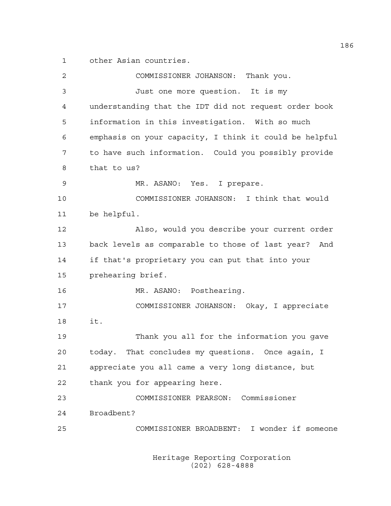1 other Asian countries.

| 2  | COMMISSIONER JOHANSON: Thank you.                      |
|----|--------------------------------------------------------|
| 3  | Just one more question. It is my                       |
| 4  | understanding that the IDT did not request order book  |
| 5  | information in this investigation. With so much        |
| 6  | emphasis on your capacity, I think it could be helpful |
| 7  | to have such information. Could you possibly provide   |
| 8  | that to us?                                            |
| 9  | MR. ASANO: Yes. I prepare.                             |
| 10 | COMMISSIONER JOHANSON: I think that would              |
| 11 | be helpful.                                            |
| 12 | Also, would you describe your current order            |
| 13 | back levels as comparable to those of last year? And   |
| 14 | if that's proprietary you can put that into your       |
| 15 | prehearing brief.                                      |
| 16 | MR. ASANO: Posthearing.                                |
| 17 | COMMISSIONER JOHANSON: Okay, I appreciate              |
| 18 | it.                                                    |
| 19 | Thank you all for the information you gave             |
| 20 | That concludes my questions. Once again, I<br>today.   |
| 21 | appreciate you all came a very long distance, but      |
| 22 | thank you for appearing here.                          |
| 23 | COMMISSIONER PEARSON: Commissioner                     |
| 24 | Broadbent?                                             |
| 25 | COMMISSIONER BROADBENT: I wonder if someone            |
|    |                                                        |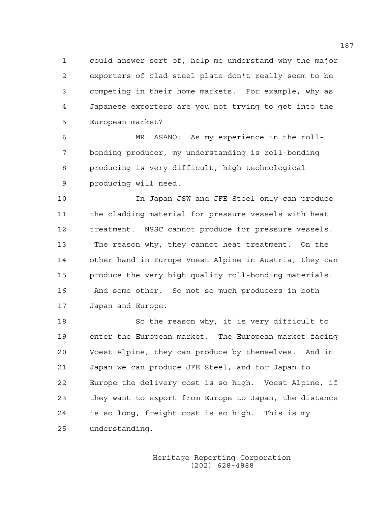1 could answer sort of, help me understand why the major 2 exporters of clad steel plate don't really seem to be 3 competing in their home markets. For example, why as 4 Japanese exporters are you not trying to get into the 5 European market?

6 MR. ASANO: As my experience in the roll-7 bonding producer, my understanding is roll-bonding 8 producing is very difficult, high technological 9 producing will need.

10 In Japan JSW and JFE Steel only can produce 11 the cladding material for pressure vessels with heat 12 treatment. NSSC cannot produce for pressure vessels. 13 The reason why, they cannot heat treatment. On the 14 other hand in Europe Voest Alpine in Austria, they can 15 produce the very high quality roll-bonding materials. 16 And some other. So not so much producers in both 17 Japan and Europe.

18 So the reason why, it is very difficult to 19 enter the European market. The European market facing 20 Voest Alpine, they can produce by themselves. And in 21 Japan we can produce JFE Steel, and for Japan to 22 Europe the delivery cost is so high. Voest Alpine, if 23 they want to export from Europe to Japan, the distance 24 is so long, freight cost is so high. This is my 25 understanding.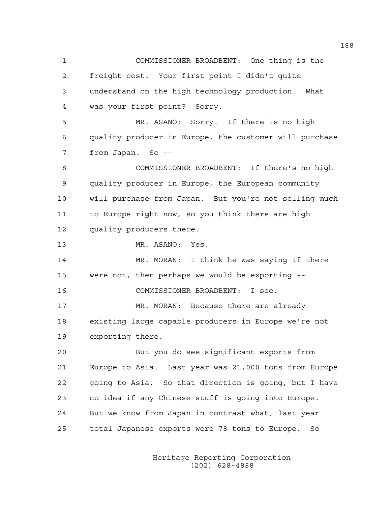1 COMMISSIONER BROADBENT: One thing is the 2 freight cost. Your first point I didn't quite 3 understand on the high technology production. What 4 was your first point? Sorry. 5 MR. ASANO: Sorry. If there is no high 6 quality producer in Europe, the customer will purchase 7 from Japan. So -- 8 COMMISSIONER BROADBENT: If there's no high 9 quality producer in Europe, the European community 10 will purchase from Japan. But you're not selling much 11 to Europe right now, so you think there are high 12 quality producers there. 13 MR. ASANO: Yes. 14 MR. MORAN: I think he was saying if there 15 were not, then perhaps we would be exporting -- 16 COMMISSIONER BROADBENT: I see. 17 MR. MORAN: Because there are already 18 existing large capable producers in Europe we're not 19 exporting there. 20 But you do see significant exports from 21 Europe to Asia. Last year was 21,000 tons from Europe 22 going to Asia. So that direction is going, but I have 23 no idea if any Chinese stuff is going into Europe. 24 But we know from Japan in contrast what, last year 25 total Japanese exports were 78 tons to Europe. So

> Heritage Reporting Corporation (202) 628-4888

188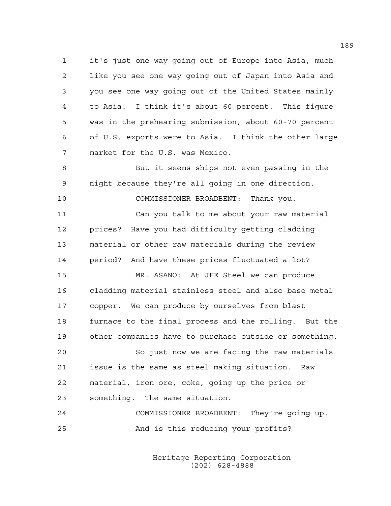1 it's just one way going out of Europe into Asia, much 2 like you see one way going out of Japan into Asia and 3 you see one way going out of the United States mainly 4 to Asia. I think it's about 60 percent. This figure 5 was in the prehearing submission, about 60-70 percent 6 of U.S. exports were to Asia. I think the other large 7 market for the U.S. was Mexico.

8 But it seems ships not even passing in the 9 night because they're all going in one direction.

10 COMMISSIONER BROADBENT: Thank you.

11 Can you talk to me about your raw material 12 prices? Have you had difficulty getting cladding 13 material or other raw materials during the review 14 period? And have these prices fluctuated a lot?

15 MR. ASANO: At JFE Steel we can produce 16 cladding material stainless steel and also base metal 17 copper. We can produce by ourselves from blast 18 furnace to the final process and the rolling. But the 19 other companies have to purchase outside or something.

20 So just now we are facing the raw materials 21 issue is the same as steel making situation. Raw 22 material, iron ore, coke, going up the price or 23 something. The same situation.

24 COMMISSIONER BROADBENT: They're going up. 25 And is this reducing your profits?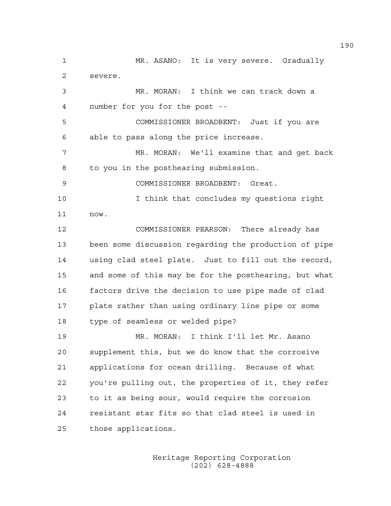1 MR. ASANO: It is very severe. Gradually 2 severe. 3 MR. MORAN: I think we can track down a 4 number for you for the post -- 5 COMMISSIONER BROADBENT: Just if you are 6 able to pass along the price increase. 7 MR. MORAN: We'll examine that and get back 8 to you in the posthearing submission. 9 COMMISSIONER BROADBENT: Great. 10 I think that concludes my questions right 11 now. 12 COMMISSIONER PEARSON: There already has 13 been some discussion regarding the production of pipe 14 using clad steel plate. Just to fill out the record, 15 and some of this may be for the posthearing, but what 16 factors drive the decision to use pipe made of clad 17 plate rather than using ordinary line pipe or some 18 type of seamless or welded pipe? 19 MR. MORAN: I think I'll let Mr. Asano 20 supplement this, but we do know that the corrosive 21 applications for ocean drilling. Because of what 22 you're pulling out, the properties of it, they refer 23 to it as being sour, would require the corrosion 24 resistant star fits so that clad steel is used in 25 those applications.

> Heritage Reporting Corporation (202) 628-4888

190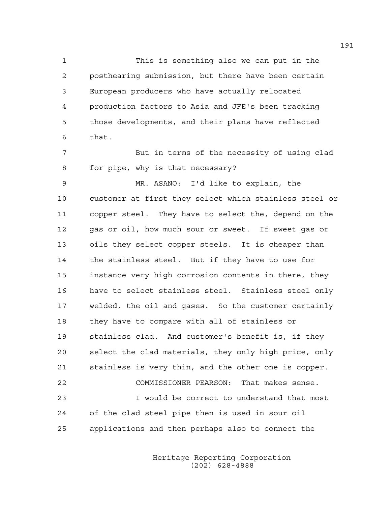1 This is something also we can put in the 2 posthearing submission, but there have been certain 3 European producers who have actually relocated 4 production factors to Asia and JFE's been tracking 5 those developments, and their plans have reflected 6 that.

7 But in terms of the necessity of using clad 8 for pipe, why is that necessary?

9 MR. ASANO: I'd like to explain, the 10 customer at first they select which stainless steel or 11 copper steel. They have to select the, depend on the 12 gas or oil, how much sour or sweet. If sweet gas or 13 oils they select copper steels. It is cheaper than 14 the stainless steel. But if they have to use for 15 instance very high corrosion contents in there, they 16 have to select stainless steel. Stainless steel only 17 welded, the oil and gases. So the customer certainly 18 they have to compare with all of stainless or 19 stainless clad. And customer's benefit is, if they 20 select the clad materials, they only high price, only 21 stainless is very thin, and the other one is copper. 22 COMMISSIONER PEARSON: That makes sense. 23 I would be correct to understand that most 24 of the clad steel pipe then is used in sour oil 25 applications and then perhaps also to connect the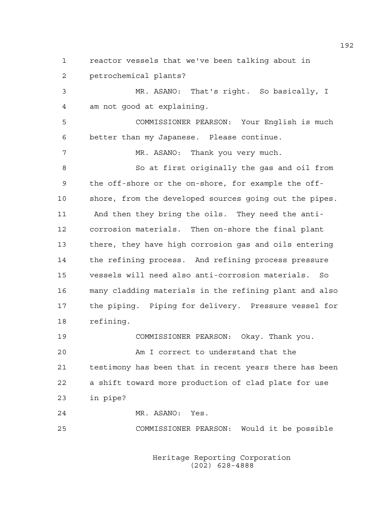1 reactor vessels that we've been talking about in 2 petrochemical plants?

3 MR. ASANO: That's right. So basically, I 4 am not good at explaining. 5 COMMISSIONER PEARSON: Your English is much 6 better than my Japanese. Please continue. 7 MR. ASANO: Thank you very much. 8 So at first originally the gas and oil from 9 the off-shore or the on-shore, for example the off-10 shore, from the developed sources going out the pipes. 11 And then they bring the oils. They need the anti-12 corrosion materials. Then on-shore the final plant 13 there, they have high corrosion gas and oils entering 14 the refining process. And refining process pressure 15 vessels will need also anti-corrosion materials. So 16 many cladding materials in the refining plant and also 17 the piping. Piping for delivery. Pressure vessel for 18 refining. 19 COMMISSIONER PEARSON: Okay. Thank you.

20 Am I correct to understand that the 21 testimony has been that in recent years there has been 22 a shift toward more production of clad plate for use 23 in pipe?

24 MR. ASANO: Yes.

25 COMMISSIONER PEARSON: Would it be possible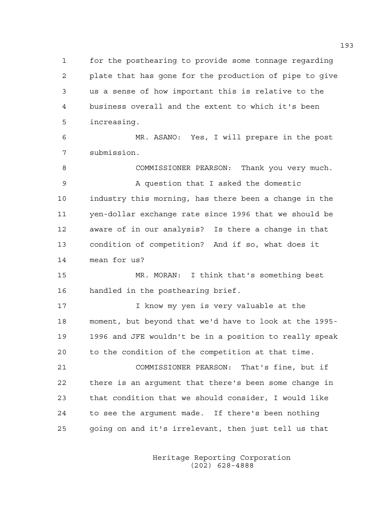1 for the posthearing to provide some tonnage regarding 2 plate that has gone for the production of pipe to give 3 us a sense of how important this is relative to the 4 business overall and the extent to which it's been 5 increasing.

6 MR. ASANO: Yes, I will prepare in the post 7 submission.

8 COMMISSIONER PEARSON: Thank you very much. 9 A question that I asked the domestic 10 industry this morning, has there been a change in the 11 yen-dollar exchange rate since 1996 that we should be 12 aware of in our analysis? Is there a change in that 13 condition of competition? And if so, what does it 14 mean for us?

15 MR. MORAN: I think that's something best 16 handled in the posthearing brief.

17 17 I know my yen is very valuable at the 18 moment, but beyond that we'd have to look at the 1995- 19 1996 and JFE wouldn't be in a position to really speak 20 to the condition of the competition at that time.

21 COMMISSIONER PEARSON: That's fine, but if 22 there is an argument that there's been some change in 23 that condition that we should consider, I would like 24 to see the argument made. If there's been nothing 25 going on and it's irrelevant, then just tell us that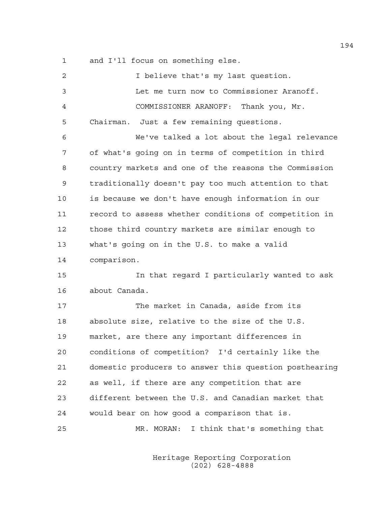1 and I'll focus on something else.

| 2  | I believe that's my last question.                     |
|----|--------------------------------------------------------|
| 3  | Let me turn now to Commissioner Aranoff.               |
| 4  | COMMISSIONER ARANOFF: Thank you, Mr.                   |
| 5  | Just a few remaining questions.<br>Chairman.           |
| 6  | We've talked a lot about the legal relevance           |
| 7  | of what's going on in terms of competition in third    |
| 8  | country markets and one of the reasons the Commission  |
| 9  | traditionally doesn't pay too much attention to that   |
| 10 | is because we don't have enough information in our     |
| 11 | record to assess whether conditions of competition in  |
| 12 | those third country markets are similar enough to      |
| 13 | what's going on in the U.S. to make a valid            |
| 14 | comparison.                                            |
| 15 | In that regard I particularly wanted to ask            |
| 16 | about Canada.                                          |
| 17 | The market in Canada, aside from its                   |
| 18 | absolute size, relative to the size of the U.S.        |
| 19 | market, are there any important differences in         |
| 20 | conditions of competition? I'd certainly like the      |
| 21 | domestic producers to answer this question posthearing |
| 22 | as well, if there are any competition that are         |
| 23 | different between the U.S. and Canadian market that    |
| 24 | would bear on how good a comparison that is.           |
| 25 | MR. MORAN: I think that's something that               |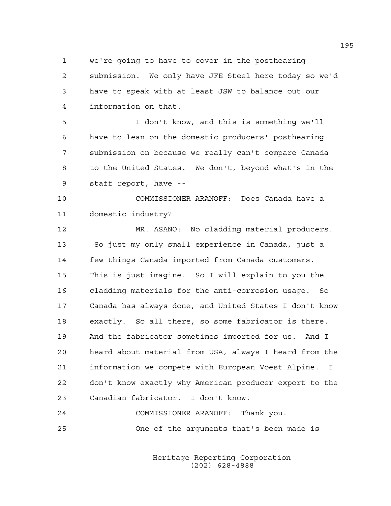1 we're going to have to cover in the posthearing

2 submission. We only have JFE Steel here today so we'd 3 have to speak with at least JSW to balance out our 4 information on that.

5 I don't know, and this is something we'll 6 have to lean on the domestic producers' posthearing 7 submission on because we really can't compare Canada 8 to the United States. We don't, beyond what's in the 9 staff report, have --

10 COMMISSIONER ARANOFF: Does Canada have a 11 domestic industry?

12 MR. ASANO: No cladding material producers. 13 So just my only small experience in Canada, just a 14 few things Canada imported from Canada customers. 15 This is just imagine. So I will explain to you the 16 cladding materials for the anti-corrosion usage. So 17 Canada has always done, and United States I don't know 18 exactly. So all there, so some fabricator is there. 19 And the fabricator sometimes imported for us. And I 20 heard about material from USA, always I heard from the 21 information we compete with European Voest Alpine. I 22 don't know exactly why American producer export to the 23 Canadian fabricator. I don't know.

24 COMMISSIONER ARANOFF: Thank you. 25 One of the arguments that's been made is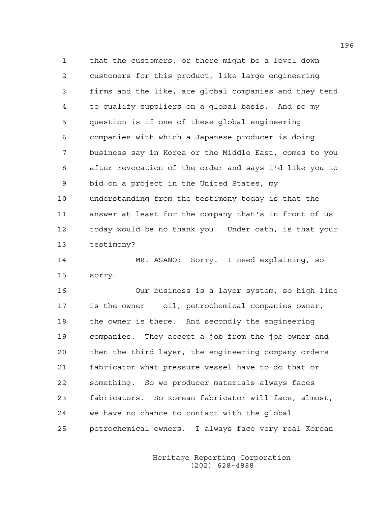1 that the customers, or there might be a level down 2 customers for this product, like large engineering 3 firms and the like, are global companies and they tend 4 to qualify suppliers on a global basis. And so my 5 question is if one of these global engineering 6 companies with which a Japanese producer is doing 7 business say in Korea or the Middle East, comes to you 8 after revocation of the order and says I'd like you to 9 bid on a project in the United States, my 10 understanding from the testimony today is that the 11 answer at least for the company that's in front of us 12 today would be no thank you. Under oath, is that your 13 testimony?

14 MR. ASANO: Sorry. I need explaining, so 15 sorry.

16 Our business is a layer system, so high line 17 is the owner -- oil, petrochemical companies owner, 18 the owner is there. And secondly the engineering 19 companies. They accept a job from the job owner and 20 then the third layer, the engineering company orders 21 fabricator what pressure vessel have to do that or 22 something. So we producer materials always faces 23 fabricators. So Korean fabricator will face, almost, 24 we have no chance to contact with the global 25 petrochemical owners. I always face very real Korean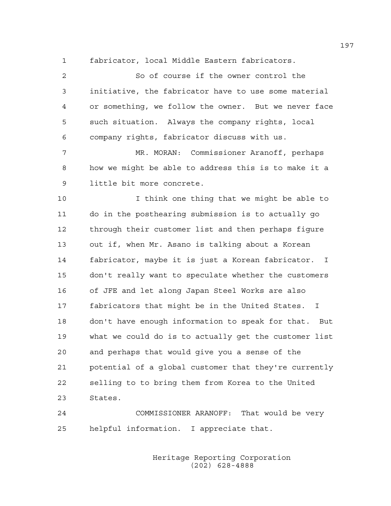1 fabricator, local Middle Eastern fabricators.

2 So of course if the owner control the 3 initiative, the fabricator have to use some material 4 or something, we follow the owner. But we never face 5 such situation. Always the company rights, local 6 company rights, fabricator discuss with us. 7 MR. MORAN: Commissioner Aranoff, perhaps 8 how we might be able to address this is to make it a 9 little bit more concrete. 10 I think one thing that we might be able to 11 do in the posthearing submission is to actually go 12 through their customer list and then perhaps figure 13 out if, when Mr. Asano is talking about a Korean 14 fabricator, maybe it is just a Korean fabricator. I 15 don't really want to speculate whether the customers 16 of JFE and let along Japan Steel Works are also 17 fabricators that might be in the United States. I 18 don't have enough information to speak for that. But 19 what we could do is to actually get the customer list 20 and perhaps that would give you a sense of the 21 potential of a global customer that they're currently 22 selling to to bring them from Korea to the United 23 States.

24 COMMISSIONER ARANOFF: That would be very 25 helpful information. I appreciate that.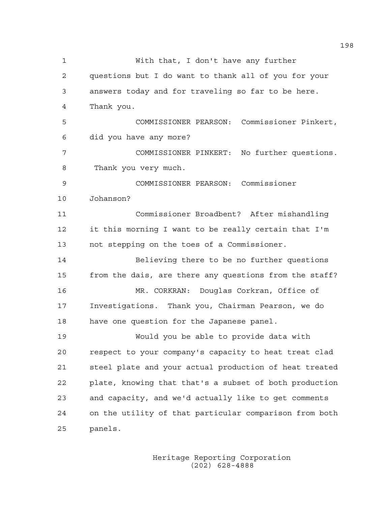1 With that, I don't have any further 2 questions but I do want to thank all of you for your 3 answers today and for traveling so far to be here. 4 Thank you. 5 COMMISSIONER PEARSON: Commissioner Pinkert, 6 did you have any more? 7 COMMISSIONER PINKERT: No further questions. 8 Thank you very much. 9 COMMISSIONER PEARSON: Commissioner 10 Johanson? 11 Commissioner Broadbent? After mishandling 12 it this morning I want to be really certain that I'm 13 not stepping on the toes of a Commissioner. 14 Believing there to be no further questions 15 from the dais, are there any questions from the staff? 16 MR. CORKRAN: Douglas Corkran, Office of 17 Investigations. Thank you, Chairman Pearson, we do 18 have one question for the Japanese panel. 19 Would you be able to provide data with 20 respect to your company's capacity to heat treat clad 21 steel plate and your actual production of heat treated 22 plate, knowing that that's a subset of both production 23 and capacity, and we'd actually like to get comments 24 on the utility of that particular comparison from both 25 panels.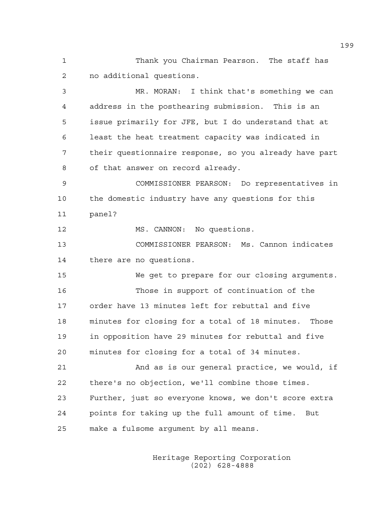1 Thank you Chairman Pearson. The staff has 2 no additional questions.

3 MR. MORAN: I think that's something we can 4 address in the posthearing submission. This is an 5 issue primarily for JFE, but I do understand that at 6 least the heat treatment capacity was indicated in 7 their questionnaire response, so you already have part 8 of that answer on record already.

9 COMMISSIONER PEARSON: Do representatives in 10 the domestic industry have any questions for this 11 panel?

12 MS. CANNON: No questions.

13 COMMISSIONER PEARSON: Ms. Cannon indicates 14 there are no questions.

15 We get to prepare for our closing arguments. 16 Those in support of continuation of the 17 order have 13 minutes left for rebuttal and five 18 minutes for closing for a total of 18 minutes. Those 19 in opposition have 29 minutes for rebuttal and five 20 minutes for closing for a total of 34 minutes.

21 And as is our general practice, we would, if 22 there's no objection, we'll combine those times. 23 Further, just so everyone knows, we don't score extra 24 points for taking up the full amount of time. But 25 make a fulsome argument by all means.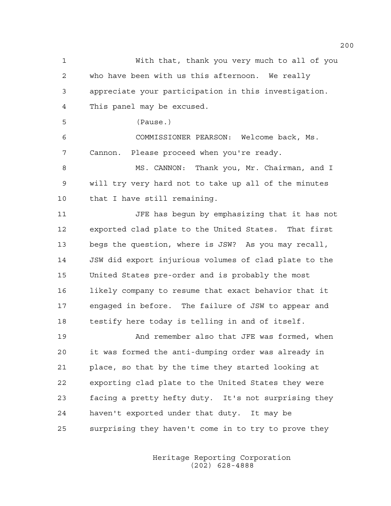1 With that, thank you very much to all of you 2 who have been with us this afternoon. We really 3 appreciate your participation in this investigation. 4 This panel may be excused. 5 (Pause.) 6 COMMISSIONER PEARSON: Welcome back, Ms. 7 Cannon. Please proceed when you're ready. 8 MS. CANNON: Thank you, Mr. Chairman, and I 9 will try very hard not to take up all of the minutes 10 that I have still remaining. 11 JFE has begun by emphasizing that it has not 12 exported clad plate to the United States. That first 13 begs the question, where is JSW? As you may recall, 14 JSW did export injurious volumes of clad plate to the 15 United States pre-order and is probably the most 16 likely company to resume that exact behavior that it 17 engaged in before. The failure of JSW to appear and 18 testify here today is telling in and of itself. 19 And remember also that JFE was formed, when 20 it was formed the anti-dumping order was already in 21 place, so that by the time they started looking at 22 exporting clad plate to the United States they were 23 facing a pretty hefty duty. It's not surprising they 24 haven't exported under that duty. It may be

25 surprising they haven't come in to try to prove they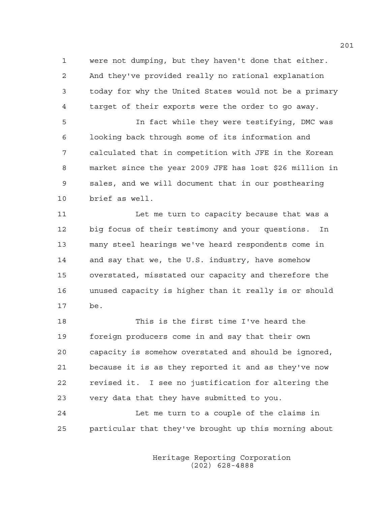1 were not dumping, but they haven't done that either. 2 And they've provided really no rational explanation 3 today for why the United States would not be a primary 4 target of their exports were the order to go away.

5 In fact while they were testifying, DMC was 6 looking back through some of its information and 7 calculated that in competition with JFE in the Korean 8 market since the year 2009 JFE has lost \$26 million in 9 sales, and we will document that in our posthearing 10 brief as well.

11 Let me turn to capacity because that was a 12 big focus of their testimony and your questions. In 13 many steel hearings we've heard respondents come in 14 and say that we, the U.S. industry, have somehow 15 overstated, misstated our capacity and therefore the 16 unused capacity is higher than it really is or should 17 be.

18 This is the first time I've heard the 19 foreign producers come in and say that their own 20 capacity is somehow overstated and should be ignored, 21 because it is as they reported it and as they've now 22 revised it. I see no justification for altering the 23 very data that they have submitted to you.

24 Let me turn to a couple of the claims in 25 particular that they've brought up this morning about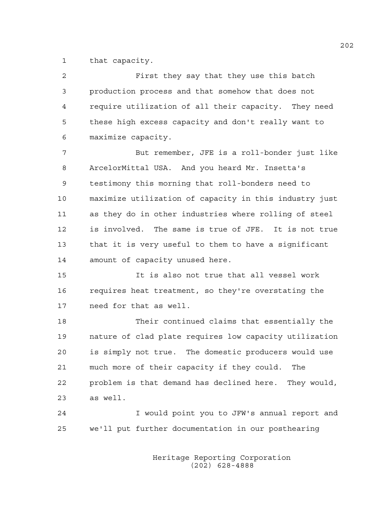1 that capacity.

| 2  | First they say that they use this batch                |
|----|--------------------------------------------------------|
| 3  | production process and that somehow that does not      |
| 4  | require utilization of all their capacity. They need   |
| 5  | these high excess capacity and don't really want to    |
| 6  | maximize capacity.                                     |
| 7  | But remember, JFE is a roll-bonder just like           |
| 8  | ArcelorMittal USA. And you heard Mr. Insetta's         |
| 9  | testimony this morning that roll-bonders need to       |
| 10 | maximize utilization of capacity in this industry just |
| 11 | as they do in other industries where rolling of steel  |
| 12 | is involved. The same is true of JFE. It is not true   |
| 13 | that it is very useful to them to have a significant   |
| 14 | amount of capacity unused here.                        |
| 15 | It is also not true that all vessel work               |
| 16 | requires heat treatment, so they're overstating the    |
| 17 | need for that as well.                                 |
| 18 | Their continued claims that essentially the            |
| 19 | nature of clad plate requires low capacity utilization |
| 20 | is simply not true. The domestic producers would use   |
| 21 | much more of their capacity if they could.<br>The      |
| 22 | problem is that demand has declined here. They would,  |
| 23 | as well.                                               |
| 24 | I would point you to JFW's annual report and           |
| 25 | we'll put further documentation in our posthearing     |
|    |                                                        |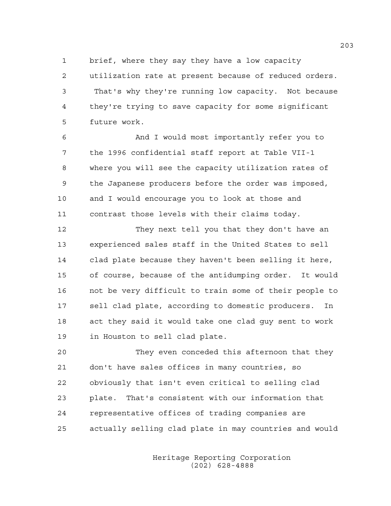1 brief, where they say they have a low capacity

2 utilization rate at present because of reduced orders. 3 That's why they're running low capacity. Not because 4 they're trying to save capacity for some significant 5 future work.

6 And I would most importantly refer you to 7 the 1996 confidential staff report at Table VII-1 8 where you will see the capacity utilization rates of 9 the Japanese producers before the order was imposed, 10 and I would encourage you to look at those and 11 contrast those levels with their claims today.

12 They next tell you that they don't have an 13 experienced sales staff in the United States to sell 14 clad plate because they haven't been selling it here, 15 of course, because of the antidumping order. It would 16 not be very difficult to train some of their people to 17 sell clad plate, according to domestic producers. In 18 act they said it would take one clad guy sent to work 19 in Houston to sell clad plate.

20 They even conceded this afternoon that they 21 don't have sales offices in many countries, so 22 obviously that isn't even critical to selling clad 23 plate. That's consistent with our information that 24 representative offices of trading companies are 25 actually selling clad plate in may countries and would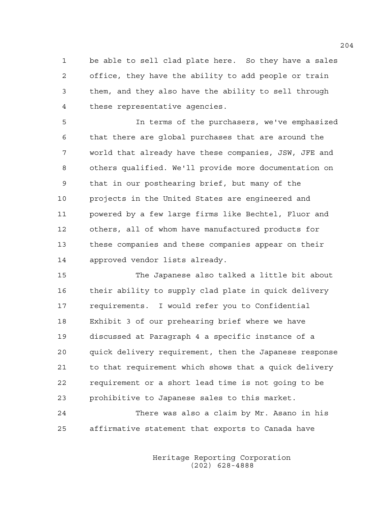1 be able to sell clad plate here. So they have a sales 2 office, they have the ability to add people or train 3 them, and they also have the ability to sell through 4 these representative agencies.

5 In terms of the purchasers, we've emphasized 6 that there are global purchases that are around the 7 world that already have these companies, JSW, JFE and 8 others qualified. We'll provide more documentation on 9 that in our posthearing brief, but many of the 10 projects in the United States are engineered and 11 powered by a few large firms like Bechtel, Fluor and 12 others, all of whom have manufactured products for 13 these companies and these companies appear on their 14 approved vendor lists already.

15 The Japanese also talked a little bit about 16 their ability to supply clad plate in quick delivery 17 requirements. I would refer you to Confidential 18 Exhibit 3 of our prehearing brief where we have 19 discussed at Paragraph 4 a specific instance of a 20 quick delivery requirement, then the Japanese response 21 to that requirement which shows that a quick delivery 22 requirement or a short lead time is not going to be 23 prohibitive to Japanese sales to this market.

24 There was also a claim by Mr. Asano in his 25 affirmative statement that exports to Canada have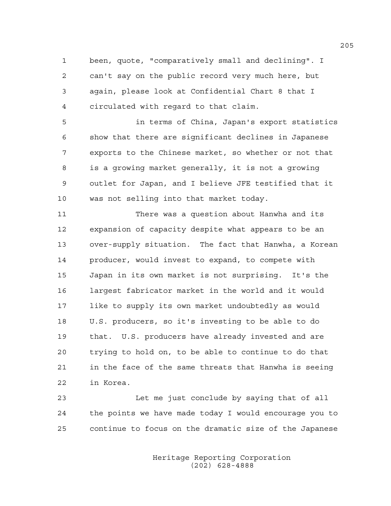1 been, quote, "comparatively small and declining". I 2 can't say on the public record very much here, but 3 again, please look at Confidential Chart 8 that I 4 circulated with regard to that claim.

5 in terms of China, Japan's export statistics 6 show that there are significant declines in Japanese 7 exports to the Chinese market, so whether or not that 8 is a growing market generally, it is not a growing 9 outlet for Japan, and I believe JFE testified that it 10 was not selling into that market today.

11 There was a question about Hanwha and its 12 expansion of capacity despite what appears to be an 13 over-supply situation. The fact that Hanwha, a Korean 14 producer, would invest to expand, to compete with 15 Japan in its own market is not surprising. It's the 16 largest fabricator market in the world and it would 17 like to supply its own market undoubtedly as would 18 U.S. producers, so it's investing to be able to do 19 that. U.S. producers have already invested and are 20 trying to hold on, to be able to continue to do that 21 in the face of the same threats that Hanwha is seeing 22 in Korea.

23 Let me just conclude by saying that of all 24 the points we have made today I would encourage you to 25 continue to focus on the dramatic size of the Japanese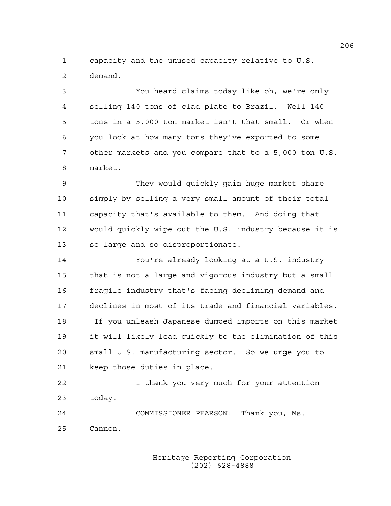1 capacity and the unused capacity relative to U.S. 2 demand.

3 You heard claims today like oh, we're only 4 selling 140 tons of clad plate to Brazil. Well 140 5 tons in a 5,000 ton market isn't that small. Or when 6 you look at how many tons they've exported to some 7 other markets and you compare that to a 5,000 ton U.S. 8 market.

9 They would quickly gain huge market share 10 simply by selling a very small amount of their total 11 capacity that's available to them. And doing that 12 would quickly wipe out the U.S. industry because it is 13 so large and so disproportionate.

14 You're already looking at a U.S. industry 15 that is not a large and vigorous industry but a small 16 fragile industry that's facing declining demand and 17 declines in most of its trade and financial variables. 18 If you unleash Japanese dumped imports on this market 19 it will likely lead quickly to the elimination of this 20 small U.S. manufacturing sector. So we urge you to 21 keep those duties in place.

22 I thank you very much for your attention 23 today.

24 COMMISSIONER PEARSON: Thank you, Ms. 25 Cannon.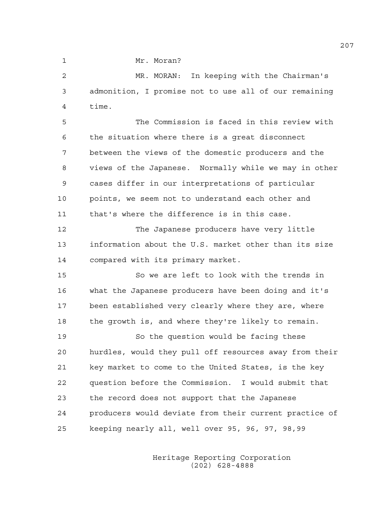1 Mr. Moran?

2 MR. MORAN: In keeping with the Chairman's 3 admonition, I promise not to use all of our remaining 4 time.

5 The Commission is faced in this review with 6 the situation where there is a great disconnect 7 between the views of the domestic producers and the 8 views of the Japanese. Normally while we may in other 9 cases differ in our interpretations of particular 10 points, we seem not to understand each other and 11 that's where the difference is in this case.

12 The Japanese producers have very little 13 information about the U.S. market other than its size 14 compared with its primary market.

15 So we are left to look with the trends in 16 what the Japanese producers have been doing and it's 17 been established very clearly where they are, where 18 the growth is, and where they're likely to remain.

19 So the question would be facing these 20 hurdles, would they pull off resources away from their 21 key market to come to the United States, is the key 22 question before the Commission. I would submit that 23 the record does not support that the Japanese 24 producers would deviate from their current practice of 25 keeping nearly all, well over 95, 96, 97, 98,99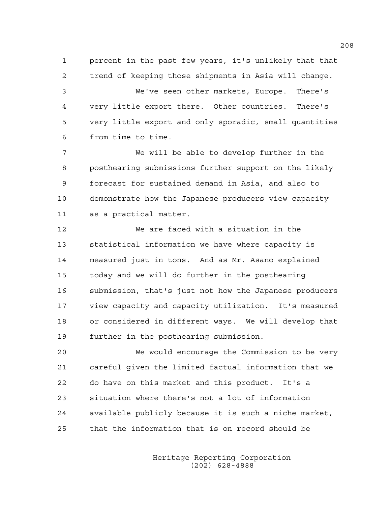1 percent in the past few years, it's unlikely that that 2 trend of keeping those shipments in Asia will change. 3 We've seen other markets, Europe. There's 4 very little export there. Other countries. There's 5 very little export and only sporadic, small quantities 6 from time to time.

7 We will be able to develop further in the 8 posthearing submissions further support on the likely 9 forecast for sustained demand in Asia, and also to 10 demonstrate how the Japanese producers view capacity 11 as a practical matter.

12 We are faced with a situation in the 13 statistical information we have where capacity is 14 measured just in tons. And as Mr. Asano explained 15 today and we will do further in the posthearing 16 submission, that's just not how the Japanese producers 17 view capacity and capacity utilization. It's measured 18 or considered in different ways. We will develop that 19 further in the posthearing submission.

20 We would encourage the Commission to be very 21 careful given the limited factual information that we 22 do have on this market and this product. It's a 23 situation where there's not a lot of information 24 available publicly because it is such a niche market, 25 that the information that is on record should be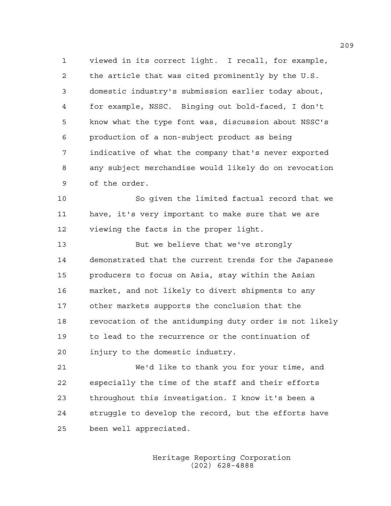1 viewed in its correct light. I recall, for example, 2 the article that was cited prominently by the U.S. 3 domestic industry's submission earlier today about, 4 for example, NSSC. Binging out bold-faced, I don't 5 know what the type font was, discussion about NSSC's 6 production of a non-subject product as being 7 indicative of what the company that's never exported 8 any subject merchandise would likely do on revocation 9 of the order.

10 So given the limited factual record that we 11 have, it's very important to make sure that we are 12 viewing the facts in the proper light.

13 But we believe that we've strongly 14 demonstrated that the current trends for the Japanese 15 producers to focus on Asia, stay within the Asian 16 market, and not likely to divert shipments to any 17 other markets supports the conclusion that the 18 revocation of the antidumping duty order is not likely 19 to lead to the recurrence or the continuation of 20 injury to the domestic industry.

21 We'd like to thank you for your time, and 22 especially the time of the staff and their efforts 23 throughout this investigation. I know it's been a 24 struggle to develop the record, but the efforts have 25 been well appreciated.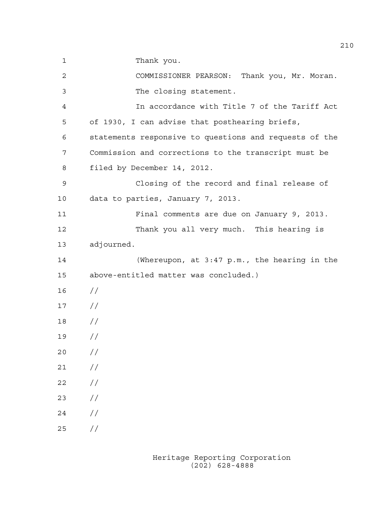1 Thank you.

2 COMMISSIONER PEARSON: Thank you, Mr. Moran. 3 The closing statement. 4 In accordance with Title 7 of the Tariff Act 5 of 1930, I can advise that posthearing briefs, 6 statements responsive to questions and requests of the 7 Commission and corrections to the transcript must be 8 filed by December 14, 2012. 9 Closing of the record and final release of 10 data to parties, January 7, 2013. 11 Final comments are due on January 9, 2013. 12 Thank you all very much. This hearing is 13 adjourned. 14 (Whereupon, at 3:47 p.m., the hearing in the 15 above-entitled matter was concluded.) 16 // 17 // 18 // 19 // 20 // 21 // 22 // 23 // 24 // 25 //